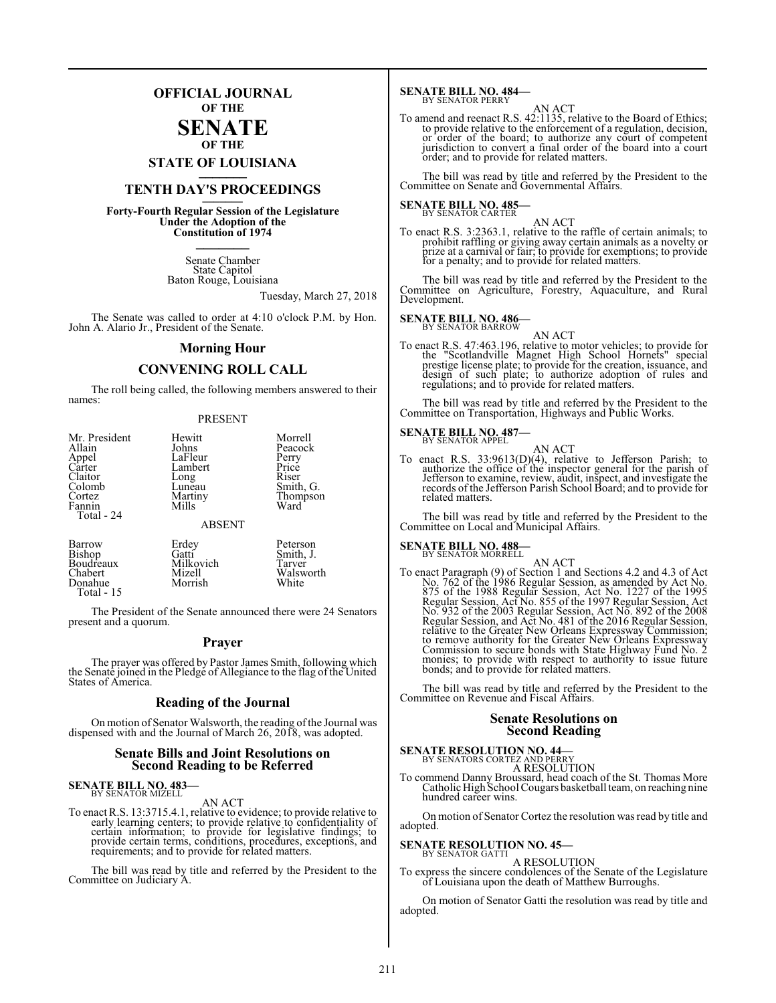### **OFFICIAL JOURNAL OF THE**

### **SENATE OF THE**

**STATE OF LOUISIANA \_\_\_\_\_\_\_**

### **TENTH DAY'S PROCEEDINGS \_\_\_\_\_\_\_**

**Forty-Fourth Regular Session of the Legislature Under the Adoption of the Constitution of 1974 \_\_\_\_\_\_\_**

> Senate Chamber State Capitol Baton Rouge, Louisiana

> > Tuesday, March 27, 2018

The Senate was called to order at 4:10 o'clock P.M. by Hon. John A. Alario Jr., President of the Senate.

### **Morning Hour**

### **CONVENING ROLL CALL**

The roll being called, the following members answered to their names: PRESENT

| Mr. President<br>Allain<br>Appel<br>Carter<br>Claitor<br>Colomb<br>Cortez<br>Fannin<br>Total - 24 | Hewitt<br>Johns<br>LaFleur<br>Lambert<br>Long<br>Lunĕau<br>Martiny<br>Mills<br><b>ABSENT</b> | Morrell<br>Peacock<br>Perry<br>Price<br>Riser<br>Smith, G.<br>Thompson<br>Ward |
|---------------------------------------------------------------------------------------------------|----------------------------------------------------------------------------------------------|--------------------------------------------------------------------------------|
| Barrow                                                                                            | Erdey                                                                                        | Peterson                                                                       |
| Bishop                                                                                            | Gatti                                                                                        | Smith, J.                                                                      |
| Boudreaux                                                                                         | Milkovich                                                                                    | Tarver                                                                         |
| Chabert                                                                                           | Mizell                                                                                       | Walsworth                                                                      |

The President of the Senate announced there were 24 Senators present and a quorum.

Mizell Walsworth<br>Morrish White

### **Prayer**

The prayer was offered by Pastor James Smith, following which the Senate joined in the Pledge of Allegiance to the flag of the United States of America.

### **Reading of the Journal**

On motion of Senator Walsworth, the reading ofthe Journal was dispensed with and the Journal of March 26, 2018, was adopted.

### **Senate Bills and Joint Resolutions on Second Reading to be Referred**

# **SENATE BILL NO. 483—** BY SENATOR MIZELL

Donahue Total - 15

AN ACT

To enact R.S. 13:3715.4.1, relative to evidence; to provide relative to early learning centers; to provide relative to confidentiality of certain information; to provide for legislative findings; to provide certain terms, conditions, procedures, exceptions, and requirements; and to provide for related matters.

The bill was read by title and referred by the President to the Committee on Judiciary A.

### **SENATE BILL NO. 484–**<br>BY SENATOR PERRY

AN ACT<br>To amend and reenact R.S. 42:1135, relative to the Board of Ethics;<br>to provide relative to the enforcement of a regulation, decision,<br>or order of the board; to authorize any court of competent<br>jurisdiction to conver order; and to provide for related matters.

The bill was read by title and referred by the President to the Committee on Senate and Governmental Affairs.

### **SENATE BILL NO. 485-**<br>BY SENATOR CARTER

AN ACT<br>To enact R.S. 3:2363.1, relative to the raffle of certain animals; to<br>prohibit raffling or giving away certain animals as a novelty or<br>prize at a carnival or fair; to provide for exemptions; to provide for a penalty; and to provide for related matters.

The bill was read by title and referred by the President to the Committee on Agriculture, Forestry, Aquaculture, and Rural Development.

## **SENATE BILL NO. 486-**<br>BY SENATOR BARROW

AN ACT

To enact R.S. 47:463.196, relative to motor vehicles; to provide for<br>the "Scotlandville Magnet High School Hornets" special<br>prestige license plate; to provide for the creation, issuance, and<br>design of such plate; to author

The bill was read by title and referred by the President to the Committee on Transportation, Highways and Public Works.

# **SENATE BILL NO. 487–**<br>BY SENATOR APPEL

AN ACT<br>To enact R.S. 33:9613(D)(4), relative to Jefferson Parish; to<br>authorize the office of the inspector general for the parish of<br>Jefferson to examine, review, audit, inspect, and investigate the<br>records of the Jeffers related matters.

The bill was read by title and referred by the President to the Committee on Local and Municipal Affairs.

## **SENATE BILL NO. 488—** BY SENATOR MORRELL

AN ACT<br>To enact Paragraph (9) of Section 1 and Sections 4.2 and 4.3 of Act<br>No. 762 of the 1986 Regular Session, as amended by Act No.<br>875 of the 1988 Regular Session, Act No. 1227 of the 1995<br>Regular Session, Act No. 855 o Regular Session, and Act No. 481 of the 2016 Regular Session, relative to the Greater New Orleans Expressway Commission;<br>to remove authority for the Greater New Orleans Expressway<br>Commission to secure bonds with State Highway Fund No. 2<br>monies; to provide with respect to authority to

The bill was read by title and referred by the President to the Committee on Revenue and Fiscal Affairs.

### **Senate Resolutions on Second Reading**

### **SENATE RESOLUTION NO. 44—** BY SENATORS CORTEZ AND PERRY

A RESOLUTION

To commend Danny Broussard, head coach of the St. Thomas More Catholic High School Cougars basketball team, on reaching nine hundred career wins.

On motion of Senator Cortez the resolution was read by title and adopted.

### **SENATE RESOLUTION NO. 45—** BY SENATOR GATTI

A RESOLUTION

To express the sincere condolences of the Senate of the Legislature of Louisiana upon the death of Matthew Burroughs.

On motion of Senator Gatti the resolution was read by title and adopted.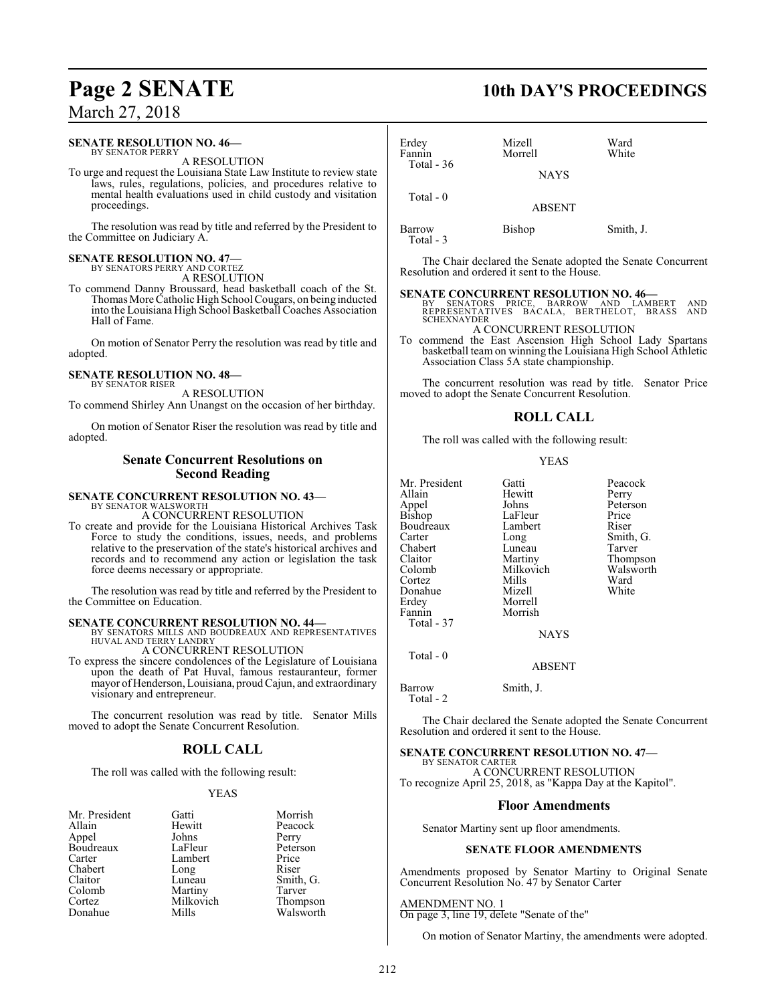#### **SENATE RESOLUTION NO. 46—** BY SENATOR PERRY

A RESOLUTION

To urge and request the Louisiana State Law Institute to review state laws, rules, regulations, policies, and procedures relative to mental health evaluations used in child custody and visitation proceedings.

The resolution was read by title and referred by the President to the Committee on Judiciary A.

### **SENATE RESOLUTION NO. 47—** BY SENATORS PERRY AND CORTEZ

A RESOLUTION

To commend Danny Broussard, head basketball coach of the St. Thomas More Catholic High School Cougars, on being inducted into the Louisiana High School Basketball Coaches Association Hall of Fame.

On motion of Senator Perry the resolution was read by title and adopted.

### **SENATE RESOLUTION NO. 48—** BY SENATOR RISER

A RESOLUTION

To commend Shirley Ann Unangst on the occasion of her birthday.

On motion of Senator Riser the resolution was read by title and adopted.

### **Senate Concurrent Resolutions on Second Reading**

# **SENATE CONCURRENT RESOLUTION NO. 43—** BY SENATOR WALSWORTH

A CONCURRENT RESOLUTION

To create and provide for the Louisiana Historical Archives Task Force to study the conditions, issues, needs, and problems relative to the preservation of the state's historical archives and records and to recommend any action or legislation the task force deems necessary or appropriate.

The resolution was read by title and referred by the President to the Committee on Education.

**SENATE CONCURRENT RESOLUTION NO. 44—BY SENATORS MILLS AND BOUDREAUX AND REPRESENTATIVES**<br>HUVAL AND TERRY LANDRY A CONCURRENT RESOLUTION

To express the sincere condolences of the Legislature of Louisiana upon the death of Pat Huval, famous restauranteur, former mayor ofHenderson, Louisiana, proudCajun, and extraordinary visionary and entrepreneur.

The concurrent resolution was read by title. Senator Mills moved to adopt the Senate Concurrent Resolution.

### **ROLL CALL**

The roll was called with the following result:

### YEAS

| Mr. President | Gatti     | Morrish   |
|---------------|-----------|-----------|
| Allain        | Hewitt    | Peacock   |
| Appel         | Johns     | Perry     |
| Boudreaux     | LaFleur   | Peterson  |
| Carter        | Lambert   | Price     |
| Chabert       | Long      | Riser     |
| Claitor       | Luneau    | Smith, G. |
| Colomb        | Martiny   | Tarver    |
| Cortez        | Milkovich | Thompson  |
| Donahue       | Mills     | Walsworth |

### **Page 2 SENATE 10th DAY'S PROCEEDINGS**

| Erdey<br>Fannin | Mizell<br>Morrell | Ward<br>White |
|-----------------|-------------------|---------------|
| Total - $36$    | <b>NAYS</b>       |               |
| Total $-0$      | <b>ABSENT</b>     |               |
| Barrow          | Bishop            | Smith, J.     |

Total - 3

The Chair declared the Senate adopted the Senate Concurrent Resolution and ordered it sent to the House.

### **SENATE CONCURRENT RESOLUTION NO. 46—**

BY SENATORS PRICE, BARROW AND LAMBERT AND REPRESENTATIVES BACALA, BERTHELOT, BRASS AND SCHEXNAYDER

A CONCURRENT RESOLUTION To commend the East Ascension High School Lady Spartans basketball team on winning the Louisiana High School Athletic Association Class 5A state championship.

The concurrent resolution was read by title. Senator Price moved to adopt the Senate Concurrent Resolution.

### **ROLL CALL**

The roll was called with the following result:

### YEAS

| Mr. President   | Gatti       | Peacock   |
|-----------------|-------------|-----------|
| Allain          | Hewitt      |           |
|                 |             | Perry     |
|                 | Johns       | Peterson  |
| Appel<br>Bishop | LaFleur     | Price     |
| Boudreaux       | Lambert     | Riser     |
| Carter          | Long        | Smith, G. |
| Chabert         | Luneau      | Tarver    |
| Claitor         | Martiny     | Thompson  |
| Colomb          | Milkovich   | Walsworth |
| Cortez          | Mills       | Ward      |
| Donahue         | Mizell      | White     |
| Erdey           | Morrell     |           |
| Fannin          | Morrish     |           |
| Total - 37      |             |           |
|                 | <b>NAYS</b> |           |
| $Total - 0$     |             |           |

ABSENT

Barrow Smith, J.

Total - 2

The Chair declared the Senate adopted the Senate Concurrent Resolution and ordered it sent to the House.

## **SENATE CONCURRENT RESOLUTION NO. 47—** BY SENATOR CARTER

A CONCURRENT RESOLUTION To recognize April 25, 2018, as "Kappa Day at the Kapitol".

### **Floor Amendments**

Senator Martiny sent up floor amendments.

### **SENATE FLOOR AMENDMENTS**

Amendments proposed by Senator Martiny to Original Senate Concurrent Resolution No. 47 by Senator Carter

AMENDMENT NO. 1 On page 3, line 19, delete "Senate of the"

On motion of Senator Martiny, the amendments were adopted.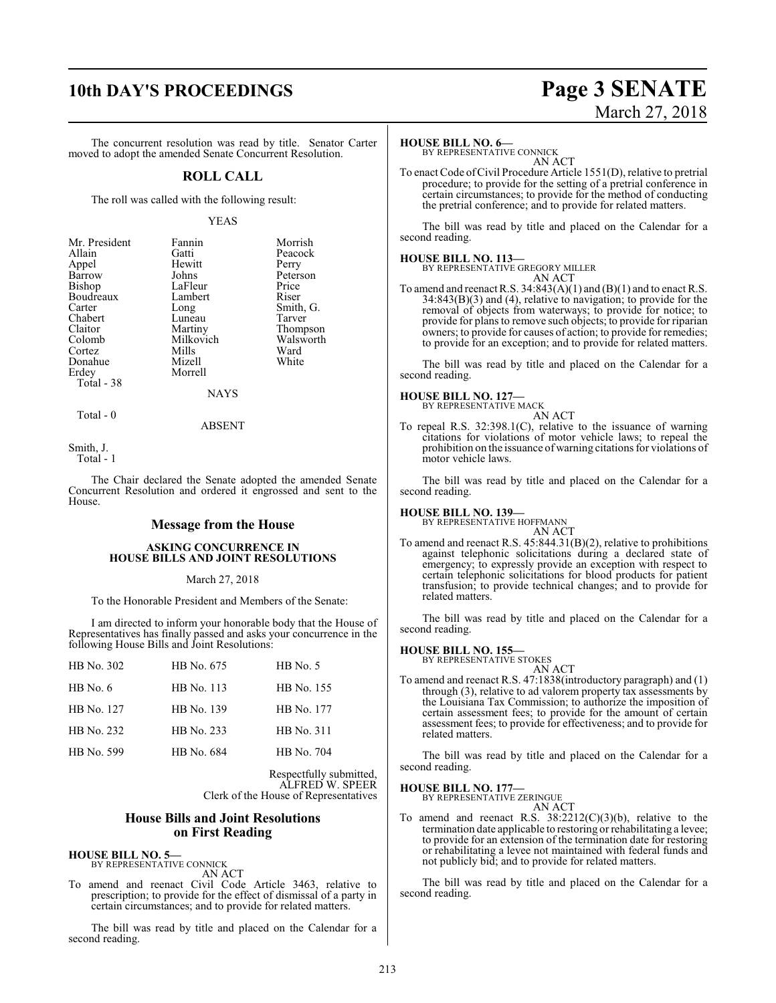### **10th DAY'S PROCEEDINGS Page 3 SENATE**

The concurrent resolution was read by title. Senator Carter moved to adopt the amended Senate Concurrent Resolution.

### **ROLL CALL**

The roll was called with the following result:

### YEAS

| Mr. President | Fannin    | Morrish   |
|---------------|-----------|-----------|
| Allain        | Gatti     | Peacock   |
| Appel         | Hewitt    | Perry     |
| Barrow        | Johns     | Peterson  |
| Bishop        | LaFleur   | Price     |
| Boudreaux     | Lambert   | Riser     |
| Carter        | Long      | Smith, G. |
| Chabert       | Luneau    | Tarver    |
| Claitor       | Martiny   | Thompson  |
| Colomb        | Milkovich | Walsworth |
| Cortez        | Mills     | Ward      |
| Donahue       | Mizell    | White     |
| Erdey         | Morrell   |           |
| Total - 38    |           |           |
|               | NAYS      |           |

Total - 0

ABSENT

Smith, J.

Total - 1

The Chair declared the Senate adopted the amended Senate Concurrent Resolution and ordered it engrossed and sent to the House.

### **Message from the House**

### **ASKING CONCURRENCE IN HOUSE BILLS AND JOINT RESOLUTIONS**

### March 27, 2018

To the Honorable President and Members of the Senate:

I am directed to inform your honorable body that the House of Representatives has finally passed and asks your concurrence in the following House Bills and Joint Resolutions:

| HB No. 302 | HB No. 675 | $HB$ No. 5 |
|------------|------------|------------|
| $HB$ No. 6 | HB No. 113 | HB No. 155 |
| HB No. 127 | HB No. 139 | HB No. 177 |
| HB No. 232 | HB No. 233 | HB No. 311 |
| HB No. 599 | HB No. 684 | HB No. 704 |
|            |            |            |

Respectfully submitted, ALFRED W. SPEER Clerk of the House of Representatives

### **House Bills and Joint Resolutions on First Reading**

**HOUSE BILL NO. 5—** BY REPRESENTATIVE CONNICK

AN ACT

To amend and reenact Civil Code Article 3463, relative to prescription; to provide for the effect of dismissal of a party in certain circumstances; and to provide for related matters.

The bill was read by title and placed on the Calendar for a second reading.

### **HOUSE BILL NO. 6—**

BY REPRESENTATIVE CONNICK AN ACT

To enact Code ofCivil Procedure Article 1551(D), relative to pretrial procedure; to provide for the setting of a pretrial conference in certain circumstances; to provide for the method of conducting the pretrial conference; and to provide for related matters.

The bill was read by title and placed on the Calendar for a second reading.

**HOUSE BILL NO. 113—** BY REPRESENTATIVE GREGORY MILLER AN ACT

To amend and reenact R.S. 34:843(A)(1) and (B)(1) and to enact R.S. 34:843(B)(3) and (4), relative to navigation; to provide for the removal of objects from waterways; to provide for notice; to provide for plans to remove such objects; to provide for riparian owners; to provide for causes of action; to provide for remedies; to provide for an exception; and to provide for related matters.

The bill was read by title and placed on the Calendar for a second reading.

### **HOUSE BILL NO. 127—**

BY REPRESENTATIVE MACK

AN ACT To repeal R.S. 32:398.1(C), relative to the issuance of warning citations for violations of motor vehicle laws; to repeal the prohibition on the issuance of warning citations for violations of motor vehicle laws.

The bill was read by title and placed on the Calendar for a second reading.

### **HOUSE BILL NO. 139—**

BY REPRESENTATIVE HOFFMANN

AN ACT To amend and reenact R.S. 45:844.31(B)(2), relative to prohibitions against telephonic solicitations during a declared state of emergency; to expressly provide an exception with respect to certain telephonic solicitations for blood products for patient transfusion; to provide technical changes; and to provide for related matters.

The bill was read by title and placed on the Calendar for a second reading.

### **HOUSE BILL NO. 155—**

BY REPRESENTATIVE STOKES

AN ACT To amend and reenact R.S. 47:1838(introductory paragraph) and (1) through (3), relative to ad valorem property tax assessments by the Louisiana Tax Commission; to authorize the imposition of certain assessment fees; to provide for the amount of certain assessment fees; to provide for effectiveness; and to provide for related matters.

The bill was read by title and placed on the Calendar for a second reading.

### **HOUSE BILL NO. 177—**

BY REPRESENTATIVE ZERINGUE AN ACT

To amend and reenact R.S.  $38:2212(C)(3)(b)$ , relative to the termination date applicable to restoring or rehabilitating a levee; to provide for an extension of the termination date for restoring or rehabilitating a levee not maintained with federal funds and not publicly bid; and to provide for related matters.

The bill was read by title and placed on the Calendar for a second reading.

# March 27, 2018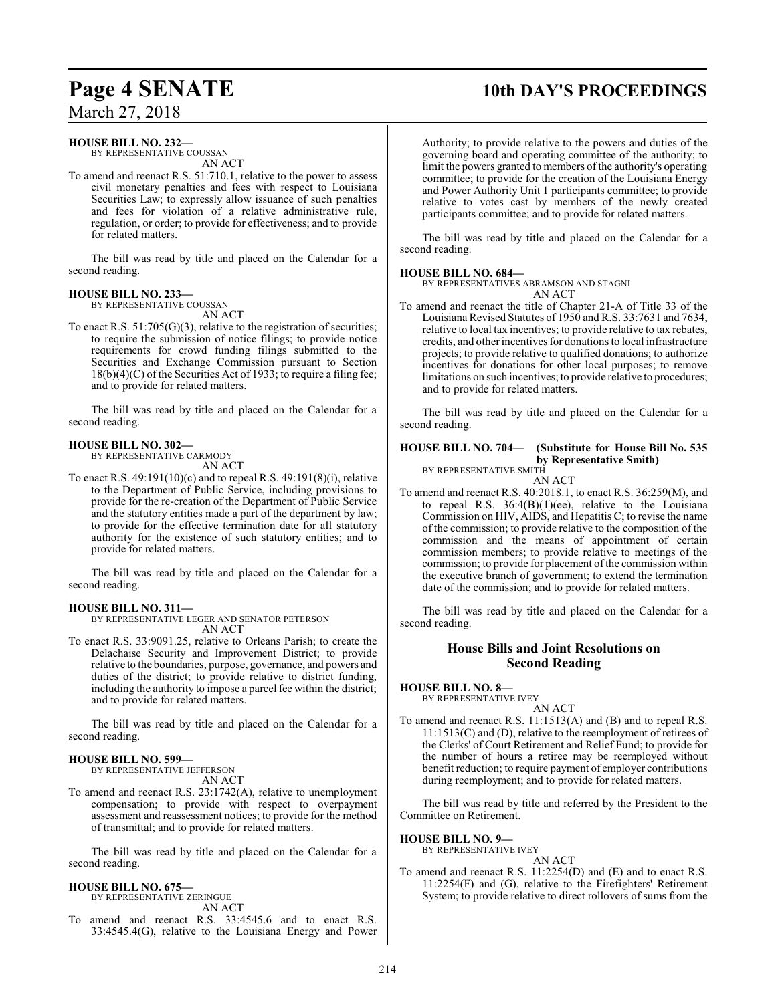# **Page 4 SENATE 10th DAY'S PROCEEDINGS**

### March 27, 2018

### **HOUSE BILL NO. 232—**

BY REPRESENTATIVE COUSSAN AN ACT

To amend and reenact R.S. 51:710.1, relative to the power to assess civil monetary penalties and fees with respect to Louisiana Securities Law; to expressly allow issuance of such penalties and fees for violation of a relative administrative rule, regulation, or order; to provide for effectiveness; and to provide for related matters.

The bill was read by title and placed on the Calendar for a second reading.

### **HOUSE BILL NO. 233—**

BY REPRESENTATIVE COUSSAN AN ACT

To enact R.S.  $51:705(G)(3)$ , relative to the registration of securities; to require the submission of notice filings; to provide notice requirements for crowd funding filings submitted to the Securities and Exchange Commission pursuant to Section 18(b)(4)(C) of the Securities Act of 1933; to require a filing fee; and to provide for related matters.

The bill was read by title and placed on the Calendar for a second reading.

### **HOUSE BILL NO. 302—**

BY REPRESENTATIVE CARMODY AN ACT

To enact R.S. 49:191(10)(c) and to repeal R.S. 49:191(8)(i), relative to the Department of Public Service, including provisions to provide for the re-creation of the Department of Public Service and the statutory entities made a part of the department by law; to provide for the effective termination date for all statutory authority for the existence of such statutory entities; and to provide for related matters.

The bill was read by title and placed on the Calendar for a second reading.

### **HOUSE BILL NO. 311—**

BY REPRESENTATIVE LEGER AND SENATOR PETERSON AN ACT

To enact R.S. 33:9091.25, relative to Orleans Parish; to create the Delachaise Security and Improvement District; to provide relative to the boundaries, purpose, governance, and powers and duties of the district; to provide relative to district funding, including the authority to impose a parcel fee within the district; and to provide for related matters.

The bill was read by title and placed on the Calendar for a second reading.

#### **HOUSE BILL NO. 599—** BY REPRESENTATIVE JEFFERSON

AN ACT

To amend and reenact R.S. 23:1742(A), relative to unemployment compensation; to provide with respect to overpayment assessment and reassessment notices; to provide for the method of transmittal; and to provide for related matters.

The bill was read by title and placed on the Calendar for a second reading.

### **HOUSE BILL NO. 675—**

BY REPRESENTATIVE ZERINGUE AN ACT

To amend and reenact R.S. 33:4545.6 and to enact R.S. 33:4545.4(G), relative to the Louisiana Energy and Power

Authority; to provide relative to the powers and duties of the governing board and operating committee of the authority; to limit the powers granted to members of the authority's operating committee; to provide for the creation of the Louisiana Energy and Power Authority Unit 1 participants committee; to provide relative to votes cast by members of the newly created participants committee; and to provide for related matters.

The bill was read by title and placed on the Calendar for a second reading.

### **HOUSE BILL NO. 684—**

BY REPRESENTATIVES ABRAMSON AND STAGNI AN ACT

To amend and reenact the title of Chapter 21-A of Title 33 of the Louisiana Revised Statutes of 1950 and R.S. 33:7631 and 7634, relative to local tax incentives; to provide relative to tax rebates, credits, and other incentives for donations to local infrastructure projects; to provide relative to qualified donations; to authorize incentives for donations for other local purposes; to remove limitations on such incentives; to provide relative to procedures; and to provide for related matters.

The bill was read by title and placed on the Calendar for a second reading.

### **HOUSE BILL NO. 704— (Substitute for House Bill No. 535 by Representative Smith)**

BY REPRESENTATIVE SMITH AN ACT

To amend and reenact R.S. 40:2018.1, to enact R.S. 36:259(M), and to repeal R.S.  $36:4(B)(1)(ee)$ , relative to the Louisiana Commission on HIV, AIDS, and Hepatitis C; to revise the name of the commission; to provide relative to the composition of the commission and the means of appointment of certain commission members; to provide relative to meetings of the commission; to provide for placement of the commission within the executive branch of government; to extend the termination date of the commission; and to provide for related matters.

The bill was read by title and placed on the Calendar for a second reading.

### **House Bills and Joint Resolutions on Second Reading**

**HOUSE BILL NO. 8—**

BY REPRESENTATIVE IVEY

- AN ACT
- To amend and reenact R.S. 11:1513(A) and (B) and to repeal R.S. 11:1513(C) and (D), relative to the reemployment of retirees of the Clerks' of Court Retirement and Relief Fund; to provide for the number of hours a retiree may be reemployed without benefit reduction; to require payment of employer contributions during reemployment; and to provide for related matters.

The bill was read by title and referred by the President to the Committee on Retirement.

### **HOUSE BILL NO. 9—**

BY REPRESENTATIVE IVEY

AN ACT To amend and reenact R.S. 11:2254(D) and (E) and to enact R.S. 11:2254(F) and (G), relative to the Firefighters' Retirement System; to provide relative to direct rollovers of sums from the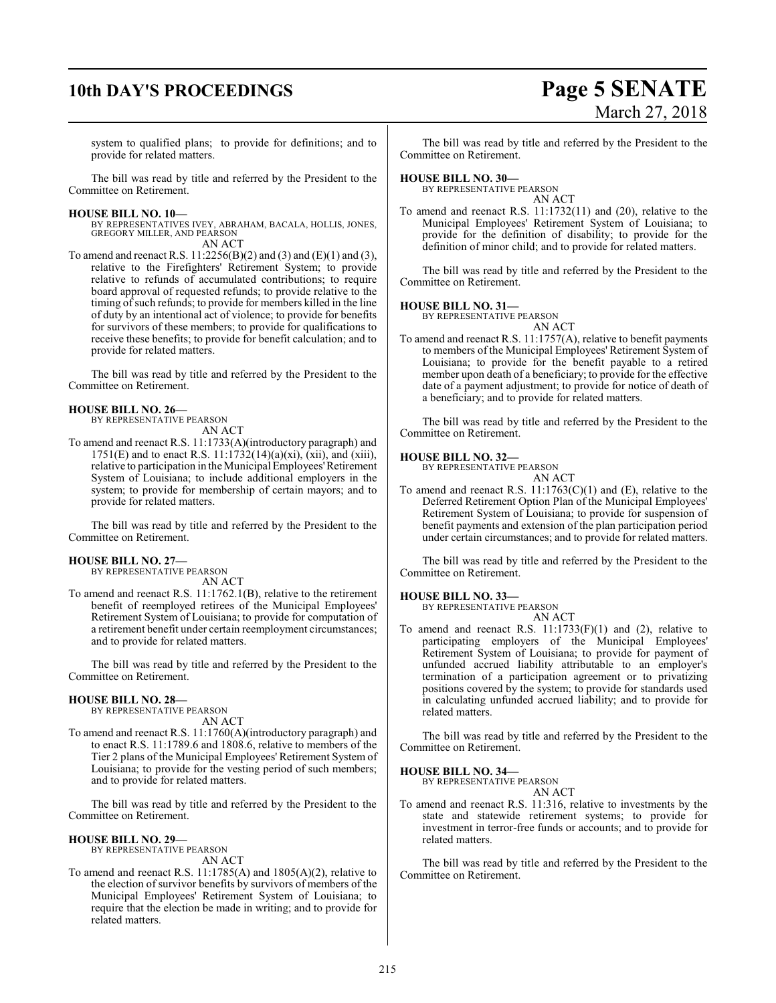# **10th DAY'S PROCEEDINGS Page 5 SENATE**

# March 27, 2018

system to qualified plans; to provide for definitions; and to provide for related matters.

The bill was read by title and referred by the President to the Committee on Retirement.

### **HOUSE BILL NO. 10—**

BY REPRESENTATIVES IVEY, ABRAHAM, BACALA, HOLLIS, JONES, GREGORY MILLER, AND PEARSON AN ACT

To amend and reenact R.S.  $11:2256(B)(2)$  and (3) and (E)(1) and (3), relative to the Firefighters' Retirement System; to provide relative to refunds of accumulated contributions; to require board approval of requested refunds; to provide relative to the timing of such refunds; to provide for members killed in the line of duty by an intentional act of violence; to provide for benefits for survivors of these members; to provide for qualifications to receive these benefits; to provide for benefit calculation; and to provide for related matters.

The bill was read by title and referred by the President to the Committee on Retirement.

### **HOUSE BILL NO. 26—**

BY REPRESENTATIVE PEARSON AN ACT

To amend and reenact R.S. 11:1733(A)(introductory paragraph) and 1751(E) and to enact R.S.  $11:1732(14)(a)(xi)$ ,  $(xii)$ , and  $(xiii)$ , relative to participation in the Municipal Employees'Retirement System of Louisiana; to include additional employers in the system; to provide for membership of certain mayors; and to provide for related matters.

The bill was read by title and referred by the President to the Committee on Retirement.

### **HOUSE BILL NO. 27—**

BY REPRESENTATIVE PEARSON AN ACT

To amend and reenact R.S. 11:1762.1(B), relative to the retirement benefit of reemployed retirees of the Municipal Employees' Retirement System of Louisiana; to provide for computation of a retirement benefit under certain reemployment circumstances; and to provide for related matters.

The bill was read by title and referred by the President to the Committee on Retirement.

### **HOUSE BILL NO. 28—**

BY REPRESENTATIVE PEARSON AN ACT

To amend and reenact R.S. 11:1760(A)(introductory paragraph) and to enact R.S. 11:1789.6 and 1808.6, relative to members of the Tier 2 plans of the Municipal Employees' Retirement System of Louisiana; to provide for the vesting period of such members; and to provide for related matters.

The bill was read by title and referred by the President to the Committee on Retirement.

### **HOUSE BILL NO. 29—**

BY REPRESENTATIVE PEARSON AN ACT

To amend and reenact R.S. 11:1785(A) and 1805(A)(2), relative to the election of survivor benefits by survivors of members of the Municipal Employees' Retirement System of Louisiana; to require that the election be made in writing; and to provide for related matters.

The bill was read by title and referred by the President to the Committee on Retirement.

### **HOUSE BILL NO. 30—**

BY REPRESENTATIVE PEARSON AN ACT

To amend and reenact R.S. 11:1732(11) and (20), relative to the Municipal Employees' Retirement System of Louisiana; to provide for the definition of disability; to provide for the definition of minor child; and to provide for related matters.

The bill was read by title and referred by the President to the Committee on Retirement.

### **HOUSE BILL NO. 31—**

BY REPRESENTATIVE PEARSON AN ACT

To amend and reenact R.S. 11:1757(A), relative to benefit payments to members of the Municipal Employees' Retirement System of Louisiana; to provide for the benefit payable to a retired member upon death of a beneficiary; to provide for the effective date of a payment adjustment; to provide for notice of death of a beneficiary; and to provide for related matters.

The bill was read by title and referred by the President to the Committee on Retirement.

### **HOUSE BILL NO. 32—**

BY REPRESENTATIVE PEARSON AN ACT

To amend and reenact R.S. 11:1763(C)(1) and (E), relative to the Deferred Retirement Option Plan of the Municipal Employees' Retirement System of Louisiana; to provide for suspension of benefit payments and extension of the plan participation period under certain circumstances; and to provide for related matters.

The bill was read by title and referred by the President to the Committee on Retirement.

### **HOUSE BILL NO. 33—**

BY REPRESENTATIVE PEARSON AN ACT

To amend and reenact R.S.  $11:1733(F)(1)$  and (2), relative to participating employers of the Municipal Employees' Retirement System of Louisiana; to provide for payment of unfunded accrued liability attributable to an employer's termination of a participation agreement or to privatizing positions covered by the system; to provide for standards used in calculating unfunded accrued liability; and to provide for related matters.

The bill was read by title and referred by the President to the Committee on Retirement.

### **HOUSE BILL NO. 34—**

BY REPRESENTATIVE PEARSON AN ACT

To amend and reenact R.S. 11:316, relative to investments by the state and statewide retirement systems; to provide for investment in terror-free funds or accounts; and to provide for related matters.

The bill was read by title and referred by the President to the Committee on Retirement.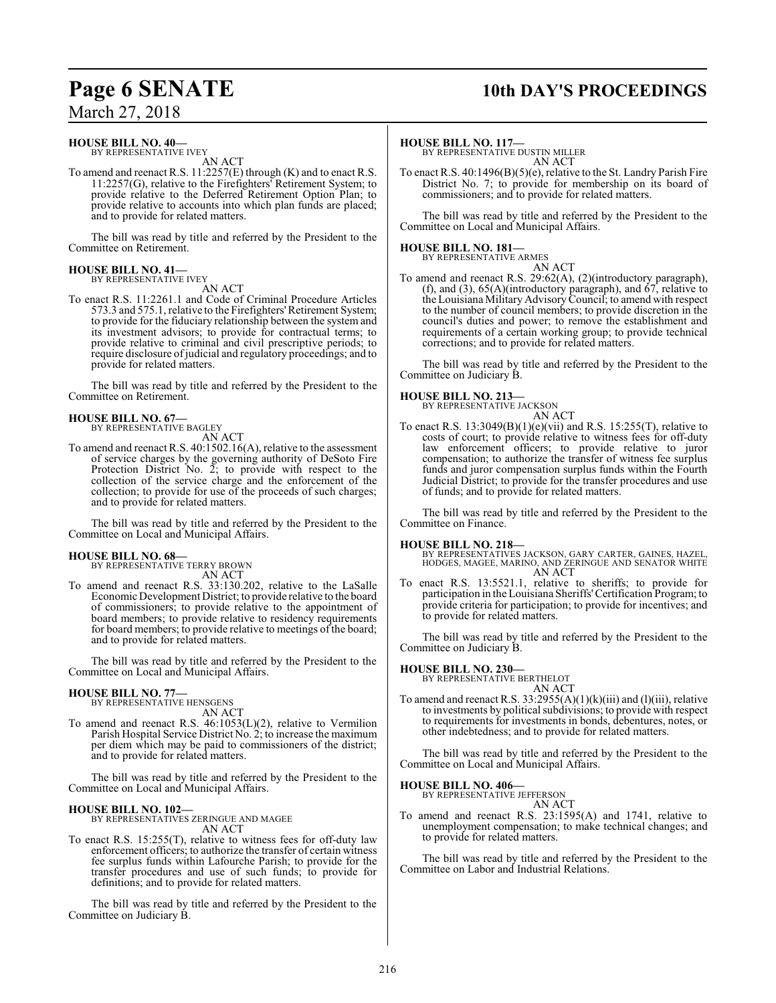# **Page 6 SENATE 10th DAY'S PROCEEDINGS**

### **HOUSE BILL NO. 40—**

BY REPRESENTATIVE IVEY AN ACT

To amend and reenact R.S. 11:2257(E) through (K) and to enact R.S. 11:2257(G), relative to the Firefighters' Retirement System; to provide relative to the Deferred Retirement Option Plan; to provide relative to accounts into which plan funds are placed; and to provide for related matters.

The bill was read by title and referred by the President to the Committee on Retirement.

### **HOUSE BILL NO. 41—** BY REPRESENTATIVE IVEY

AN ACT

To enact R.S. 11:2261.1 and Code of Criminal Procedure Articles 573.3 and 575.1, relative to the Firefighters'Retirement System; to provide for the fiduciary relationship between the system and its investment advisors; to provide for contractual terms; to provide relative to criminal and civil prescriptive periods; to require disclosure ofjudicial and regulatory proceedings; and to provide for related matters.

The bill was read by title and referred by the President to the Committee on Retirement.

#### **HOUSE BILL NO. 67—** BY REPRESENTATIVE BAGLEY

AN ACT

To amend and reenact R.S. 40:1502.16(A), relative to the assessment of service charges by the governing authority of DeSoto Fire Protection District No.  $\overline{2}$ ; to provide with respect to the collection of the service charge and the enforcement of the collection; to provide for use of the proceeds of such charges; and to provide for related matters.

The bill was read by title and referred by the President to the Committee on Local and Municipal Affairs.

# **HOUSE BILL NO. 68—** BY REPRESENTATIVE TERRY BROWN

AN ACT

To amend and reenact R.S. 33:130.202, relative to the LaSalle Economic Development District; to provide relative to the board of commissioners; to provide relative to the appointment of board members; to provide relative to residency requirements for board members; to provide relative to meetings of the board; and to provide for related matters.

The bill was read by title and referred by the President to the Committee on Local and Municipal Affairs.

### **HOUSE BILL NO. 77—**

BY REPRESENTATIVE HENSGENS AN ACT

To amend and reenact R.S. 46:1053(L)(2), relative to Vermilion Parish Hospital Service District No. 2; to increase the maximum per diem which may be paid to commissioners of the district; and to provide for related matters.

The bill was read by title and referred by the President to the Committee on Local and Municipal Affairs.

### **HOUSE BILL NO. 102—**

BY REPRESENTATIVES ZERINGUE AND MAGEE AN ACT

To enact R.S. 15:255(T), relative to witness fees for off-duty law enforcement officers; to authorize the transfer of certain witness fee surplus funds within Lafourche Parish; to provide for the transfer procedures and use of such funds; to provide for definitions; and to provide for related matters.

The bill was read by title and referred by the President to the Committee on Judiciary B.

### **HOUSE BILL NO. 117—**

BY REPRESENTATIVE DUSTIN MILLER AN ACT

To enact R.S. 40:1496(B)(5)(e), relative to the St. Landry Parish Fire District No. 7; to provide for membership on its board of commissioners; and to provide for related matters.

The bill was read by title and referred by the President to the Committee on Local and Municipal Affairs.

# **HOUSE BILL NO. 181—** BY REPRESENTATIVE ARMES

AN ACT

To amend and reenact R.S. 29:62(A), (2)(introductory paragraph), (f), and (3),  $65(A)$ (introductory paragraph), and  $67$ , relative to the Louisiana Military AdvisoryCouncil; to amend with respect to the number of council members; to provide discretion in the council's duties and power; to remove the establishment and requirements of a certain working group; to provide technical corrections; and to provide for related matters.

The bill was read by title and referred by the President to the Committee on Judiciary B.

### **HOUSE BILL NO. 213—**

BY REPRESENTATIVE JACKSON AN ACT

To enact R.S. 13:3049(B)(1)(e)(vii) and R.S. 15:255(T), relative to costs of court; to provide relative to witness fees for off-duty law enforcement officers; to provide relative to juror compensation; to authorize the transfer of witness fee surplus funds and juror compensation surplus funds within the Fourth Judicial District; to provide for the transfer procedures and use of funds; and to provide for related matters.

The bill was read by title and referred by the President to the Committee on Finance.

### **HOUSE BILL NO. 218—**

- BY REPRESENTATIVES JACKSON, GARY CARTER, GAINES, HAZEL, HODGES, MAGEE, MARINO, AND ZERINGUE AND SENATOR WHITE AN ACT
- To enact R.S. 13:5521.1, relative to sheriffs; to provide for participation in the Louisiana Sheriffs'Certification Program; to provide criteria for participation; to provide for incentives; and to provide for related matters.

The bill was read by title and referred by the President to the Committee on Judiciary B.

**HOUSE BILL NO. 230—** BY REPRESENTATIVE BERTHELOT AN ACT

To amend and reenact R.S.  $33:2955(A)(1)(k)(iii)$  and  $(l)(iii)$ , relative to investments by political subdivisions; to provide with respect to requirements for investments in bonds, debentures, notes, or other indebtedness; and to provide for related matters.

The bill was read by title and referred by the President to the Committee on Local and Municipal Affairs.

### **HOUSE BILL NO. 406—**

BY REPRESENTATIVE JEFFERSON AN ACT

To amend and reenact R.S. 23:1595(A) and 1741, relative to unemployment compensation; to make technical changes; and to provide for related matters.

The bill was read by title and referred by the President to the Committee on Labor and Industrial Relations.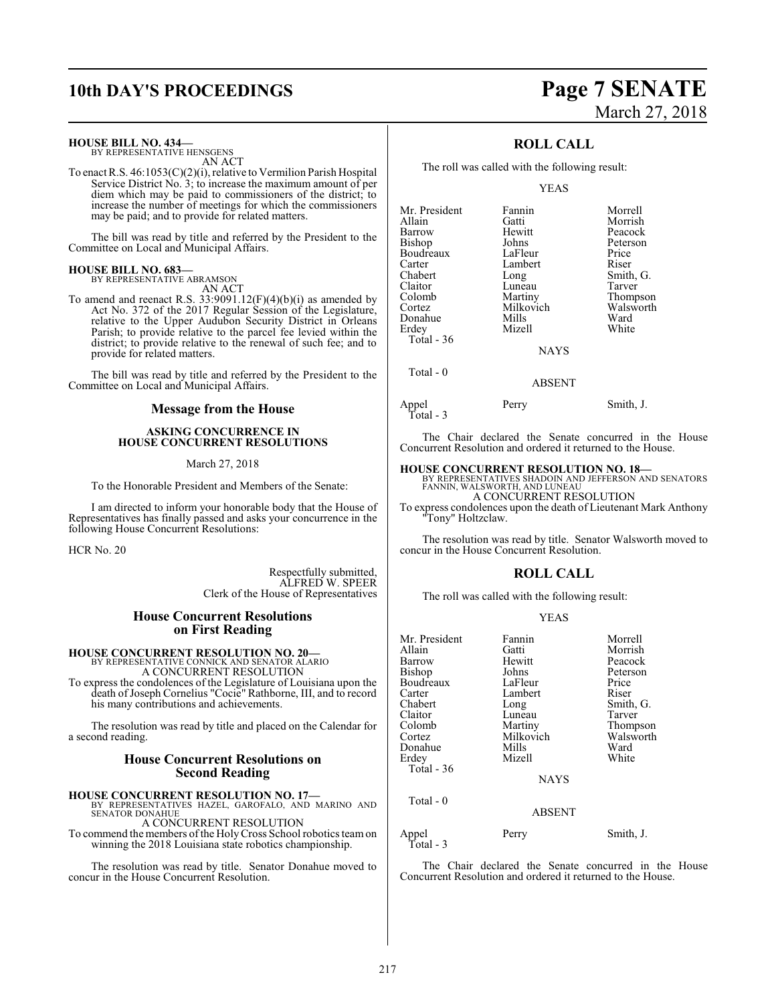## **10th DAY'S PROCEEDINGS Page 7 SENATE**

### **HOUSE BILL NO. 434—**

BY REPRESENTATIVE HENSGENS AN ACT

To enact R.S. 46:1053(C)(2)(i), relative to Vermilion Parish Hospital Service District No. 3; to increase the maximum amount of per diem which may be paid to commissioners of the district; to increase the number of meetings for which the commissioners may be paid; and to provide for related matters.

The bill was read by title and referred by the President to the Committee on Local and Municipal Affairs.

**HOUSE BILL NO. 683—** BY REPRESENTATIVE ABRAMSON

AN ACT

To amend and reenact R.S.  $33:9091.12(F)(4)(b)(i)$  as amended by Act No. 372 of the 2017 Regular Session of the Legislature, relative to the Upper Audubon Security District in Orleans Parish; to provide relative to the parcel fee levied within the district; to provide relative to the renewal of such fee; and to provide for related matters.

The bill was read by title and referred by the President to the Committee on Local and Municipal Affairs.

### **Message from the House**

### **ASKING CONCURRENCE IN HOUSE CONCURRENT RESOLUTIONS**

March 27, 2018

To the Honorable President and Members of the Senate:

I am directed to inform your honorable body that the House of Representatives has finally passed and asks your concurrence in the following House Concurrent Resolutions:

HCR No. 20

Respectfully submitted, ALFRED W. SPEER Clerk of the House of Representatives

### **House Concurrent Resolutions on First Reading**

### **HOUSE CONCURRENT RESOLUTION NO. 20—** BY REPRESENTATIVE CONNICK AND SENATOR ALARIO

A CONCURRENT RESOLUTION

To express the condolences of the Legislature of Louisiana upon the death of Joseph Cornelius "Cocie" Rathborne, III, and to record his many contributions and achievements.

The resolution was read by title and placed on the Calendar for a second reading.

### **House Concurrent Resolutions on Second Reading**

**HOUSE CONCURRENT RESOLUTION NO. 17—** BY REPRESENTATIVES HAZEL, GAROFALO, AND MARINO AND SENATOR DONAHUE

A CONCURRENT RESOLUTION To commend the members of the Holy Cross School robotics team on

winning the 2018 Louisiana state robotics championship.

The resolution was read by title. Senator Donahue moved to concur in the House Concurrent Resolution.

# March 27, 2018

### **ROLL CALL**

The roll was called with the following result:

### YEAS

| Mr. President | Fannin        | Morrell   |
|---------------|---------------|-----------|
| Allain        | Gatti         | Morrish   |
| Barrow        | Hewitt        | Peacock   |
| Bishop        | Johns         | Peterson  |
| Boudreaux     | LaFleur       | Price     |
| Carter        | Lambert       | Riser     |
| Chabert       | Long          | Smith, G. |
| Claitor       | Luneau        | Tarver    |
| Colomb        | Martiny       | Thompson  |
| Cortez        | Milkovich     | Walsworth |
| Donahue       | Mills         | Ward      |
| Erdey         | Mizell        | White     |
| Total - 36    |               |           |
|               | <b>NAYS</b>   |           |
| Total - 0     |               |           |
|               | <b>ABSENT</b> |           |

Appel Perry Smith, J. Total - 3

The Chair declared the Senate concurred in the House Concurrent Resolution and ordered it returned to the House.

**HOUSE CONCURRENT RESOLUTION NO. 18—** BY REPRESENTATIVES SHADOIN AND JEFFERSON AND SENATORS FANNIN, WALSWORTH, AND LUNEAU A CONCURRENT RESOLUTION

To express condolences upon the death of Lieutenant Mark Anthony "Tony" Holtzclaw.

The resolution was read by title. Senator Walsworth moved to concur in the House Concurrent Resolution.

### **ROLL CALL**

The roll was called with the following result:

### YEAS

| Mr. President      | Fannin        | Morrell   |
|--------------------|---------------|-----------|
| Allain             | Gatti         | Morrish   |
| Barrow             | Hewitt        | Peacock   |
| Bishop             | Johns         | Peterson  |
| Boudreaux          | LaFleur       | Price     |
| Carter             | Lambert       | Riser     |
| Chabert            | Long          | Smith, G. |
| Claitor            | Luneau        | Tarver    |
| Colomb             | Martiny       | Thompson  |
| Cortez             | Milkovich     | Walsworth |
| Donahue            | Mills         | Ward      |
| Erdey              | Mizell        | White     |
| Total - 36         |               |           |
|                    | <b>NAYS</b>   |           |
| Total $-0$         |               |           |
|                    | <b>ABSENT</b> |           |
| Appel<br>Total - 3 | Perry         | Smith, J. |

The Chair declared the Senate concurred in the House Concurrent Resolution and ordered it returned to the House.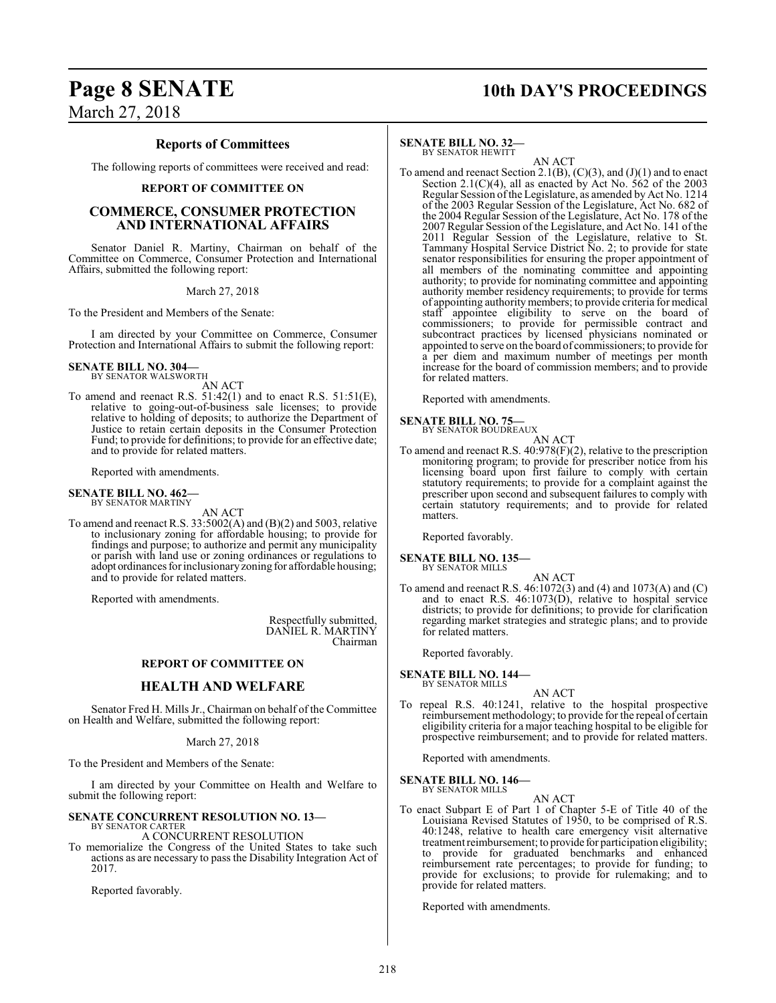## **Page 8 SENATE 10th DAY'S PROCEEDINGS**

March 27, 2018

### **Reports of Committees**

The following reports of committees were received and read:

### **REPORT OF COMMITTEE ON**

### **COMMERCE, CONSUMER PROTECTION AND INTERNATIONAL AFFAIRS**

Senator Daniel R. Martiny, Chairman on behalf of the Committee on Commerce, Consumer Protection and International Affairs, submitted the following report:

March 27, 2018

To the President and Members of the Senate:

I am directed by your Committee on Commerce, Consumer Protection and International Affairs to submit the following report:

### **SENATE BILL NO. 304—** BY SENATOR WALSWORTH

AN ACT

To amend and reenact R.S.  $51:42(1)$  and to enact R.S.  $51:51(E)$ , relative to going-out-of-business sale licenses; to provide relative to holding of deposits; to authorize the Department of Justice to retain certain deposits in the Consumer Protection Fund; to provide for definitions; to provide for an effective date; and to provide for related matters.

Reported with amendments.

#### **SENATE BILL NO. 462—** BY SENATOR MARTINY

AN ACT

To amend and reenact R.S. 33:5002(A) and (B)(2) and 5003, relative to inclusionary zoning for affordable housing; to provide for findings and purpose; to authorize and permit any municipality or parish with land use or zoning ordinances or regulations to adopt ordinances for inclusionary zoning for affordable housing; and to provide for related matters.

Reported with amendments.

Respectfully submitted, DANIEL R. MARTINY Chairman

### **REPORT OF COMMITTEE ON**

### **HEALTH AND WELFARE**

Senator Fred H. Mills Jr., Chairman on behalf of the Committee on Health and Welfare, submitted the following report:

March 27, 2018

To the President and Members of the Senate:

I am directed by your Committee on Health and Welfare to submit the following report:

### **SENATE CONCURRENT RESOLUTION NO. 13—**

#### BY SENATOR CARTER A CONCURRENT RESOLUTION

To memorialize the Congress of the United States to take such actions as are necessary to pass the Disability Integration Act of 2017.

Reported favorably.

### **SENATE BILL NO. 32—**

BY SENATOR HEWITT

AN ACT To amend and reenact Section 2.1(B),  $(C)(3)$ , and  $(J)(1)$  and to enact Section 2.1(C)(4), all as enacted by Act No.  $\frac{262}{ }$  of the 2003 Regular Session of the Legislature, as amended by Act No. 1214 of the 2003 Regular Session of the Legislature, Act No. 682 of the 2004 Regular Session of the Legislature, Act No. 178 of the 2007 Regular Session of the Legislature, and Act No. 141 of the 2011 Regular Session of the Legislature, relative to St. Tammany Hospital Service District No. 2; to provide for state senator responsibilities for ensuring the proper appointment of all members of the nominating committee and appointing authority; to provide for nominating committee and appointing authority member residency requirements; to provide for terms of appointing authority members; to provide criteria for medical staff appointee eligibility to serve on the board of commissioners; to provide for permissible contract and subcontract practices by licensed physicians nominated or appointed to serve on the board of commissioners; to provide for a per diem and maximum number of meetings per month increase for the board of commission members; and to provide for related matters.

Reported with amendments.

### **SENATE BILL NO. 75—**<br>BY SENATOR BOUDREAUX

AN ACT

To amend and reenact R.S. 40:978(F)(2), relative to the prescription monitoring program; to provide for prescriber notice from his licensing board upon first failure to comply with certain statutory requirements; to provide for a complaint against the prescriber upon second and subsequent failures to comply with certain statutory requirements; and to provide for related matters.

Reported favorably.

#### **SENATE BILL NO. 135—** BY SENATOR MILLS

AN ACT To amend and reenact R.S. 46:1072(3) and (4) and 1073(A) and (C) and to enact R.S. 46:1073(D), relative to hospital service districts; to provide for definitions; to provide for clarification regarding market strategies and strategic plans; and to provide for related matters.

Reported favorably.

**SENATE BILL NO. 144—** BY SENATOR MILLS

### AN ACT

To repeal R.S. 40:1241, relative to the hospital prospective reimbursement methodology; to provide for the repeal of certain eligibility criteria for a major teaching hospital to be eligible for prospective reimbursement; and to provide for related matters.

Reported with amendments.

**SENATE BILL NO. 146—** BY SENATOR MILLS

AN ACT

To enact Subpart E of Part 1 of Chapter 5-E of Title 40 of the Louisiana Revised Statutes of 1950, to be comprised of R.S. 40:1248, relative to health care emergency visit alternative treatment reimbursement; to provide for participation eligibility; to provide for graduated benchmarks and enhanced reimbursement rate percentages; to provide for funding; to provide for exclusions; to provide for rulemaking; and to provide for related matters.

Reported with amendments.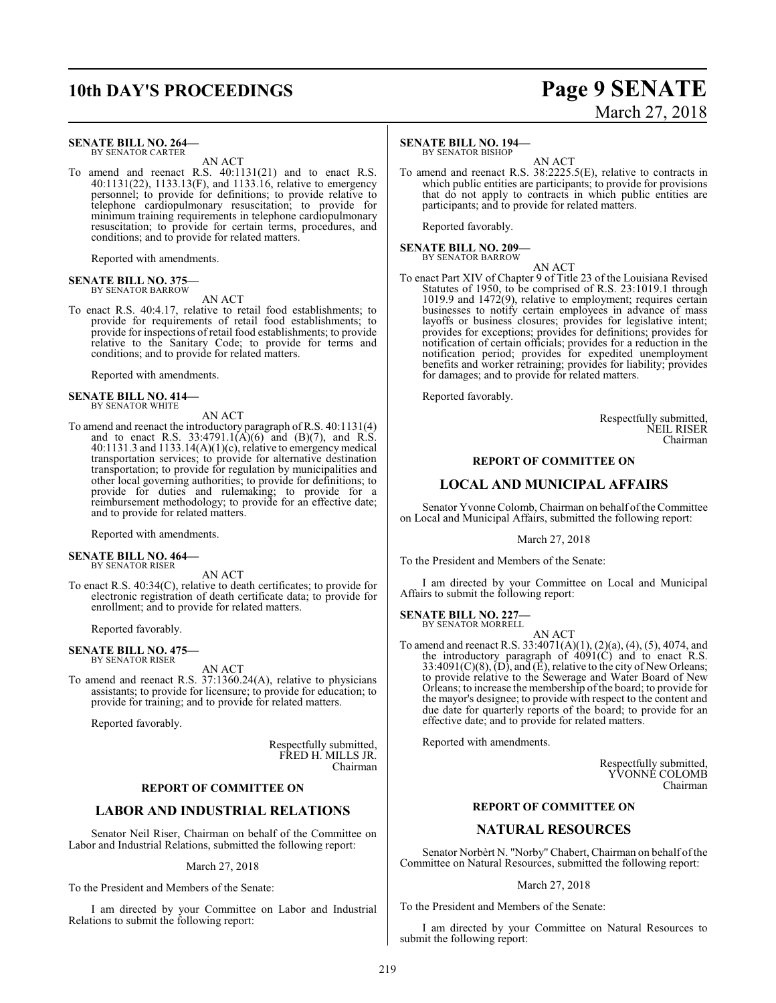## **10th DAY'S PROCEEDINGS Page 9 SENATE**

#### **SENATE BILL NO. 264—** BY SENATOR CARTER

AN ACT

To amend and reenact R.S. 40:1131(21) and to enact R.S. 40:1131(22), 1133.13(F), and 1133.16, relative to emergency personnel; to provide for definitions; to provide relative to telephone cardiopulmonary resuscitation; to provide for minimum training requirements in telephone cardiopulmonary resuscitation; to provide for certain terms, procedures, and conditions; and to provide for related matters.

Reported with amendments.

#### **SENATE BILL NO. 375** BY SENATOR BARROW

### AN ACT

To enact R.S. 40:4.17, relative to retail food establishments; to provide for requirements of retail food establishments; to provide for inspections of retail food establishments; to provide relative to the Sanitary Code; to provide for terms and conditions; and to provide for related matters.

Reported with amendments.

#### **SENATE BILL NO. 414—** BY SENATOR WHITE

AN ACT

To amend and reenact the introductory paragraph of R.S. 40:1131(4) and to enact R.S. 33:4791.1(A)(6) and (B)(7), and R.S. 40:1131.3 and 1133.14(A)(1)(c), relative to emergency medical transportation services; to provide for alternative destination transportation; to provide for regulation by municipalities and other local governing authorities; to provide for definitions; to provide for duties and rulemaking; to provide for a reimbursement methodology; to provide for an effective date; and to provide for related matters.

Reported with amendments.

### **SENATE BILL NO. 464—** BY SENATOR RISER

AN ACT

To enact R.S. 40:34(C), relative to death certificates; to provide for electronic registration of death certificate data; to provide for enrollment; and to provide for related matters.

Reported favorably.

#### **SENATE BILL NO. 475—** BY SENATOR RISER

AN ACT

To amend and reenact R.S. 37:1360.24(A), relative to physicians assistants; to provide for licensure; to provide for education; to provide for training; and to provide for related matters.

Reported favorably.

Respectfully submitted, FRED H. MILLS JR. Chairman

### **REPORT OF COMMITTEE ON**

### **LABOR AND INDUSTRIAL RELATIONS**

Senator Neil Riser, Chairman on behalf of the Committee on Labor and Industrial Relations, submitted the following report:

March 27, 2018

To the President and Members of the Senate:

I am directed by your Committee on Labor and Industrial Relations to submit the following report:

### **SENATE BILL NO. 194—**

BY SENATOR BISHOP

AN ACT To amend and reenact R.S. 38:2225.5(E), relative to contracts in which public entities are participants; to provide for provisions that do not apply to contracts in which public entities are participants; and to provide for related matters.

Reported favorably.

**SENATE BILL NO. 209—** BY SENATOR BARROW

AN ACT

To enact Part XIV of Chapter 9 of Title 23 of the Louisiana Revised Statutes of 1950, to be comprised of R.S. 23:1019.1 through 1019.9 and 1472(9), relative to employment; requires certain businesses to notify certain employees in advance of mass layoffs or business closures; provides for legislative intent; provides for exceptions; provides for definitions; provides for notification of certain officials; provides for a reduction in the notification period; provides for expedited unemployment benefits and worker retraining; provides for liability; provides for damages; and to provide for related matters.

Reported favorably.

Respectfully submitted, NEIL RISER Chairman

### **REPORT OF COMMITTEE ON**

### **LOCAL AND MUNICIPAL AFFAIRS**

Senator Yvonne Colomb, Chairman on behalf of the Committee on Local and Municipal Affairs, submitted the following report:

March 27, 2018

To the President and Members of the Senate:

I am directed by your Committee on Local and Municipal Affairs to submit the following report:

#### **SENATE BILL NO. 227—** BY SENATOR MORRELL

AN ACT

To amend and reenact R.S. 33:4071(A)(1), (2)(a), (4), (5), 4074, and the introductory paragraph of  $4091(C)$  and to enact R.S. 33:4091(C)(8), (D), and (E), relative to the city of New Orleans; to provide relative to the Sewerage and Water Board of New Orleans; to increase the membership of the board; to provide for the mayor's designee; to provide with respect to the content and due date for quarterly reports of the board; to provide for an effective date; and to provide for related matters.

Reported with amendments.

Respectfully submitted, YVONNE COLOMB Chairman

### **REPORT OF COMMITTEE ON**

### **NATURAL RESOURCES**

Senator Norbèrt N. "Norby" Chabert, Chairman on behalf of the Committee on Natural Resources, submitted the following report:

### March 27, 2018

To the President and Members of the Senate:

I am directed by your Committee on Natural Resources to submit the following report: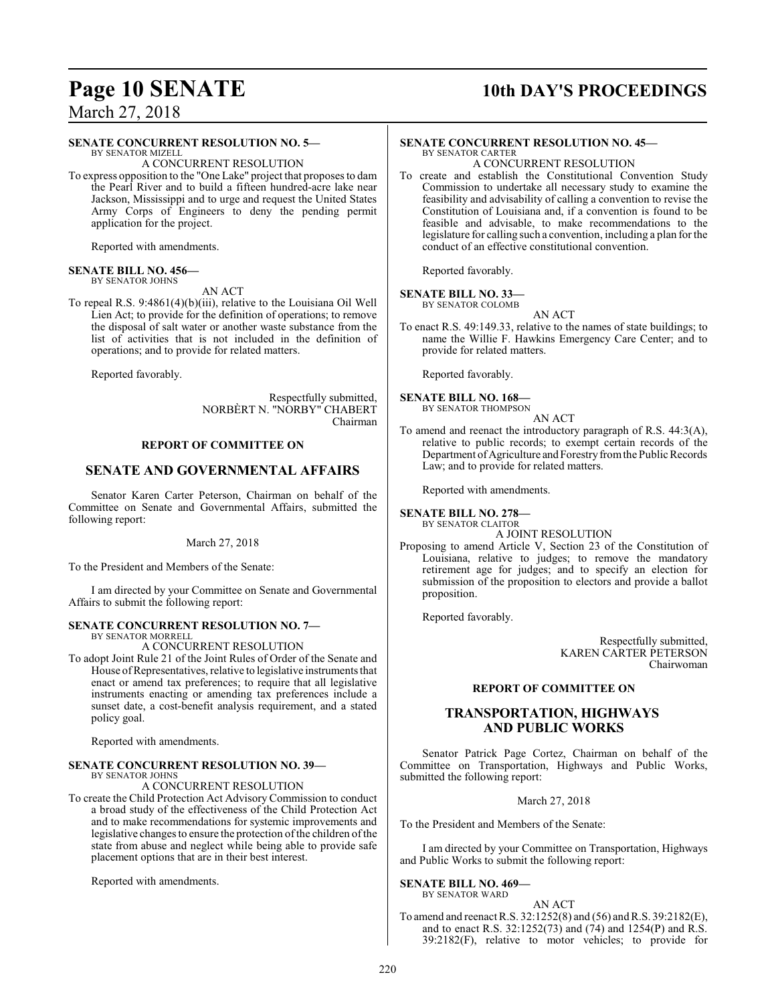### **Page 10 SENATE** 10th DAY'S PROCEEDINGS

March 27, 2018

### **SENATE CONCURRENT RESOLUTION NO. 5—**

BY SENATOR MIZELL A CONCURRENT RESOLUTION

To express opposition to the "One Lake" project that proposes to dam the Pearl River and to build a fifteen hundred-acre lake near Jackson, Mississippi and to urge and request the United States Army Corps of Engineers to deny the pending permit application for the project.

Reported with amendments.

#### **SENATE BILL NO. 456—** BY SENATOR JOHNS

AN ACT

To repeal R.S. 9:4861(4)(b)(iii), relative to the Louisiana Oil Well Lien Act; to provide for the definition of operations; to remove the disposal of salt water or another waste substance from the list of activities that is not included in the definition of operations; and to provide for related matters.

Reported favorably.

Respectfully submitted, NORBÈRT N. "NORBY" CHABERT Chairman

### **REPORT OF COMMITTEE ON**

### **SENATE AND GOVERNMENTAL AFFAIRS**

Senator Karen Carter Peterson, Chairman on behalf of the Committee on Senate and Governmental Affairs, submitted the following report:

### March 27, 2018

To the President and Members of the Senate:

I am directed by your Committee on Senate and Governmental Affairs to submit the following report:

### **SENATE CONCURRENT RESOLUTION NO. 7—** BY SENATOR MORRELL

A CONCURRENT RESOLUTION

To adopt Joint Rule 21 of the Joint Rules of Order of the Senate and House ofRepresentatives, relative to legislative instruments that enact or amend tax preferences; to require that all legislative instruments enacting or amending tax preferences include a sunset date, a cost-benefit analysis requirement, and a stated policy goal.

Reported with amendments.

#### **SENATE CONCURRENT RESOLUTION NO. 39—** BY SENATOR JOHNS

A CONCURRENT RESOLUTION

To create the Child Protection Act Advisory Commission to conduct a broad study of the effectiveness of the Child Protection Act and to make recommendations for systemic improvements and legislative changes to ensure the protection of the children of the state from abuse and neglect while being able to provide safe placement options that are in their best interest.

Reported with amendments.

#### **SENATE CONCURRENT RESOLUTION NO. 45—** BY SENATOR CARTER

A CONCURRENT RESOLUTION

To create and establish the Constitutional Convention Study Commission to undertake all necessary study to examine the feasibility and advisability of calling a convention to revise the Constitution of Louisiana and, if a convention is found to be feasible and advisable, to make recommendations to the legislature for calling such a convention, including a plan for the conduct of an effective constitutional convention.

Reported favorably.

### **SENATE BILL NO. 33—**

BY SENATOR COLOMB AN ACT

To enact R.S. 49:149.33, relative to the names of state buildings; to name the Willie F. Hawkins Emergency Care Center; and to provide for related matters.

Reported favorably.

**SENATE BILL NO. 168—** BY SENATOR THOMPSON

AN ACT

To amend and reenact the introductory paragraph of R.S. 44:3(A), relative to public records; to exempt certain records of the Department of Agriculture and Forestry from the Public Records Law; and to provide for related matters.

Reported with amendments.

**SENATE BILL NO. 278—**

BY SENATOR CLAITOR A JOINT RESOLUTION

Proposing to amend Article V, Section 23 of the Constitution of Louisiana, relative to judges; to remove the mandatory retirement age for judges; and to specify an election for submission of the proposition to electors and provide a ballot proposition.

Reported favorably.

Respectfully submitted, KAREN CARTER PETERSON Chairwoman

### **REPORT OF COMMITTEE ON**

### **TRANSPORTATION, HIGHWAYS AND PUBLIC WORKS**

Senator Patrick Page Cortez, Chairman on behalf of the Committee on Transportation, Highways and Public Works, submitted the following report:

March 27, 2018

To the President and Members of the Senate:

I am directed by your Committee on Transportation, Highways and Public Works to submit the following report:

#### **SENATE BILL NO. 469—** BY SENATOR WARD

AN ACT

To amend and reenact R.S. 32:1252(8) and (56) and R.S. 39:2182(E), and to enact R.S. 32:1252(73) and (74) and 1254(P) and R.S. 39:2182(F), relative to motor vehicles; to provide for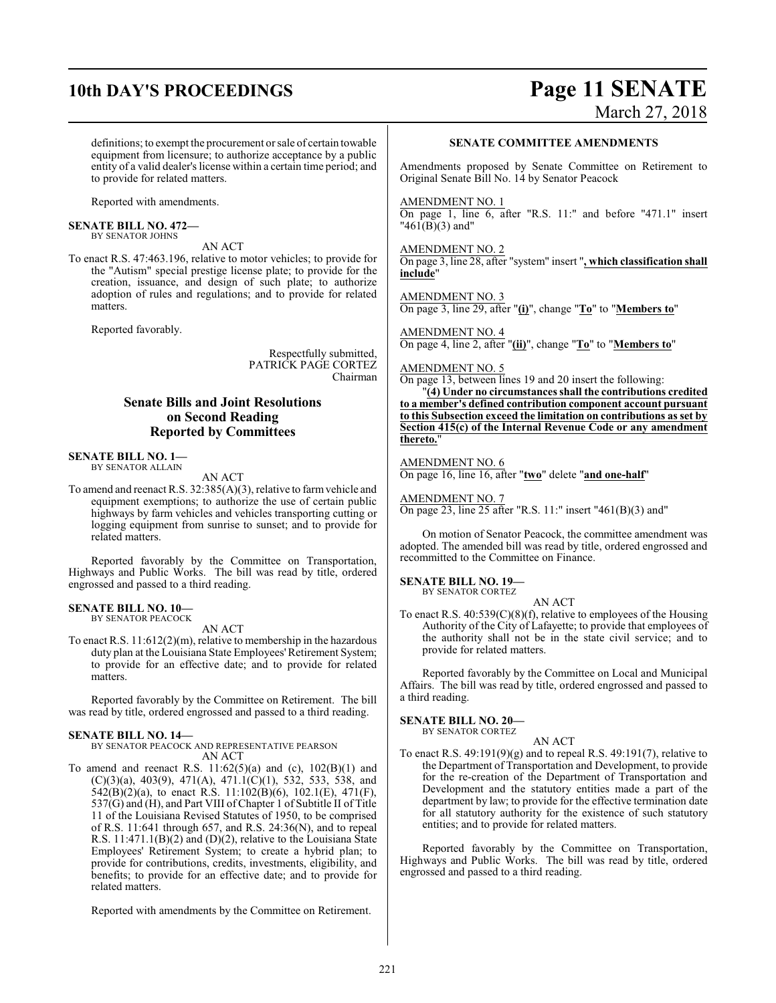### **10th DAY'S PROCEEDINGS Page 11 SENATE**

# March 27, 2018

definitions; to exempt the procurement or sale of certain towable equipment from licensure; to authorize acceptance by a public entity of a valid dealer's license within a certain time period; and to provide for related matters.

Reported with amendments.

#### **SENATE BILL NO. 472—** BY SENATOR JOHNS

To enact R.S. 47:463.196, relative to motor vehicles; to provide for the "Autism" special prestige license plate; to provide for the creation, issuance, and design of such plate; to authorize adoption of rules and regulations; and to provide for related matters.

AN ACT

Reported favorably.

Respectfully submitted, PATRICK PAGE CORTEZ Chairman

### **Senate Bills and Joint Resolutions on Second Reading Reported by Committees**

### **SENATE BILL NO. 1—**

BY SENATOR ALLAIN

AN ACT

To amend and reenact R.S. 32:385(A)(3), relative to farmvehicle and equipment exemptions; to authorize the use of certain public highways by farm vehicles and vehicles transporting cutting or logging equipment from sunrise to sunset; and to provide for related matters.

Reported favorably by the Committee on Transportation, Highways and Public Works. The bill was read by title, ordered engrossed and passed to a third reading.

#### **SENATE BILL NO. 10—** BY SENATOR PEACOCK

AN ACT

To enact R.S. 11:612(2)(m), relative to membership in the hazardous duty plan at the Louisiana State Employees'Retirement System; to provide for an effective date; and to provide for related matters.

Reported favorably by the Committee on Retirement. The bill was read by title, ordered engrossed and passed to a third reading.

### **SENATE BILL NO. 14—**

BY SENATOR PEACOCK AND REPRESENTATIVE PEARSON AN ACT

To amend and reenact R.S.  $11:62(5)(a)$  and (c),  $102(B)(1)$  and (C)(3)(a), 403(9), 471(A), 471.1(C)(1), 532, 533, 538, and  $542(B)(2)(a)$ , to enact R.S. 11:102(B)(6), 102.1(E), 471(F), 537(G) and (H), and Part VIII of Chapter 1 of Subtitle II of Title 11 of the Louisiana Revised Statutes of 1950, to be comprised of R.S. 11:641 through 657, and R.S. 24:36(N), and to repeal R.S. 11:471.1(B)(2) and (D)(2), relative to the Louisiana State Employees' Retirement System; to create a hybrid plan; to provide for contributions, credits, investments, eligibility, and benefits; to provide for an effective date; and to provide for related matters.

Reported with amendments by the Committee on Retirement.

### **SENATE COMMITTEE AMENDMENTS**

Amendments proposed by Senate Committee on Retirement to Original Senate Bill No. 14 by Senator Peacock

### AMENDMENT NO. 1

On page 1, line 6, after "R.S. 11:" and before "471.1" insert "461(B)(3) and"

### AMENDMENT NO. 2

On page 3, line 28, after "system" insert "**, which classification shall include**"

AMENDMENT NO. 3 On page 3, line 29, after "**(i)**", change "**To**" to "**Members to**"

AMENDMENT NO. 4 On page 4, line 2, after "**(ii)**", change "**To**" to "**Members to**"

### AMENDMENT NO. 5

On page 13, between lines 19 and 20 insert the following:

"**(4) Under no circumstances shall the contributions credited to a member's defined contribution component account pursuant to this Subsection exceed the limitation on contributions as set by Section 415(c) of the Internal Revenue Code or any amendment thereto.**"

### AMENDMENT NO. 6

On page 16, line 16, after "**two**" delete "**and one-half**"

AMENDMENT NO. 7

On page 23, line 25 after "R.S. 11:" insert "461(B)(3) and"

On motion of Senator Peacock, the committee amendment was adopted. The amended bill was read by title, ordered engrossed and recommitted to the Committee on Finance.

#### **SENATE BILL NO. 19—** BY SENATOR CORTEZ

AN ACT

To enact R.S.  $40:539(C)(8)(f)$ , relative to employees of the Housing Authority of the City of Lafayette; to provide that employees of the authority shall not be in the state civil service; and to provide for related matters.

Reported favorably by the Committee on Local and Municipal Affairs. The bill was read by title, ordered engrossed and passed to a third reading.

### **SENATE BILL NO. 20—**

BY SENATOR CORTEZ

- AN ACT
- To enact R.S. 49:191(9)(g) and to repeal R.S. 49:191(7), relative to the Department of Transportation and Development, to provide for the re-creation of the Department of Transportation and Development and the statutory entities made a part of the department by law; to provide for the effective termination date for all statutory authority for the existence of such statutory entities; and to provide for related matters.

Reported favorably by the Committee on Transportation, Highways and Public Works. The bill was read by title, ordered engrossed and passed to a third reading.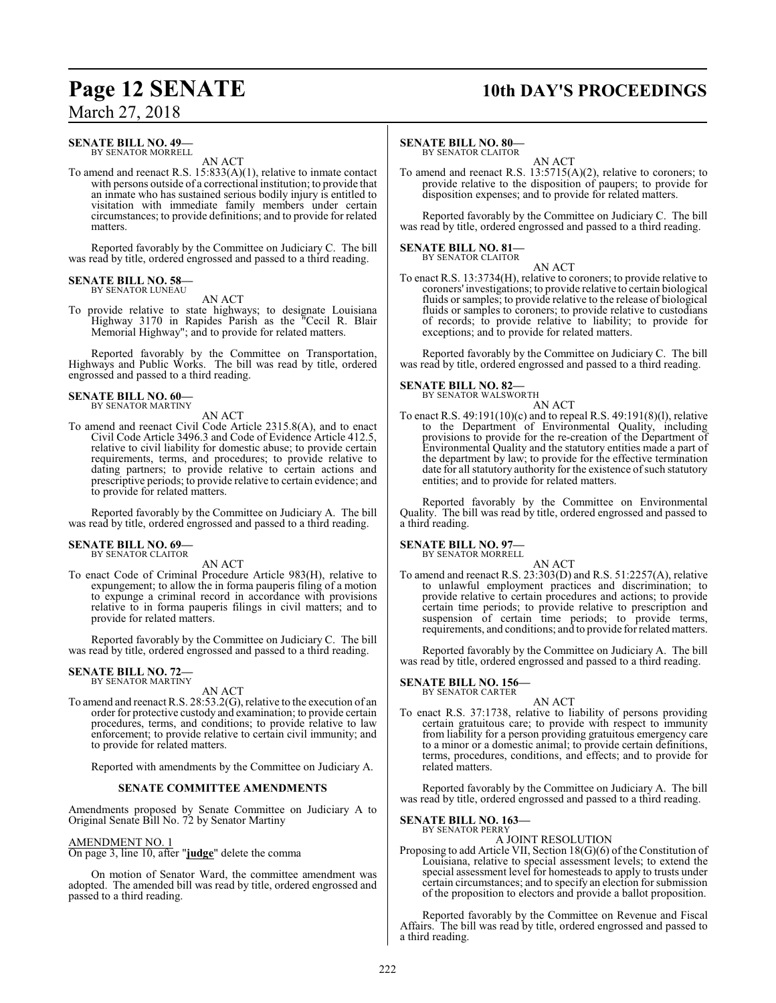#### **SENATE BILL NO. 49—** BY SENATOR MORRELL

AN ACT

To amend and reenact R.S. 15:833(A)(1), relative to inmate contact with persons outside of a correctional institution; to provide that an inmate who has sustained serious bodily injury is entitled to visitation with immediate family members under certain circumstances; to provide definitions; and to provide for related matters.

Reported favorably by the Committee on Judiciary C. The bill was read by title, ordered engrossed and passed to a third reading.

#### **SENATE BILL NO. 58—** BY SENATOR LUNEAU

### AN ACT

To provide relative to state highways; to designate Louisiana Highway 3170 in Rapides Parish as the "Cecil R. Blair Memorial Highway"; and to provide for related matters.

Reported favorably by the Committee on Transportation, Highways and Public Works. The bill was read by title, ordered engrossed and passed to a third reading.

### **SENATE BILL NO. 60—** BY SENATOR MARTINY

AN ACT To amend and reenact Civil Code Article 2315.8(A), and to enact Civil Code Article 3496.3 and Code of Evidence Article 412.5, relative to civil liability for domestic abuse; to provide certain requirements, terms, and procedures; to provide relative to dating partners; to provide relative to certain actions and prescriptive periods; to provide relative to certain evidence; and to provide for related matters.

Reported favorably by the Committee on Judiciary A. The bill was read by title, ordered engrossed and passed to a third reading.

#### **SENATE BILL NO. 69—** BY SENATOR CLAITOR

AN ACT

To enact Code of Criminal Procedure Article 983(H), relative to expungement; to allow the in forma pauperis filing of a motion to expunge a criminal record in accordance with provisions relative to in forma pauperis filings in civil matters; and to provide for related matters.

Reported favorably by the Committee on Judiciary C. The bill was read by title, ordered engrossed and passed to a third reading.

#### **SENATE BILL NO. 72—** BY SENATOR MARTINY

AN ACT

To amend and reenact R.S. 28:53.2(G), relative to the execution of an order for protective custody and examination; to provide certain procedures, terms, and conditions; to provide relative to law enforcement; to provide relative to certain civil immunity; and to provide for related matters.

Reported with amendments by the Committee on Judiciary A.

### **SENATE COMMITTEE AMENDMENTS**

Amendments proposed by Senate Committee on Judiciary A to Original Senate Bill No. 72 by Senator Martiny

### AMENDMENT NO. 1

On page 3, line 10, after "**judge**" delete the comma

On motion of Senator Ward, the committee amendment was adopted. The amended bill was read by title, ordered engrossed and passed to a third reading.

### **Page 12 SENATE 10th DAY'S PROCEEDINGS**

### **SENATE BILL NO. 80—**

BY SENATOR CLAITOR

AN ACT To amend and reenact R.S. 13:5715(A)(2), relative to coroners; to provide relative to the disposition of paupers; to provide for disposition expenses; and to provide for related matters.

Reported favorably by the Committee on Judiciary C. The bill was read by title, ordered engrossed and passed to a third reading.

## **SENATE BILL NO. 81—** BY SENATOR CLAITOR

AN ACT

To enact R.S. 13:3734(H), relative to coroners; to provide relative to coroners' investigations; to provide relative to certain biological fluids or samples; to provide relative to the release of biological fluids or samples to coroners; to provide relative to custodians of records; to provide relative to liability; to provide for exceptions; and to provide for related matters.

Reported favorably by the Committee on Judiciary C. The bill was read by title, ordered engrossed and passed to a third reading.

### **SENATE BILL NO. 82—**<br>BY SENATOR WALSWORTH

AN ACT

To enact R.S. 49:191(10)(c) and to repeal R.S. 49:191(8)(l), relative to the Department of Environmental Quality, including provisions to provide for the re-creation of the Department of Environmental Quality and the statutory entities made a part of the department by law; to provide for the effective termination date for all statutory authority for the existence of such statutory entities; and to provide for related matters.

Reported favorably by the Committee on Environmental Quality. The bill was read by title, ordered engrossed and passed to a third reading.

### **SENATE BILL NO. 97—**

BY SENATOR MORRELL

AN ACT To amend and reenact R.S. 23:303(D) and R.S. 51:2257(A), relative to unlawful employment practices and discrimination; to provide relative to certain procedures and actions; to provide certain time periods; to provide relative to prescription and suspension of certain time periods; to provide terms, requirements, and conditions; and to provide for related matters.

Reported favorably by the Committee on Judiciary A. The bill was read by title, ordered engrossed and passed to a third reading.

### **SENATE BILL NO. 156—** BY SENATOR CARTER

AN ACT To enact R.S. 37:1738, relative to liability of persons providing certain gratuitous care; to provide with respect to immunity from liability for a person providing gratuitous emergency care to a minor or a domestic animal; to provide certain definitions, terms, procedures, conditions, and effects; and to provide for related matters.

Reported favorably by the Committee on Judiciary A. The bill was read by title, ordered engrossed and passed to a third reading.

### **SENATE BILL NO. 163—** BY SENATOR PERRY

### A JOINT RESOLUTION

Proposing to add Article VII, Section 18(G)(6) of the Constitution of Louisiana, relative to special assessment levels; to extend the special assessment level for homesteads to apply to trusts under certain circumstances; and to specify an election for submission of the proposition to electors and provide a ballot proposition.

Reported favorably by the Committee on Revenue and Fiscal Affairs. The bill was read by title, ordered engrossed and passed to a third reading.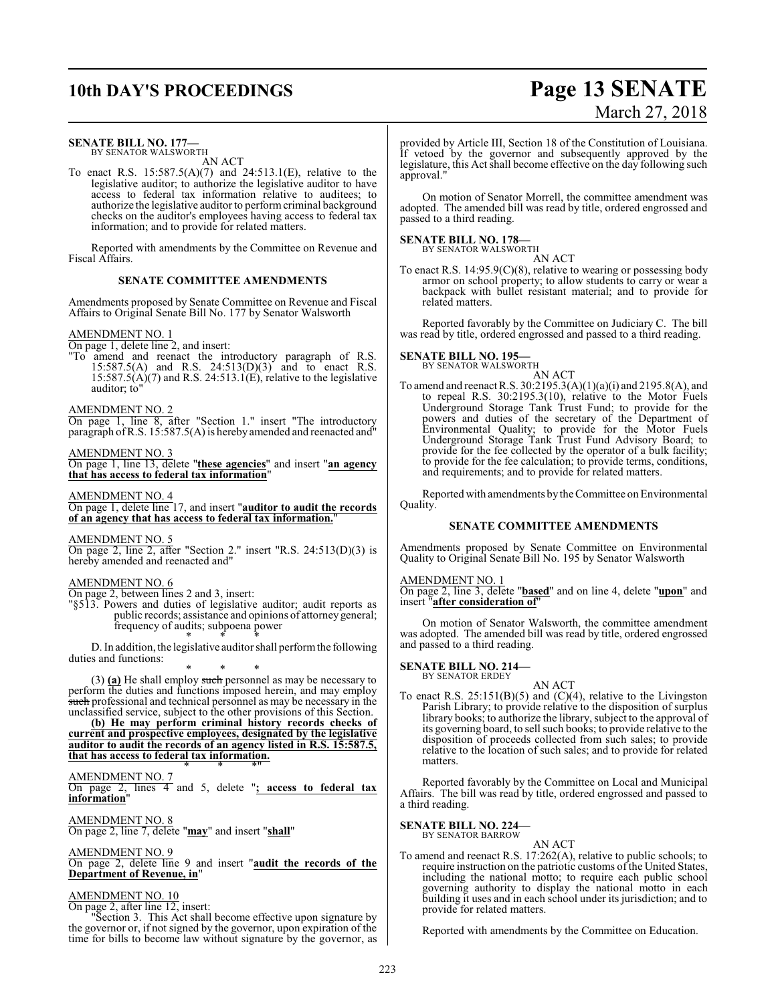## **10th DAY'S PROCEEDINGS Page 13 SENATE**

# March 27, 2018

#### **SENATE BILL NO. 177—** BY SENATOR WALSWORTH

AN ACT

To enact R.S. 15:587.5(A)(7) and 24:513.1(E), relative to the legislative auditor; to authorize the legislative auditor to have access to federal tax information relative to auditees; to authorize the legislative auditor to performcriminal background checks on the auditor's employees having access to federal tax information; and to provide for related matters.

Reported with amendments by the Committee on Revenue and Fiscal Affairs.

### **SENATE COMMITTEE AMENDMENTS**

Amendments proposed by Senate Committee on Revenue and Fiscal Affairs to Original Senate Bill No. 177 by Senator Walsworth

### AMENDMENT NO. 1

On page 1, delete line 2, and insert:

"To amend and reenact the introductory paragraph of R.S. 15:587.5(A) and R.S. 24:513(D)(3) and to enact R.S.  $15:587.5(A)(7)$  and R.S. 24:513.1(E), relative to the legislative auditor; to"

### AMENDMENT NO. 2

On page 1, line 8, after "Section 1." insert "The introductory paragraph ofR.S. 15:587.5(A) is hereby amended and reenacted and"

### AMENDMENT NO. 3

On page 1, line 13, delete "**these agencies**" and insert "**an agency that has access to federal tax information**"

### AMENDMENT NO. 4

On page 1, delete line 17, and insert "**auditor to audit the records of an agency that has access to federal tax information.**"

### AMENDMENT NO. 5

On page 2, line 2, after "Section 2." insert "R.S. 24:513(D)(3) is hereby amended and reenacted and"

### AMENDMENT NO. 6

On page 2, between lines 2 and 3, insert:

"§513. Powers and duties of legislative auditor; audit reports as public records; assistance and opinions of attorneygeneral; frequency of audits; subpoena power \* \* \*

D. In addition, the legislative auditor shall performthe following duties and functions:

\* \* \* (3) **(a)** He shall employ such personnel as may be necessary to perform the duties and functions imposed herein, and may employ such professional and technical personnel as may be necessary in the unclassified service, subject to the other provisions of this Section.

**(b) He may perform criminal history records checks of current and prospective employees, designated by the legislative auditor to audit the records of an agency listed in R.S. 15:587.5, that has access to federal tax information.** \* \* \*"

AMENDMENT NO. 7

On page 2, lines 4 and 5, delete "**; access to federal tax information**"

AMENDMENT NO. 8

### On page 2, line 7, delete "**may**" and insert "**shall**"

### AMENDMENT NO. 9

On page 2, delete line 9 and insert "**audit the records of the Department of Revenue, in**"

### AMENDMENT NO. 10

On page 2, after line 12, insert:

"Section 3. This Act shall become effective upon signature by the governor or, if not signed by the governor, upon expiration of the time for bills to become law without signature by the governor, as provided by Article III, Section 18 of the Constitution of Louisiana. If vetoed by the governor and subsequently approved by the legislature, this Act shall become effective on the day following such approval."

On motion of Senator Morrell, the committee amendment was adopted. The amended bill was read by title, ordered engrossed and passed to a third reading.

#### **SENATE BILL NO. 178—** BY SENATOR WALSWORTH

AN ACT

To enact R.S. 14:95.9(C)(8), relative to wearing or possessing body armor on school property; to allow students to carry or wear a backpack with bullet resistant material; and to provide for related matters.

Reported favorably by the Committee on Judiciary C. The bill was read by title, ordered engrossed and passed to a third reading.

## **SENATE BILL NO. 195—**<br>BY SENATOR WALSWORTH

AN ACT

To amend and reenact R.S. 30:2195.3(A)(1)(a)(i) and 2195.8(A), and to repeal R.S. 30:2195.3(10), relative to the Motor Fuels Underground Storage Tank Trust Fund; to provide for the powers and duties of the secretary of the Department of Environmental Quality; to provide for the Motor Fuels Underground Storage Tank Trust Fund Advisory Board; to provide for the fee collected by the operator of a bulk facility; to provide for the fee calculation; to provide terms, conditions, and requirements; and to provide for related matters.

Reported with amendments by the Committee on Environmental Quality.

### **SENATE COMMITTEE AMENDMENTS**

Amendments proposed by Senate Committee on Environmental Quality to Original Senate Bill No. 195 by Senator Walsworth

AMENDMENT NO. 1

On page 2, line 3, delete "**based**" and on line 4, delete "**upon**" and insert "**after consideration of**"

On motion of Senator Walsworth, the committee amendment was adopted. The amended bill was read by title, ordered engrossed and passed to a third reading.

### **SENATE BILL NO. 214—** BY SENATOR ERDEY

AN ACT To enact R.S.  $25:151(B)(5)$  and  $(C)(4)$ , relative to the Livingston Parish Library; to provide relative to the disposition of surplus library books; to authorize the library, subject to the approval of its governing board, to sell such books; to provide relative to the disposition of proceeds collected from such sales; to provide relative to the location of such sales; and to provide for related matters.

Reported favorably by the Committee on Local and Municipal Affairs. The bill was read by title, ordered engrossed and passed to a third reading.

#### **SENATE BILL NO. 224—** BY SENATOR BARROW

AN ACT

To amend and reenact R.S. 17:262(A), relative to public schools; to require instruction on the patriotic customs of the United States, including the national motto; to require each public school governing authority to display the national motto in each building it uses and in each school under its jurisdiction; and to provide for related matters.

Reported with amendments by the Committee on Education.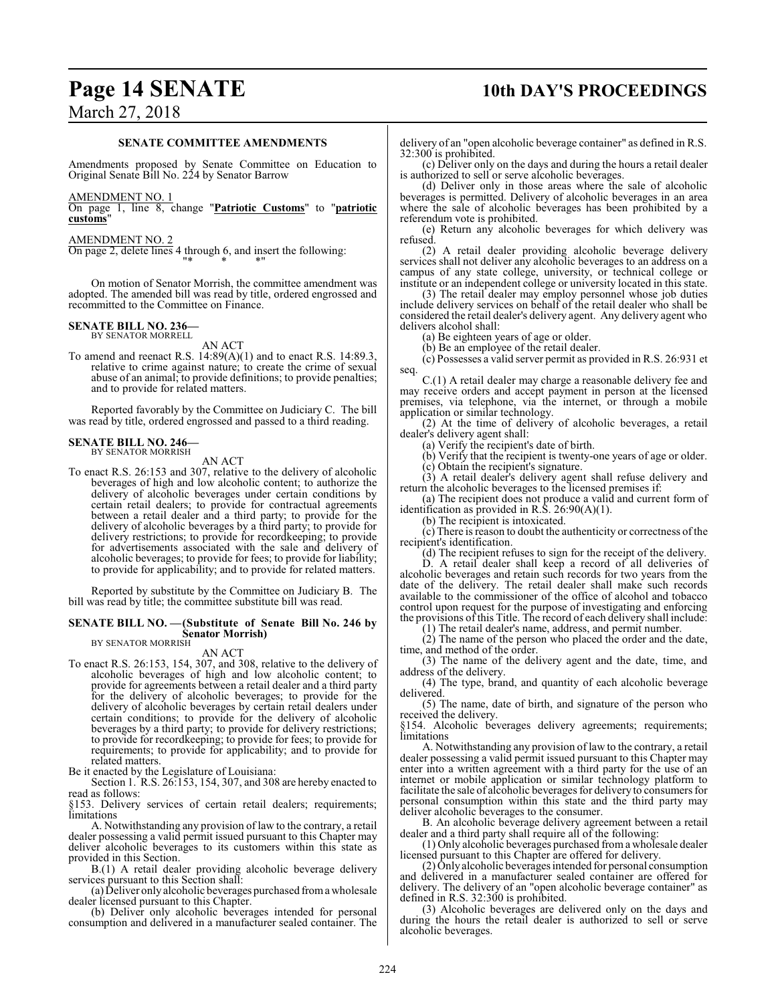## **Page 14 SENATE 10th DAY'S PROCEEDINGS**

### March 27, 2018

### **SENATE COMMITTEE AMENDMENTS**

Amendments proposed by Senate Committee on Education to Original Senate Bill No. 224 by Senator Barrow

### AMENDMENT NO. 1

On page 1, line 8, change "**Patriotic Customs**" to "**patriotic customs**"

### AMENDMENT NO. 2

On page 2, delete lines 4 through 6, and insert the following: "\* \* \*"

On motion of Senator Morrish, the committee amendment was adopted. The amended bill was read by title, ordered engrossed and recommitted to the Committee on Finance.

### **SENATE BILL NO. 236—**

BY SENATOR MORRELL

AN ACT To amend and reenact R.S.  $14:89(A)(1)$  and to enact R.S.  $14:89.3$ , relative to crime against nature; to create the crime of sexual abuse of an animal; to provide definitions; to provide penalties; and to provide for related matters.

Reported favorably by the Committee on Judiciary C. The bill was read by title, ordered engrossed and passed to a third reading.

### **SENATE BILL NO. 246—** BY SENATOR MORRISH

AN ACT

To enact R.S. 26:153 and 307, relative to the delivery of alcoholic beverages of high and low alcoholic content; to authorize the delivery of alcoholic beverages under certain conditions by certain retail dealers; to provide for contractual agreements between a retail dealer and a third party; to provide for the delivery of alcoholic beverages by a third party; to provide for delivery restrictions; to provide for recordkeeping; to provide for advertisements associated with the sale and delivery of alcoholic beverages; to provide for fees; to provide for liability; to provide for applicability; and to provide for related matters.

Reported by substitute by the Committee on Judiciary B. The bill was read by title; the committee substitute bill was read.

### **SENATE BILL NO. —(Substitute of Senate Bill No. 246 by Senator Morrish)** BY SENATOR MORRISH

### AN ACT

To enact R.S. 26:153, 154, 307, and 308, relative to the delivery of alcoholic beverages of high and low alcoholic content; to provide for agreements between a retail dealer and a third party for the delivery of alcoholic beverages; to provide for the delivery of alcoholic beverages by certain retail dealers under certain conditions; to provide for the delivery of alcoholic beverages by a third party; to provide for delivery restrictions; to provide for recordkeeping; to provide for fees; to provide for requirements; to provide for applicability; and to provide for related matters.

Be it enacted by the Legislature of Louisiana:

Section 1. R.S. 26:153, 154, 307, and 308 are hereby enacted to read as follows:

§153. Delivery services of certain retail dealers; requirements; limitations

A. Notwithstanding any provision of law to the contrary, a retail dealer possessing a valid permit issued pursuant to this Chapter may deliver alcoholic beverages to its customers within this state as provided in this Section.

B.(1) A retail dealer providing alcoholic beverage delivery services pursuant to this Section shall:

(a) Deliver only alcoholic beverages purchased froma wholesale dealer licensed pursuant to this Chapter.

(b) Deliver only alcoholic beverages intended for personal consumption and delivered in a manufacturer sealed container. The delivery of an "open alcoholic beverage container" as defined in R.S. 32:300 is prohibited.

(c) Deliver only on the days and during the hours a retail dealer is authorized to sell or serve alcoholic beverages.

(d) Deliver only in those areas where the sale of alcoholic beverages is permitted. Delivery of alcoholic beverages in an area where the sale of alcoholic beverages has been prohibited by a referendum vote is prohibited.

(e) Return any alcoholic beverages for which delivery was refused.

(2) A retail dealer providing alcoholic beverage delivery services shall not deliver any alcoholic beverages to an address on a campus of any state college, university, or technical college or institute or an independent college or university located in this state.

(3) The retail dealer may employ personnel whose job duties include delivery services on behalf of the retail dealer who shall be considered the retail dealer's delivery agent. Any delivery agent who delivers alcohol shall:

(a) Be eighteen years of age or older.

(b) Be an employee of the retail dealer.

(c) Possesses a valid server permit as provided in R.S. 26:931 et seq.

C.(1) A retail dealer may charge a reasonable delivery fee and may receive orders and accept payment in person at the licensed premises, via telephone, via the internet, or through a mobile application or similar technology.

(2) At the time of delivery of alcoholic beverages, a retail dealer's delivery agent shall:

(a) Verify the recipient's date of birth.

(b) Verify that the recipient is twenty-one years of age or older. (c) Obtain the recipient's signature.

(3) A retail dealer's delivery agent shall refuse delivery and return the alcoholic beverages to the licensed premises if:

(a) The recipient does not produce a valid and current form of identification as provided in R.S. 26:90(A)(1).

(b) The recipient is intoxicated.

 $(c)$  There is reason to doubt the authenticity or correctness of the recipient's identification.

(d) The recipient refuses to sign for the receipt of the delivery. D. A retail dealer shall keep a record of all deliveries of

alcoholic beverages and retain such records for two years from the date of the delivery. The retail dealer shall make such records available to the commissioner of the office of alcohol and tobacco control upon request for the purpose of investigating and enforcing the provisions of this Title. The record of each delivery shall include:

(1) The retail dealer's name, address, and permit number.

(2) The name of the person who placed the order and the date, time, and method of the order.

(3) The name of the delivery agent and the date, time, and address of the delivery.

(4) The type, brand, and quantity of each alcoholic beverage delivered.

(5) The name, date of birth, and signature of the person who received the delivery.

§154. Alcoholic beverages delivery agreements; requirements; limitations

A. Notwithstanding any provision of law to the contrary, a retail dealer possessing a valid permit issued pursuant to this Chapter may enter into a written agreement with a third party for the use of an internet or mobile application or similar technology platform to facilitate the sale of alcoholic beverages for delivery to consumers for personal consumption within this state and the third party may deliver alcoholic beverages to the consumer.

B. An alcoholic beverage delivery agreement between a retail dealer and a third party shall require all of the following:

(1) Only alcoholic beverages purchased froma wholesale dealer licensed pursuant to this Chapter are offered for delivery.

(2) Only alcoholic beverages intended for personal consumption and delivered in a manufacturer sealed container are offered for delivery. The delivery of an "open alcoholic beverage container" as defined in R.S. 32:300 is prohibited.

(3) Alcoholic beverages are delivered only on the days and during the hours the retail dealer is authorized to sell or serve alcoholic beverages.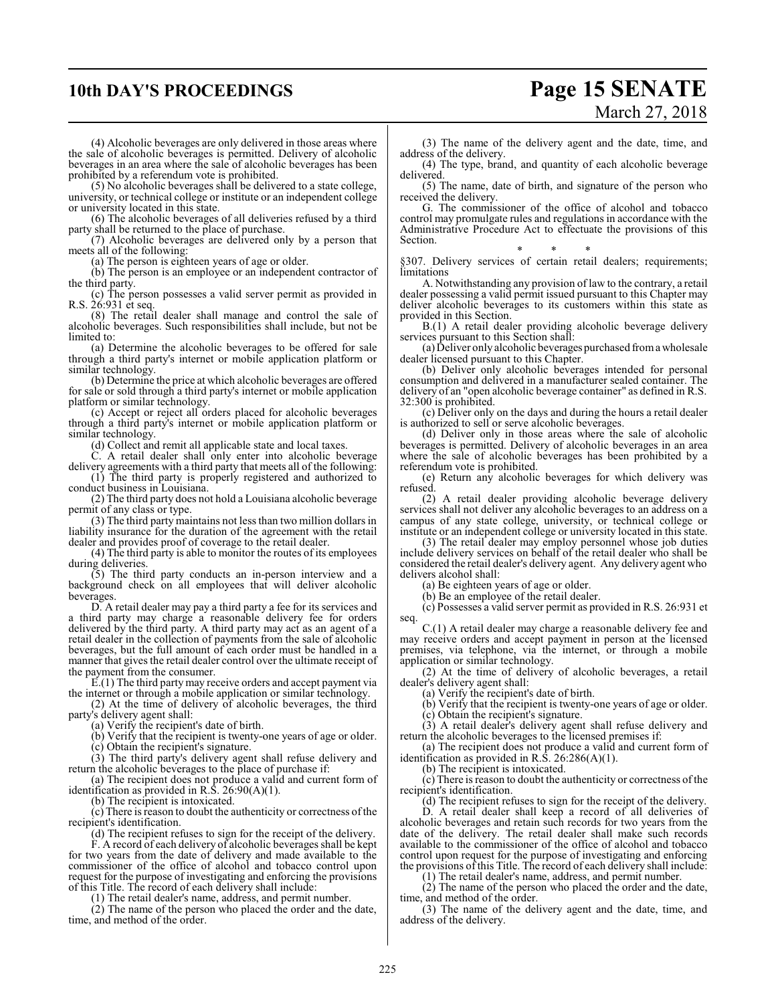### **10th DAY'S PROCEEDINGS Page 15 SENATE**

# March 27, 2018

(4) Alcoholic beverages are only delivered in those areas where the sale of alcoholic beverages is permitted. Delivery of alcoholic beverages in an area where the sale of alcoholic beverages has been prohibited by a referendum vote is prohibited.

(5) No alcoholic beverages shall be delivered to a state college, university, or technical college or institute or an independent college or university located in this state.

(6) The alcoholic beverages of all deliveries refused by a third party shall be returned to the place of purchase.

(7) Alcoholic beverages are delivered only by a person that meets all of the following:

(a) The person is eighteen years of age or older.

(b) The person is an employee or an independent contractor of the third party.

(c) The person possesses a valid server permit as provided in R.S. 26:931 et seq.

(8) The retail dealer shall manage and control the sale of alcoholic beverages. Such responsibilities shall include, but not be limited to:

(a) Determine the alcoholic beverages to be offered for sale through a third party's internet or mobile application platform or similar technology.

(b) Determine the price at which alcoholic beverages are offered for sale or sold through a third party's internet or mobile application platform or similar technology.

(c) Accept or reject all orders placed for alcoholic beverages through a third party's internet or mobile application platform or similar technology.

(d) Collect and remit all applicable state and local taxes.

C. A retail dealer shall only enter into alcoholic beverage delivery agreements with a third party that meets all of the following: (1) The third party is properly registered and authorized to

conduct business in Louisiana. (2) The third party does not hold a Louisiana alcoholic beverage

permit of any class or type.

(3) The third party maintains not less than two million dollars in liability insurance for the duration of the agreement with the retail dealer and provides proof of coverage to the retail dealer.

(4) The third party is able to monitor the routes of its employees during deliveries.

(5) The third party conducts an in-person interview and a background check on all employees that will deliver alcoholic beverages.

D. A retail dealer may pay a third party a fee for its services and a third party may charge a reasonable delivery fee for orders delivered by the third party. A third party may act as an agent of a retail dealer in the collection of payments from the sale of alcoholic beverages, but the full amount of each order must be handled in a manner that gives the retail dealer control over the ultimate receipt of the payment from the consumer.

E.(1) The third party may receive orders and accept payment via the internet or through a mobile application or similar technology.

(2) At the time of delivery of alcoholic beverages, the third party's delivery agent shall:

(a) Verify the recipient's date of birth.

(b) Verify that the recipient is twenty-one years of age or older.

(c) Obtain the recipient's signature.

(3) The third party's delivery agent shall refuse delivery and return the alcoholic beverages to the place of purchase if:

(a) The recipient does not produce a valid and current form of identification as provided in R.S. 26:90(A)(1).

(b) The recipient is intoxicated.

 $(c)$  There is reason to doubt the authenticity or correctness of the recipient's identification.

(d) The recipient refuses to sign for the receipt of the delivery. F. A record of each delivery of alcoholic beverages shall be kept for two years from the date of delivery and made available to the commissioner of the office of alcohol and tobacco control upon request for the purpose of investigating and enforcing the provisions of this Title. The record of each delivery shall include:

(1) The retail dealer's name, address, and permit number.

(2) The name of the person who placed the order and the date, time, and method of the order.

(3) The name of the delivery agent and the date, time, and address of the delivery.

(4) The type, brand, and quantity of each alcoholic beverage delivered.

(5) The name, date of birth, and signature of the person who received the delivery.

G. The commissioner of the office of alcohol and tobacco control may promulgate rules and regulations in accordance with the Administrative Procedure Act to effectuate the provisions of this Section.

\* \* \* §307. Delivery services of certain retail dealers; requirements; limitations

A. Notwithstanding any provision of law to the contrary, a retail dealer possessing a valid permit issued pursuant to this Chapter may deliver alcoholic beverages to its customers within this state as provided in this Section.

B.(1) A retail dealer providing alcoholic beverage delivery services pursuant to this Section shall:

(a) Deliver only alcoholic beveragespurchased froma wholesale dealer licensed pursuant to this Chapter.

(b) Deliver only alcoholic beverages intended for personal consumption and delivered in a manufacturer sealed container. The delivery of an "open alcoholic beverage container" as defined in R.S. 32:300 is prohibited.

(c) Deliver only on the days and during the hours a retail dealer is authorized to sell or serve alcoholic beverages.

(d) Deliver only in those areas where the sale of alcoholic beverages is permitted. Delivery of alcoholic beverages in an area where the sale of alcoholic beverages has been prohibited by a referendum vote is prohibited.

(e) Return any alcoholic beverages for which delivery was refused.

(2) A retail dealer providing alcoholic beverage delivery services shall not deliver any alcoholic beverages to an address on a campus of any state college, university, or technical college or institute or an independent college or university located in this state.

(3) The retail dealer may employ personnel whose job duties include delivery services on behalf of the retail dealer who shall be considered the retail dealer's delivery agent. Any delivery agent who delivers alcohol shall:

(a) Be eighteen years of age or older.

(b) Be an employee of the retail dealer.

(c) Possesses a valid server permit as provided in R.S. 26:931 et seq.

C.(1) A retail dealer may charge a reasonable delivery fee and may receive orders and accept payment in person at the licensed premises, via telephone, via the internet, or through a mobile application or similar technology.

(2) At the time of delivery of alcoholic beverages, a retail dealer's delivery agent shall:

(a) Verify the recipient's date of birth.

(b) Verify that the recipient is twenty-one years of age or older.

(c) Obtain the recipient's signature.

(3) A retail dealer's delivery agent shall refuse delivery and return the alcoholic beverages to the licensed premises if:

(a) The recipient does not produce a valid and current form of identification as provided in R.S.  $26:286(A)(1)$ .

(b) The recipient is intoxicated.

(c) There is reason to doubt the authenticity or correctness ofthe recipient's identification.

(d) The recipient refuses to sign for the receipt of the delivery.

D. A retail dealer shall keep a record of all deliveries of alcoholic beverages and retain such records for two years from the date of the delivery. The retail dealer shall make such records available to the commissioner of the office of alcohol and tobacco control upon request for the purpose of investigating and enforcing the provisions of this Title. The record of each delivery shall include:

(1) The retail dealer's name, address, and permit number.

(2) The name of the person who placed the order and the date, time, and method of the order.

(3) The name of the delivery agent and the date, time, and address of the delivery.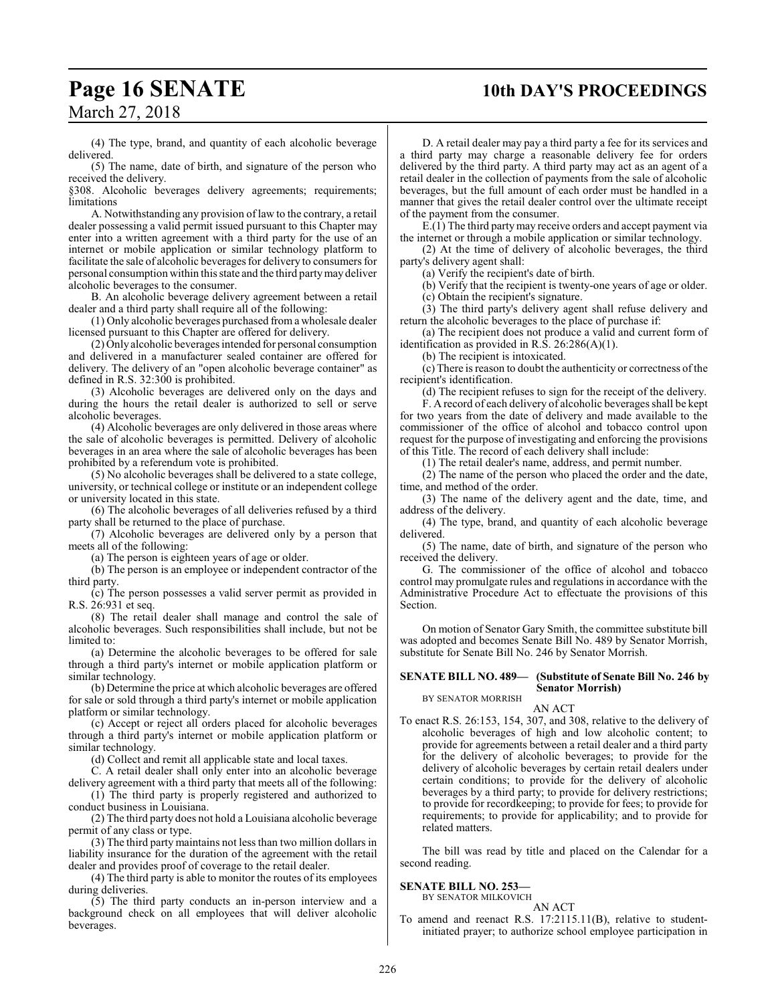## **Page 16 SENATE 10th DAY'S PROCEEDINGS**

March 27, 2018

(4) The type, brand, and quantity of each alcoholic beverage delivered.

(5) The name, date of birth, and signature of the person who received the delivery.

§308. Alcoholic beverages delivery agreements; requirements; limitations

A. Notwithstanding any provision of law to the contrary, a retail dealer possessing a valid permit issued pursuant to this Chapter may enter into a written agreement with a third party for the use of an internet or mobile application or similar technology platform to facilitate the sale of alcoholic beverages for delivery to consumers for personal consumption within this state and the third partymay deliver alcoholic beverages to the consumer.

B. An alcoholic beverage delivery agreement between a retail dealer and a third party shall require all of the following:

(1) Only alcoholic beverages purchased froma wholesale dealer licensed pursuant to this Chapter are offered for delivery.

(2) Only alcoholic beverages intended for personal consumption and delivered in a manufacturer sealed container are offered for delivery. The delivery of an "open alcoholic beverage container" as defined in R.S. 32:300 is prohibited.

(3) Alcoholic beverages are delivered only on the days and during the hours the retail dealer is authorized to sell or serve alcoholic beverages.

(4) Alcoholic beverages are only delivered in those areas where the sale of alcoholic beverages is permitted. Delivery of alcoholic beverages in an area where the sale of alcoholic beverages has been prohibited by a referendum vote is prohibited.

(5) No alcoholic beverages shall be delivered to a state college, university, or technical college or institute or an independent college or university located in this state.

(6) The alcoholic beverages of all deliveries refused by a third party shall be returned to the place of purchase.

(7) Alcoholic beverages are delivered only by a person that meets all of the following:

(a) The person is eighteen years of age or older.

(b) The person is an employee or independent contractor of the third party.

(c) The person possesses a valid server permit as provided in R.S. 26:931 et seq.

(8) The retail dealer shall manage and control the sale of alcoholic beverages. Such responsibilities shall include, but not be limited to:

(a) Determine the alcoholic beverages to be offered for sale through a third party's internet or mobile application platform or similar technology.

(b) Determine the price at which alcoholic beverages are offered for sale or sold through a third party's internet or mobile application platform or similar technology.

(c) Accept or reject all orders placed for alcoholic beverages through a third party's internet or mobile application platform or similar technology.

(d) Collect and remit all applicable state and local taxes.

C. A retail dealer shall only enter into an alcoholic beverage delivery agreement with a third party that meets all of the following:

(1) The third party is properly registered and authorized to conduct business in Louisiana.

(2) The third party does not hold a Louisiana alcoholic beverage permit of any class or type.

(3) The third party maintains not less than two million dollars in liability insurance for the duration of the agreement with the retail dealer and provides proof of coverage to the retail dealer.

(4) The third party is able to monitor the routes of its employees during deliveries.

(5) The third party conducts an in-person interview and a background check on all employees that will deliver alcoholic beverages.

D. A retail dealer may pay a third party a fee for its services and a third party may charge a reasonable delivery fee for orders delivered by the third party. A third party may act as an agent of a retail dealer in the collection of payments from the sale of alcoholic beverages, but the full amount of each order must be handled in a manner that gives the retail dealer control over the ultimate receipt of the payment from the consumer.

E.(1) The third partymay receive orders and accept payment via the internet or through a mobile application or similar technology.

(2) At the time of delivery of alcoholic beverages, the third party's delivery agent shall:

(a) Verify the recipient's date of birth.

(b) Verify that the recipient is twenty-one years of age or older.

(c) Obtain the recipient's signature.

(3) The third party's delivery agent shall refuse delivery and return the alcoholic beverages to the place of purchase if:

(a) The recipient does not produce a valid and current form of identification as provided in R.S. 26:286(A)(1).

(b) The recipient is intoxicated.

(c) There is reason to doubt the authenticity or correctness ofthe recipient's identification.

(d) The recipient refuses to sign for the receipt of the delivery.

F. A record of each delivery of alcoholic beverages shall be kept for two years from the date of delivery and made available to the commissioner of the office of alcohol and tobacco control upon request for the purpose of investigating and enforcing the provisions of this Title. The record of each delivery shall include:

(1) The retail dealer's name, address, and permit number.

(2) The name of the person who placed the order and the date, time, and method of the order.

(3) The name of the delivery agent and the date, time, and address of the delivery.

(4) The type, brand, and quantity of each alcoholic beverage delivered.

(5) The name, date of birth, and signature of the person who received the delivery.

G. The commissioner of the office of alcohol and tobacco control may promulgate rules and regulations in accordance with the Administrative Procedure Act to effectuate the provisions of this Section.

On motion of Senator Gary Smith, the committee substitute bill was adopted and becomes Senate Bill No. 489 by Senator Morrish, substitute for Senate Bill No. 246 by Senator Morrish.

### **SENATE BILL NO. 489— (Substitute of Senate Bill No. 246 by Senator Morrish)**

BY SENATOR MORRISH AN ACT

To enact R.S. 26:153, 154, 307, and 308, relative to the delivery of alcoholic beverages of high and low alcoholic content; to provide for agreements between a retail dealer and a third party for the delivery of alcoholic beverages; to provide for the delivery of alcoholic beverages by certain retail dealers under certain conditions; to provide for the delivery of alcoholic beverages by a third party; to provide for delivery restrictions; to provide for recordkeeping; to provide for fees; to provide for requirements; to provide for applicability; and to provide for related matters.

The bill was read by title and placed on the Calendar for a second reading.

### **SENATE BILL NO. 253—**

BY SENATOR MILKOVICH AN ACT

To amend and reenact R.S. 17:2115.11(B), relative to studentinitiated prayer; to authorize school employee participation in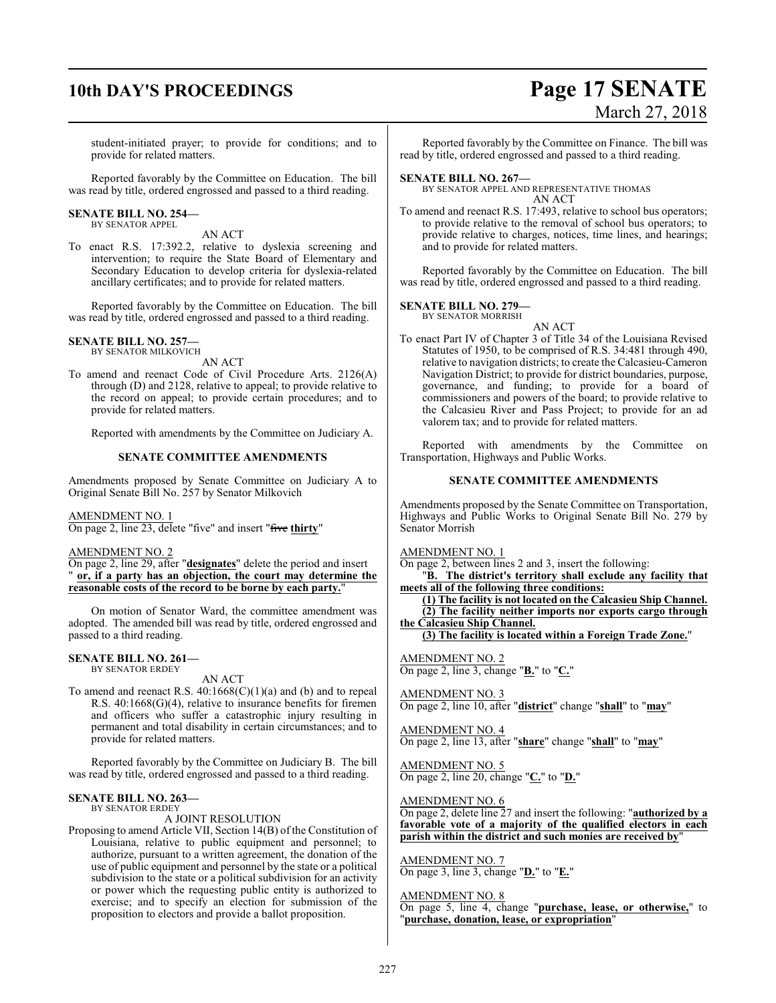## **10th DAY'S PROCEEDINGS Page 17 SENATE**

# March 27, 2018

student-initiated prayer; to provide for conditions; and to provide for related matters.

Reported favorably by the Committee on Education. The bill was read by title, ordered engrossed and passed to a third reading.

#### **SENATE BILL NO. 254—** BY SENATOR APPEL

AN ACT

To enact R.S. 17:392.2, relative to dyslexia screening and intervention; to require the State Board of Elementary and Secondary Education to develop criteria for dyslexia-related ancillary certificates; and to provide for related matters.

Reported favorably by the Committee on Education. The bill was read by title, ordered engrossed and passed to a third reading.

#### **SENATE BILL NO. 257—** BY SENATOR MILKOVICH

AN ACT

To amend and reenact Code of Civil Procedure Arts. 2126(A) through (D) and 2128, relative to appeal; to provide relative to the record on appeal; to provide certain procedures; and to provide for related matters.

Reported with amendments by the Committee on Judiciary A.

### **SENATE COMMITTEE AMENDMENTS**

Amendments proposed by Senate Committee on Judiciary A to Original Senate Bill No. 257 by Senator Milkovich

AMENDMENT NO. 1

On page 2, line 23, delete "five" and insert "five **thirty**"

### AMENDMENT NO. 2

On page 2, line 29, after "**designates**" delete the period and insert " **or, if a party has an objection, the court may determine the reasonable costs of the record to be borne by each party.**"

On motion of Senator Ward, the committee amendment was adopted. The amended bill was read by title, ordered engrossed and passed to a third reading.

### **SENATE BILL NO. 261—**

BY SENATOR ERDEY

AN ACT

To amend and reenact R.S.  $40:1668(C)(1)(a)$  and (b) and to repeal R.S. 40:1668(G)(4), relative to insurance benefits for firemen and officers who suffer a catastrophic injury resulting in permanent and total disability in certain circumstances; and to provide for related matters.

Reported favorably by the Committee on Judiciary B. The bill was read by title, ordered engrossed and passed to a third reading.

### **SENATE BILL NO. 263—**

BY SENATOR ERDEY A JOINT RESOLUTION

Proposing to amend Article VII, Section 14(B) of the Constitution of Louisiana, relative to public equipment and personnel; to authorize, pursuant to a written agreement, the donation of the use of public equipment and personnel by the state or a political subdivision to the state or a political subdivision for an activity or power which the requesting public entity is authorized to exercise; and to specify an election for submission of the proposition to electors and provide a ballot proposition.

Reported favorably by the Committee on Finance. The bill was read by title, ordered engrossed and passed to a third reading.

### **SENATE BILL NO. 267—**

BY SENATOR APPEL AND REPRESENTATIVE THOMAS AN ACT

To amend and reenact R.S. 17:493, relative to school bus operators; to provide relative to the removal of school bus operators; to provide relative to charges, notices, time lines, and hearings; and to provide for related matters.

Reported favorably by the Committee on Education. The bill was read by title, ordered engrossed and passed to a third reading.

### **SENATE BILL NO. 279—**

BY SENATOR MORRISH

AN ACT To enact Part IV of Chapter 3 of Title 34 of the Louisiana Revised Statutes of 1950, to be comprised of R.S. 34:481 through 490, relative to navigation districts; to create the Calcasieu-Cameron Navigation District; to provide for district boundaries, purpose, governance, and funding; to provide for a board of commissioners and powers of the board; to provide relative to the Calcasieu River and Pass Project; to provide for an ad valorem tax; and to provide for related matters.

Reported with amendments by the Committee on Transportation, Highways and Public Works.

### **SENATE COMMITTEE AMENDMENTS**

Amendments proposed by the Senate Committee on Transportation, Highways and Public Works to Original Senate Bill No. 279 by Senator Morrish

AMENDMENT NO. 1

On page 2, between lines 2 and 3, insert the following:

"**B. The district's territory shall exclude any facility that meets all of the following three conditions:**

**(1) The facility is not located on the Calcasieu Ship Channel. (2) The facility neither imports nor exports cargo through the Calcasieu Ship Channel.**

**(3) The facility is located within a Foreign Trade Zone.**"

AMENDMENT NO. 2 On page 2, line 3, change "**B.**" to "**C.**"

AMENDMENT NO. 3 On page 2, line 10, after "**district**" change "**shall**" to "**may**"

AMENDMENT NO. 4 On page 2, line 13, after "**share**" change "**shall**" to "**may**"

AMENDMENT NO. 5 On page 2, line 20, change "**C.**" to "**D.**"

AMENDMENT NO. 6

On page 2, delete line 27 and insert the following: "**authorized by a favorable vote of a majority of the qualified electors in each parish within the district and such monies are received by**"

AMENDMENT NO. 7 On page 3, line 3, change "**D.**" to "**E.**"

AMENDMENT NO. 8

On page 5, line 4, change "**purchase, lease, or otherwise,**" to "**purchase, donation, lease, or expropriation**"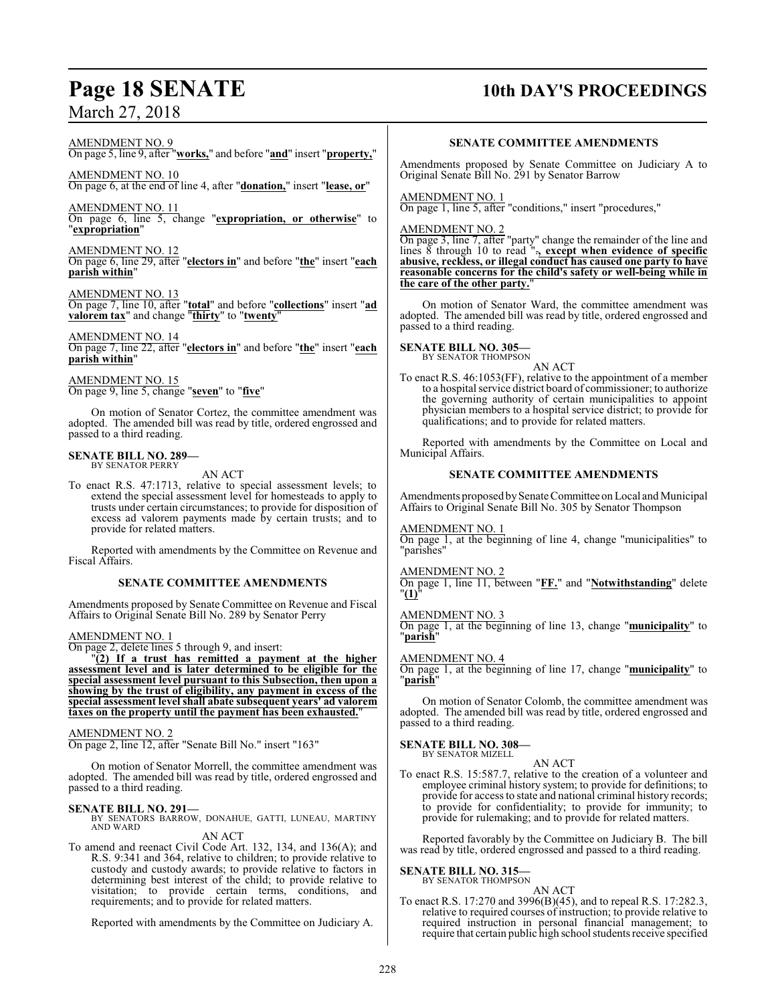### AMENDMENT NO. 9

On page 5, line 9, after "**works,**" and before "**and**" insert "**property,**"

AMENDMENT NO. 10 On page 6, at the end of line 4, after "**donation,**" insert "**lease, or**"

AMENDMENT NO. 11 On page 6, line 5, change "**expropriation, or otherwise**" to "**expropriation**"

AMENDMENT NO. 12 On page 6, line 29, after "**electors in**" and before "**the**" insert "**each parish within**"

AMENDMENT NO. 13 On page 7, line 10, after "**total**" and before "**collections**" insert "**ad valorem tax**" and change "**thirty**" to "**twenty**"

AMENDMENT NO. 14 On page 7, line 22, after "**electors in**" and before "**the**" insert "**each parish within**"

AMENDMENT NO. 15 On page 9, line 5, change "**seven**" to "**five**"

On motion of Senator Cortez, the committee amendment was adopted. The amended bill was read by title, ordered engrossed and passed to a third reading.

## **SENATE BILL NO. 289—** BY SENATOR PERRY

AN ACT

To enact R.S. 47:1713, relative to special assessment levels; to extend the special assessment level for homesteads to apply to trusts under certain circumstances; to provide for disposition of excess ad valorem payments made by certain trusts; and to provide for related matters.

Reported with amendments by the Committee on Revenue and Fiscal Affairs.

### **SENATE COMMITTEE AMENDMENTS**

Amendments proposed by Senate Committee on Revenue and Fiscal Affairs to Original Senate Bill No. 289 by Senator Perry

AMENDMENT NO. 1

On page 2, delete lines 5 through 9, and insert:

"**(2) If a trust has remitted a payment at the higher assessment level and is later determined to be eligible for the special assessment level pursuant to this Subsection, then upon a showing by the trust of eligibility, any payment in excess of the special assessment level shall abate subsequent years' ad valorem taxes on the property until the payment has been exhausted.**"

AMENDMENT NO. 2

On page 2, line 12, after "Senate Bill No." insert "163"

On motion of Senator Morrell, the committee amendment was adopted. The amended bill was read by title, ordered engrossed and passed to a third reading.

### **SENATE BILL NO. 291—**

BY SENATORS BARROW, DONAHUE, GATTI, LUNEAU, MARTINY AND WARD AN ACT

To amend and reenact Civil Code Art. 132, 134, and 136(A); and R.S. 9:341 and 364, relative to children; to provide relative to custody and custody awards; to provide relative to factors in determining best interest of the child; to provide relative to visitation; to provide certain terms, conditions, and requirements; and to provide for related matters.

Reported with amendments by the Committee on Judiciary A.

### **Page 18 SENATE 10th DAY'S PROCEEDINGS**

### **SENATE COMMITTEE AMENDMENTS**

Amendments proposed by Senate Committee on Judiciary A to Original Senate Bill No. 291 by Senator Barrow

AMENDMENT NO. 1

On page 1, line 5, after "conditions," insert "procedures,"

### AMENDMENT NO. 2

On page 3, line 7, after "party" change the remainder of the line and lines 8 through 10 to read ".**, except when evidence of specific abusive, reckless, or illegal conduct has caused one party to have reasonable concerns for the child's safety or well-being while in the care of the other party.**"

On motion of Senator Ward, the committee amendment was adopted. The amended bill was read by title, ordered engrossed and passed to a third reading.

### **SENATE BILL NO. 305—**

BY SENATOR THOMPSON AN ACT

To enact R.S. 46:1053(FF), relative to the appointment of a member to a hospital service district board of commissioner; to authorize the governing authority of certain municipalities to appoint physician members to a hospital service district; to provide for qualifications; and to provide for related matters.

Reported with amendments by the Committee on Local and Municipal Affairs.

### **SENATE COMMITTEE AMENDMENTS**

Amendments proposed by Senate Committee on Local and Municipal Affairs to Original Senate Bill No. 305 by Senator Thompson

### AMENDMENT NO. 1

On page 1, at the beginning of line 4, change "municipalities" to "parishes"

### AMENDMENT NO. 2

On page 1, line 11, between "**FF.**" and "**Notwithstanding**" delete "**(1)**"

### AMENDMENT NO. 3

On page 1, at the beginning of line 13, change "**municipality**" to "**parish**"

### AMENDMENT NO. 4

On page 1, at the beginning of line 17, change "**municipality**" to "**parish**"

On motion of Senator Colomb, the committee amendment was adopted. The amended bill was read by title, ordered engrossed and passed to a third reading.

### **SENATE BILL NO. 308—**

BY SENATOR MIZELL AN ACT

To enact R.S. 15:587.7, relative to the creation of a volunteer and employee criminal history system; to provide for definitions; to provide for access to state and national criminal history records; to provide for confidentiality; to provide for immunity; to provide for rulemaking; and to provide for related matters.

Reported favorably by the Committee on Judiciary B. The bill was read by title, ordered engrossed and passed to a third reading.

### **SENATE BILL NO. 315—**

BY SENATOR THOMPSON AN ACT

To enact R.S. 17:270 and 3996(B)(45), and to repeal R.S. 17:282.3, relative to required courses of instruction; to provide relative to required instruction in personal financial management; to require that certain public high school students receive specified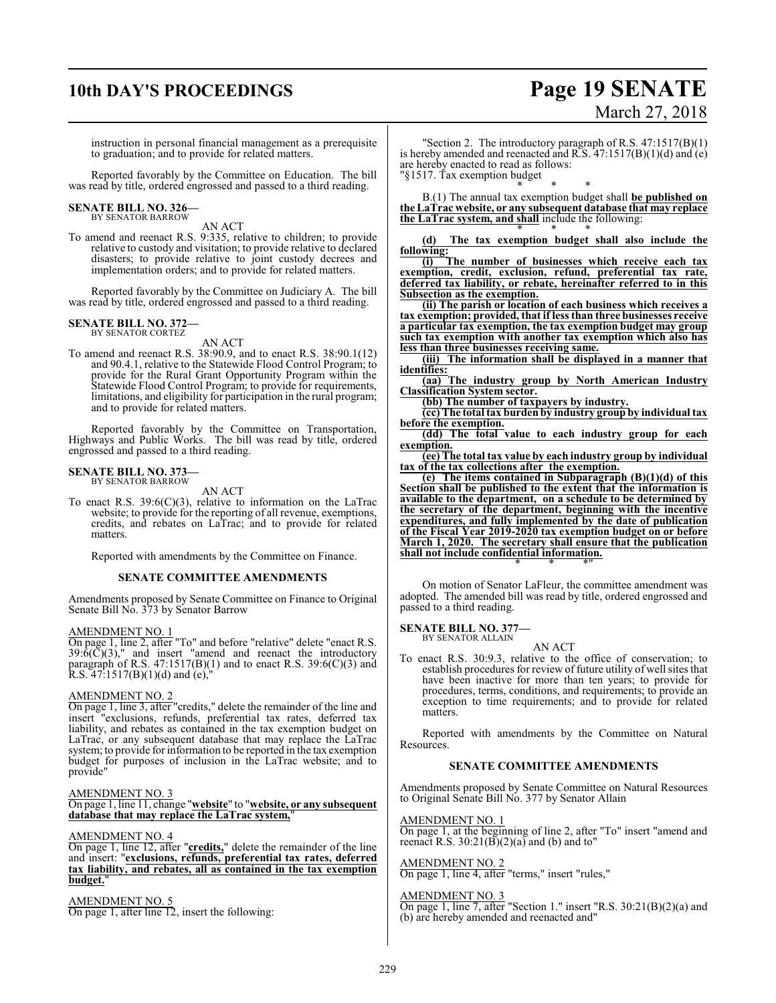### **10th DAY'S PROCEEDINGS Page 19 SENATE**

# March 27, 2018

instruction in personal financial management as a prerequisite to graduation; and to provide for related matters.

Reported favorably by the Committee on Education. The bill was read by title, ordered engrossed and passed to a third reading.

### **SENATE BILL NO. 326—** BY SENATOR BARROW

AN ACT

To amend and reenact R.S. 9:335, relative to children; to provide relative to custody and visitation; to provide relative to declared disasters; to provide relative to joint custody decrees and implementation orders; and to provide for related matters.

Reported favorably by the Committee on Judiciary A. The bill was read by title, ordered engrossed and passed to a third reading.

#### **SENATE BILL NO. 372—** BY SENATOR CORTEZ

AN ACT

To amend and reenact R.S. 38:90.9, and to enact R.S. 38:90.1(12) and 90.4.1, relative to the Statewide Flood Control Program; to provide for the Rural Grant Opportunity Program within the Statewide Flood Control Program; to provide for requirements, limitations, and eligibility for participation in the rural program; and to provide for related matters.

Reported favorably by the Committee on Transportation, Highways and Public Works. The bill was read by title, ordered engrossed and passed to a third reading.

#### **SENATE BILL NO. 373—** BY SENATOR BARROW

AN ACT

To enact R.S. 39:6(C)(3), relative to information on the LaTrac website; to provide for the reporting of all revenue, exemptions, credits, and rebates on LaTrac; and to provide for related matters.

Reported with amendments by the Committee on Finance.

### **SENATE COMMITTEE AMENDMENTS**

Amendments proposed by Senate Committee on Finance to Original Senate Bill No. 373 by Senator Barrow

### AMENDMENT NO. 1

On page 1, line 2, after "To" and before "relative" delete "enact R.S.  $39:\delta(\bar{C})(3)$ ," and insert "amend and reenact the introductory paragraph of R.S.  $47:1517(B)(1)$  and to enact R.S.  $39:6(C)(3)$  and R.S.  $47:1517(B)(1)(d)$  and  $(e),$ 

### AMENDMENT NO. 2

On page 1, line 3, after "credits," delete the remainder of the line and insert "exclusions, refunds, preferential tax rates, deferred tax liability, and rebates as contained in the tax exemption budget on LaTrac, or any subsequent database that may replace the LaTrac system; to provide for information to be reported in the tax exemption budget for purposes of inclusion in the LaTrac website; and to provide"

### AMENDMENT NO. 3

On page 1, line 11, change "**website**" to "**website, or any subsequent database that may replace the LaTrac system,**"

### AMENDMENT NO. 4

On page 1, line 12, after "**credits,**" delete the remainder of the line and insert: "**exclusions, refunds, preferential tax rates, deferred tax liability, and rebates, all as contained in the tax exemption budget.**"

AMENDMENT NO. 5 On page 1, after line 12, insert the following:

"Section 2. The introductory paragraph of R.S.  $47:1517(B)(1)$ is hereby amended and reenacted and R.S.  $47:1517(B)(1)(d)$  and  $(e)$ are hereby enacted to read as follows: "§1517. Tax exemption budget

\* \* \*

B.(1) The annual tax exemption budget shall **be published on the LaTrac website, or any subsequent database that may replace the LaTrac system, and shall** include the following: \* \* \*

**(d) The tax exemption budget shall also include the following:**

**(i) The number of businesses which receive each tax exemption, credit, exclusion, refund, preferential tax rate, deferred tax liability, or rebate, hereinafter referred to in this Subsection as the exemption.**

**(ii) The parish or location of each business which receives a tax exemption; provided, that if less than three businesses receive a particular tax exemption, the tax exemption budget may group such tax exemption with another tax exemption which also has less than three businesses receiving same.**

**(iii) The information shall be displayed in a manner that identifies:**

**(aa) The industry group by North American Industry Classification System sector.**

**(bb) The number of taxpayers by industry.**

**(cc) The total tax burden by industry group by individual tax before the exemption.**

**(dd) The total value to each industry group for each exemption.**

**(ee) The total tax value by each industry group by individual tax of the tax collections after the exemption.**

**(e) The items contained in Subparagraph (B)(1)(d) of this Section shall be published to the extent that the information is available to the department, on a schedule to be determined by the secretary of the department, beginning with the incentive expenditures, and fully implemented by the date of publication of the Fiscal Year 2019-2020 tax exemption budget on or before March 1, 2020. The secretary shall ensure that the publication shall not include confidential information.** \* \* \*"

On motion of Senator LaFleur, the committee amendment was adopted. The amended bill was read by title, ordered engrossed and passed to a third reading.

**SENATE BILL NO. 377—** BY SENATOR ALLAIN

AN ACT

To enact R.S. 30:9.3, relative to the office of conservation; to establish procedures for review of future utility of well sites that have been inactive for more than ten years; to provide for procedures, terms, conditions, and requirements; to provide an exception to time requirements; and to provide for related matters.

Reported with amendments by the Committee on Natural Resources.

### **SENATE COMMITTEE AMENDMENTS**

Amendments proposed by Senate Committee on Natural Resources to Original Senate Bill No. 377 by Senator Allain

### AMENDMENT NO. 1

On page 1, at the beginning of line 2, after "To" insert "amend and reenact R.S.  $30:21(B)(2)(a)$  and (b) and to"

### AMENDMENT NO. 2

On page 1, line 4, after "terms," insert "rules,"

### AMENDMENT NO. 3

On page 1, line 7, after "Section 1." insert "R.S. 30:21(B)(2)(a) and (b) are hereby amended and reenacted and"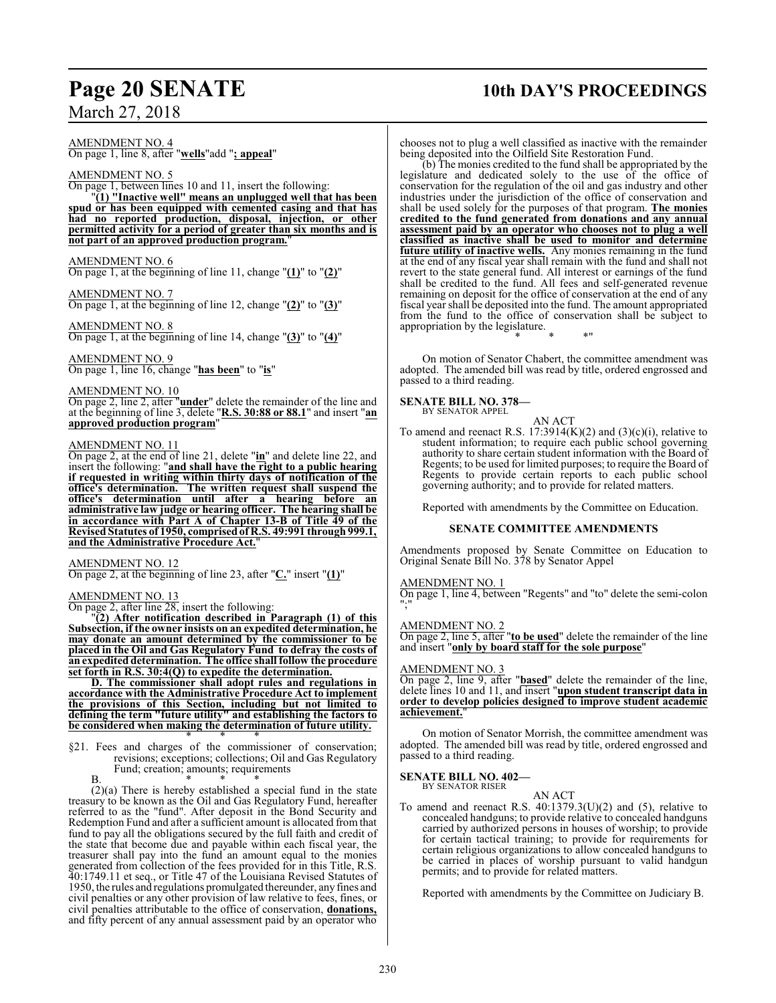### AMENDMENT NO. 4 On page 1, line 8, after "**wells**"add "**; appeal**"

### AMENDMENT NO. 5

On page 1, between lines 10 and 11, insert the following: "**(1) "Inactive well" means an unplugged well that has been spud or has been equipped with cemented casing and that has had no reported production, disposal, injection, or other permitted activity for a period of greater than six months and is not part of an approved production program.**"

### AMENDMENT NO. 6

On page 1, at the beginning of line 11, change "**(1)**" to "**(2)**"

AMENDMENT NO. 7 On page 1, at the beginning of line 12, change "**(2)**" to "**(3)**"

### AMENDMENT NO. 8 On page 1, at the beginning of line 14, change "**(3)**" to "**(4)**"

### AMENDMENT NO. 9

On page 1, line 16, change "**has been**" to "**is**"

### AMENDMENT NO. 10

On page 2, line 2, after "**under**" delete the remainder of the line and at the beginning of line 3, delete "**R.S. 30:88 or 88.1**" and insert "**an approved production program**"

### AMENDMENT NO. 11

On page 2, at the end of line 21, delete "**in**" and delete line 22, and insert the following: "**and shall have the right to a public hearing if requested in writing within thirty days of notification of the office's determination. The written request shall suspend the office's determination until after a hearing before an administrative law judge or hearing officer. The hearing shall be in accordance with Part A of Chapter 13-B of Title 49 of the Revised Statutes of 1950, comprisedof R.S. 49:991 through 999.1, and the Administrative Procedure Act.**"

### AMENDMENT NO. 12

On page 2, at the beginning of line 23, after "**C.**" insert "**(1)**"

### AMENDMENT NO. 13

On page 2, after line 28, insert the following:

"**(2) After notification described in Paragraph (1) of this Subsection, if the owner insists on an expedited determination, he may donate an amount determined by the commissioner to be placed in the Oil and Gas Regulatory Fund to defray the costs of an expedited determination. The office shall follow the procedure set forth in R.S. 30:4(Q) to expedite the determination.**

**D. The commissioner shall adopt rules and regulations in accordance with the Administrative Procedure Act to implement the provisions of this Section, including but not limited to defining the term "future utility" and establishing the factors to be considered when making the determination of future utility.** \* \* \*

- §21. Fees and charges of the commissioner of conservation; revisions; exceptions; collections; Oil and Gas Regulatory Fund; creation; amounts; requirements
	- B. \* \* \*

(2)(a) There is hereby established a special fund in the state treasury to be known as the Oil and Gas Regulatory Fund, hereafter referred to as the "fund". After deposit in the Bond Security and Redemption Fund and after a sufficient amount is allocated from that fund to pay all the obligations secured by the full faith and credit of the state that become due and payable within each fiscal year, the treasurer shall pay into the fund an amount equal to the monies generated from collection of the fees provided for in this Title, R.S. 40:1749.11 et seq., or Title 47 of the Louisiana Revised Statutes of 1950, the rules and regulations promulgated thereunder, any fines and civil penalties or any other provision of law relative to fees, fines, or civil penalties attributable to the office of conservation, **donations,** and fifty percent of any annual assessment paid by an operator who

## **Page 20 SENATE 10th DAY'S PROCEEDINGS**

chooses not to plug a well classified as inactive with the remainder being deposited into the Oilfield Site Restoration Fund.

(b) The monies credited to the fund shall be appropriated by the legislature and dedicated solely to the use of the office of conservation for the regulation of the oil and gas industry and other industries under the jurisdiction of the office of conservation and shall be used solely for the purposes of that program. **The monies credited to the fund generated from donations and any annual assessment paid by an operator who chooses not to plug a well classified as inactive shall be used to monitor and determine future utility of inactive wells.** Any monies remaining in the fund at the end of any fiscal year shall remain with the fund and shall not revert to the state general fund. All interest or earnings of the fund shall be credited to the fund. All fees and self-generated revenue remaining on deposit for the office of conservation at the end of any fiscal year shall be deposited into the fund. The amount appropriated from the fund to the office of conservation shall be subject to appropriation by the legislature. \* \* \*"

On motion of Senator Chabert, the committee amendment was adopted. The amended bill was read by title, ordered engrossed and passed to a third reading.

### **SENATE BILL NO. 378—** BY SENATOR APPEL

AN ACT

To amend and reenact R.S.  $17:3914(K)(2)$  and  $(3)(c)(i)$ , relative to student information; to require each public school governing authority to share certain student information with the Board of Regents; to be used for limited purposes; to require the Board of Regents to provide certain reports to each public school governing authority; and to provide for related matters.

Reported with amendments by the Committee on Education.

### **SENATE COMMITTEE AMENDMENTS**

Amendments proposed by Senate Committee on Education to Original Senate Bill No. 378 by Senator Appel

### AMENDMENT NO. 1

On page 1, line 4, between "Regents" and "to" delete the semi-colon ";"

### AMENDMENT NO. 2

On page 2, line 5, after "**to be used**" delete the remainder of the line and insert "**only by board staff for the sole purpose**"

### AMENDMENT NO. 3

On page 2, line 9, after "**based**" delete the remainder of the line, delete lines 10 and 11, and insert "**upon student transcript data in order to develop policies designed to improve student academic achievement.**"

On motion of Senator Morrish, the committee amendment was adopted. The amended bill was read by title, ordered engrossed and passed to a third reading.

### **SENATE BILL NO. 402—** BY SENATOR RISER

AN ACT

To amend and reenact R.S.  $40:1379.3(U)(2)$  and  $(5)$ , relative to concealed handguns; to provide relative to concealed handguns carried by authorized persons in houses of worship; to provide for certain tactical training; to provide for requirements for certain religious organizations to allow concealed handguns to be carried in places of worship pursuant to valid handgun permits; and to provide for related matters.

Reported with amendments by the Committee on Judiciary B.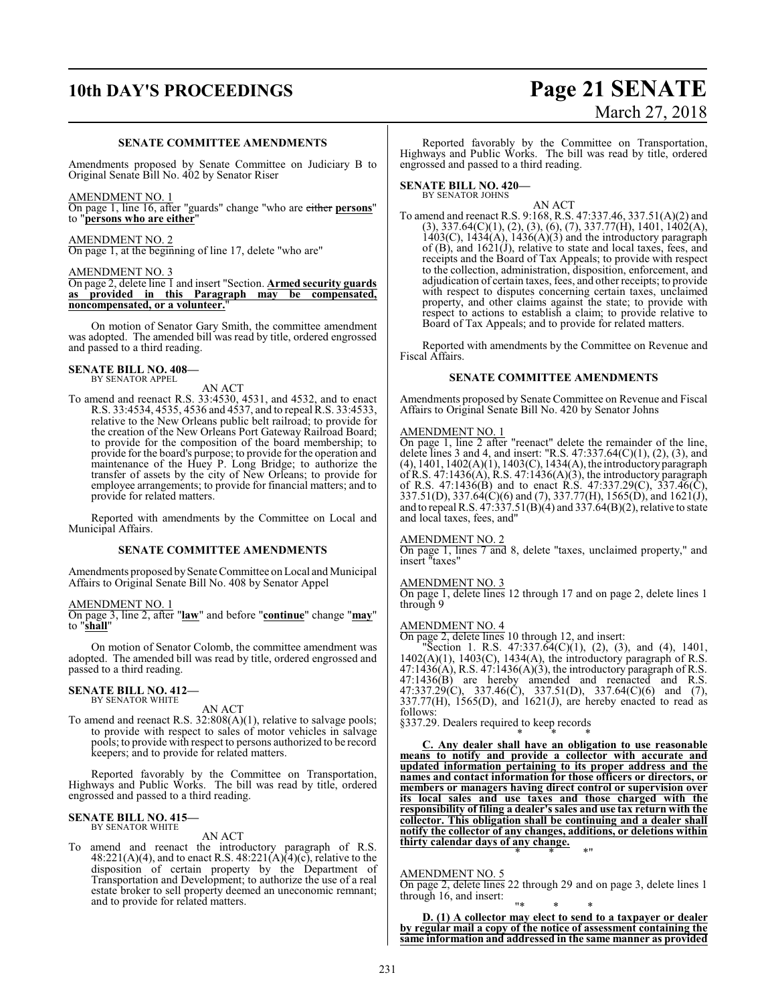## **10th DAY'S PROCEEDINGS Page 21 SENATE**

### **SENATE COMMITTEE AMENDMENTS**

Amendments proposed by Senate Committee on Judiciary B to Original Senate Bill No. 402 by Senator Riser

### AMENDMENT NO. 1

On page 1, line 16, after "guards" change "who are either **persons**" to "**persons who are either**"

### AMENDMENT NO. 2

On page 1, at the beginning of line 17, delete "who are"

### AMENDMENT NO. 3

On page 2, delete line 1 and insert "Section. **Armed security guards as provided in this Paragraph may be compensated, noncompensated, or a volunteer.** 

On motion of Senator Gary Smith, the committee amendment was adopted. The amended bill was read by title, ordered engrossed and passed to a third reading.

### **SENATE BILL NO. 408—** BY SENATOR APPEL

AN ACT

To amend and reenact R.S. 33:4530, 4531, and 4532, and to enact R.S. 33:4534, 4535, 4536 and 4537, and to repeal R.S. 33:4533, relative to the New Orleans public belt railroad; to provide for the creation of the New Orleans Port Gateway Railroad Board; to provide for the composition of the board membership; to provide for the board's purpose; to provide for the operation and maintenance of the Huey P. Long Bridge; to authorize the transfer of assets by the city of New Orleans; to provide for employee arrangements; to provide for financial matters; and to provide for related matters.

Reported with amendments by the Committee on Local and Municipal Affairs.

### **SENATE COMMITTEE AMENDMENTS**

Amendments proposed by Senate Committee on Local and Municipal Affairs to Original Senate Bill No. 408 by Senator Appel

### AMENDMENT NO. 1

On page 3, line 2, after "**law**" and before "**continue**" change "**may**" to "**shall**"

On motion of Senator Colomb, the committee amendment was adopted. The amended bill was read by title, ordered engrossed and passed to a third reading.

### **SENATE BILL NO. 412—** BY SENATOR WHITE

AN ACT

To amend and reenact R.S. 32:808(A)(1), relative to salvage pools; to provide with respect to sales of motor vehicles in salvage pools; to provide with respect to persons authorized to be record keepers; and to provide for related matters.

Reported favorably by the Committee on Transportation, Highways and Public Works. The bill was read by title, ordered engrossed and passed to a third reading.

#### **SENATE BILL NO. 415—** BY SENATOR WHITE

### AN ACT

To amend and reenact the introductory paragraph of R.S. 48:221(A)(4), and to enact R.S. 48:221(A)(4)(c), relative to the disposition of certain property by the Department of Transportation and Development; to authorize the use of a real estate broker to sell property deemed an uneconomic remnant; and to provide for related matters.

# March 27, 2018

Reported favorably by the Committee on Transportation, Highways and Public Works. The bill was read by title, ordered engrossed and passed to a third reading.

**SENATE BILL NO. 420—**

BY SENATOR JOHNS

AN ACT To amend and reenact R.S. 9:168, R.S. 47:337.46, 337.51(A)(2) and  $(3), 337.64(C)(1), (2), (3), (6), (7), 337.77(H), 1401, 1402(A),$  $1403(C)$ ,  $1434(A)$ ,  $1436(A)(3)$  and the introductory paragraph of  $(B)$ , and  $1621(J)$ , relative to state and local taxes, fees, and receipts and the Board of Tax Appeals; to provide with respect to the collection, administration, disposition, enforcement, and adjudication of certain taxes, fees, and other receipts; to provide with respect to disputes concerning certain taxes, unclaimed property, and other claims against the state; to provide with respect to actions to establish a claim; to provide relative to Board of Tax Appeals; and to provide for related matters.

Reported with amendments by the Committee on Revenue and Fiscal Affairs.

### **SENATE COMMITTEE AMENDMENTS**

Amendments proposed by Senate Committee on Revenue and Fiscal Affairs to Original Senate Bill No. 420 by Senator Johns

### AMENDMENT NO. 1

On page 1, line 2 after "reenact" delete the remainder of the line, delete lines 3 and 4, and insert: "R.S.  $47:337.64(C)(1)$ ,  $(2)$ ,  $(3)$ , and  $(4)$ , 1401, 1402 $(A)(1)$ , 1403 $(C)$ , 1434 $(A)$ , the introductory paragraph of R.S. 47:1436(A), R.S. 47:1436(A)(3), the introductory paragraph of R.S.  $47:1436(B)$  and to enact R.S.  $47:337.29(C)$ ,  $337.46(C)$ , 337.51(D), 337.64(C)(6) and (7), 337.77(H), 1565(D), and 1621(J), and to repeal R.S.  $47:337.51(B)(4)$  and  $337.64(B)(2)$ , relative to state and local taxes, fees, and"

### AMENDMENT NO. 2

On page 1, lines 7 and 8, delete "taxes, unclaimed property," and insert "taxes"

### AMENDMENT NO. 3

On page 1, delete lines 12 through 17 and on page 2, delete lines 1 through 9

### AMENDMENT NO. 4

On page 2, delete lines 10 through 12, and insert:

"Section 1. R.S. 47:337.64(C)(1), (2), (3), and (4), 1401, 1402(A)(1), 1403(C), 1434(A), the introductory paragraph of R.S.  $47:1436(A)$ , R.S.  $47:1436(A)(3)$ , the introductory paragraph of R.S. 47:1436(B) are hereby amended and reenacted and R.S. 47:337.29(C), 337.46(C), 337.51(D), 337.64(C)(6) and (7),  $337.77(H)$ ,  $1565(D)$ , and  $1621(J)$ , are hereby enacted to read as follows:

§337.29. Dealers required to keep records

\* \* \* **C. Any dealer shall have an obligation to use reasonable means to notify and provide a collector with accurate and updated information pertaining to its proper address and the names and contact information for those officers or directors, or members or managers having direct control or supervision over its local sales and use taxes and those charged with the responsibility of filing a dealer's sales and use tax return with the collector. This obligation shall be continuing and a dealer shall notify the collector of any changes, additions, or deletions within thirty calendar days of any change.** \* \* \*"

### AMENDMENT NO. 5

On page 2, delete lines 22 through 29 and on page 3, delete lines 1 through 16, and insert:

"\* \* \* **D. (1) A collector may elect to send to a taxpayer or dealer by regular mail a copy of the notice of assessment containing the same information and addressed in the same manner as provided**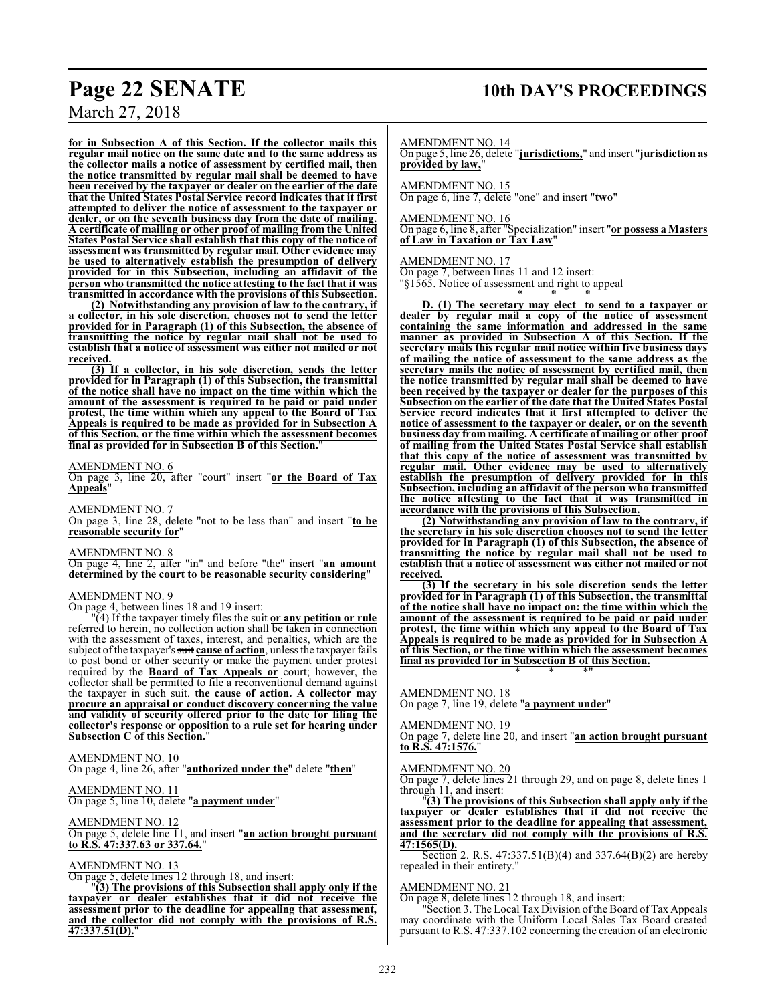**for in Subsection A of this Section. If the collector mails this regular mail notice on the same date and to the same address as the collector mails a notice of assessment by certified mail, then the notice transmitted by regular mail shall be deemed to have been received by the taxpayer or dealer on the earlier of the date that the United States Postal Service record indicates that it first attempted to deliver the notice of assessment to the taxpayer or dealer, or on the seventh business day from the date of mailing. A certificate of mailing or other proof of mailing from the United States Postal Service shall establish that this copy of the notice of assessment was transmitted by regular mail. Other evidence may be used to alternatively establish the presumption of delivery provided for in this Subsection, including an affidavit of the person who transmitted the notice attesting to the fact that it was transmitted in accordance with the provisions of this Subsection.**

**(2) Notwithstanding any provision of law to the contrary, if a collector, in his sole discretion, chooses not to send the letter provided for in Paragraph (1) of this Subsection, the absence of transmitting the notice by regular mail shall not be used to establish that a notice of assessment was either not mailed or not received.**

**(3) If a collector, in his sole discretion, sends the letter provided for in Paragraph (1) of this Subsection, the transmittal of the notice shall have no impact on the time within which the amount of the assessment is required to be paid or paid under protest, the time within which any appeal to the Board of Tax Appeals is required to be made as provided for in Subsection A of this Section, or the time within which the assessment becomes** final as provided for in Subsection **B** of this Section.

### AMENDMENT NO. 6

On page 3, line 20, after "court" insert "**or the Board of Tax Appeals**"

AMENDMENT NO. 7 On page 3, line 28, delete "not to be less than" and insert "**to be reasonable security for**"

AMENDMENT NO. 8

On page 4, line 2, after "in" and before "the" insert "**an amount determined by the court to be reasonable security considering**"

### AMENDMENT NO. 9

On page 4, between lines 18 and 19 insert:

"(4) If the taxpayer timely files the suit **or any petition or rule** referred to herein, no collection action shall be taken in connection with the assessment of taxes, interest, and penalties, which are the subject of the taxpayer's suit **cause of action**, unless the taxpayer fails to post bond or other security or make the payment under protest required by the **Board of Tax Appeals or** court; however, the collector shall be permitted to file a reconventional demand against the taxpayer in such suit. **the cause of action. A collector may procure an appraisal or conduct discovery concerning the value and validity of security offered prior to the date for filing the collector's response or opposition to a rule set for hearing under Subsection C of this Section.**"

AMENDMENT NO. 10 On page 4, line 26, after "**authorized under the**" delete "**then**"

AMENDMENT NO. 11 On page 5, line 10, delete "**a payment under**"

AMENDMENT NO. 12 On page 5, delete line 11, and insert "**an action brought pursuant to R.S. 47:337.63 or 337.64.**"

#### AMENDMENT NO. 13

On page 5, delete lines 12 through 18, and insert:

"**(3) The provisions of this Subsection shall apply only if the taxpayer or dealer establishes that it did not receive the assessment prior to the deadline for appealing that assessment, and the collector did not comply with the provisions of R.S. 47:337.51(D).**"

AMENDMENT NO. 14

On page 5, line 26, delete "**jurisdictions,**" and insert "**jurisdiction as** provided by law,

AMENDMENT NO. 15 On page 6, line 7, delete "one" and insert "**two**"

AMENDMENT NO. 16

On page 6, line 8, after "Specialization" insert "**or possess a Masters of Law in Taxation or Tax Law**"

### AMENDMENT NO. 17

On page 7, between lines 11 and 12 insert:

"§1565. Notice of assessment and right to appeal \* \* \*

**D. (1) The secretary may elect to send to a taxpayer or dealer by regular mail a copy of the notice of assessment containing the same information and addressed in the same manner as provided in Subsection A of this Section. If the secretary mails this regular mail notice within five business days of mailing the notice of assessment to the same address as the secretary mails the notice of assessment by certified mail, then the notice transmitted by regular mail shall be deemed to have been received by the taxpayer or dealer for the purposes of this Subsection on the earlier of the date that the United States Postal Service record indicates that it first attempted to deliver the notice of assessment to the taxpayer or dealer, or on the seventh business day from mailing. A certificate of mailing or other proof of mailing from the United States Postal Service shall establish that this copy of the notice of assessment was transmitted by regular mail. Other evidence may be used to alternatively establish the presumption of delivery provided for in this Subsection, including an affidavit of the person who transmitted the notice attesting to the fact that it was transmitted in accordance with the provisions of this Subsection.**

**(2) Notwithstanding any provision of law to the contrary, if the secretary in his sole discretion chooses not to send the letter provided for in Paragraph (1) of this Subsection, the absence of transmitting the notice by regular mail shall not be used to establish that a notice of assessment was either not mailed or not received.**

**(3) If the secretary in his sole discretion sends the letter provided for in Paragraph (1) of this Subsection, the transmittal of the notice shall have no impact on: the time within which the amount of the assessment is required to be paid or paid under protest, the time within which any appeal to the Board of Tax Appeals is required to be made as provided for in Subsection A of this Section, or the time within which the assessment becomes final as provided for in Subsection B of this Section.** \* \* \*"

AMENDMENT NO. 18 On page 7, line 19, delete "**a payment under**"

#### AMENDMENT NO. 19

On page 7, delete line 20, and insert "**an action brought pursuant to R.S. 47:1576.**"

### AMENDMENT NO. 20

On page 7, delete lines 21 through 29, and on page 8, delete lines 1 through 11, and insert:

"**(3) The provisions of this Subsection shall apply only if the taxpayer or dealer establishes that it did not receive the assessment prior to the deadline for appealing that assessment, and the secretary did not comply with the provisions of R.S. 47:1565(D).**

Section 2. R.S. 47:337.51(B)(4) and 337.64(B)(2) are hereby repealed in their entirety."

### AMENDMENT NO. 21

On page 8, delete lines 12 through 18, and insert:

Section 3. The Local Tax Division of the Board of Tax Appeals may coordinate with the Uniform Local Sales Tax Board created pursuant to R.S. 47:337.102 concerning the creation of an electronic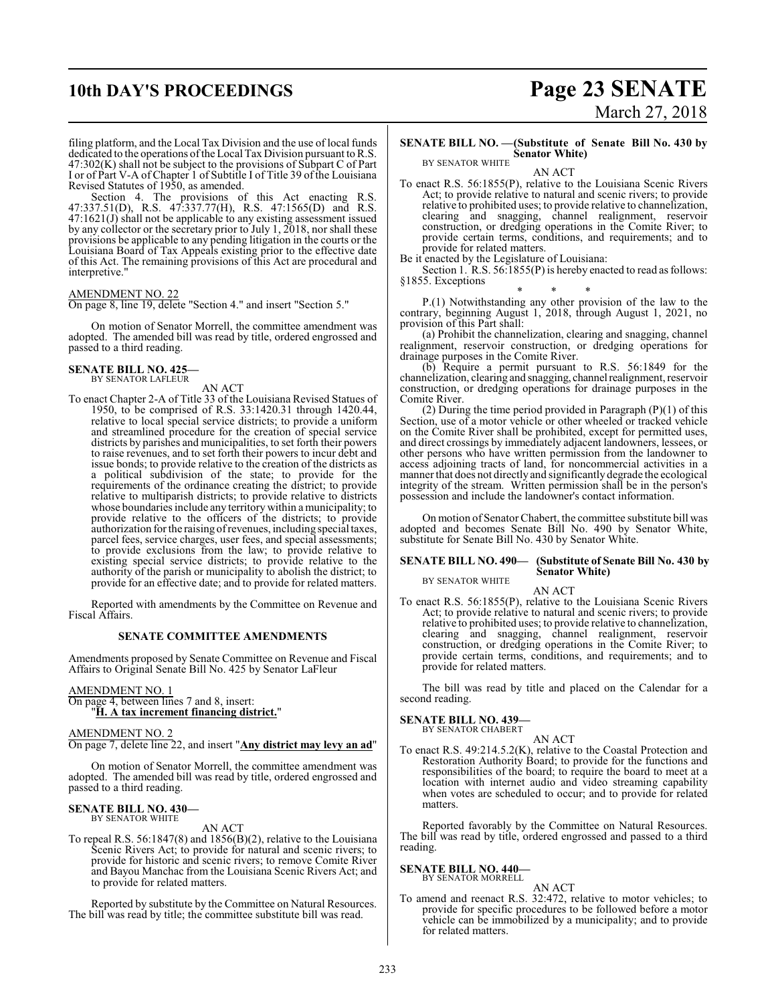## **10th DAY'S PROCEEDINGS Page 23 SENATE**

filing platform, and the Local Tax Division and the use of local funds dedicated to the operations ofthe Local Tax Division pursuant to R.S.  $47:302(K)$  shall not be subject to the provisions of Subpart C of Part I or of Part V-A of Chapter 1 of Subtitle I of Title 39 of the Louisiana Revised Statutes of 1950, as amended.

Section 4. The provisions of this Act enacting R.S. 47:337.51(D), R.S. 47:337.77(H), R.S. 47:1565(D) and R.S. 47:1621(J) shall not be applicable to any existing assessment issued by any collector or the secretary prior to July 1, 2018, nor shall these provisions be applicable to any pending litigation in the courts or the Louisiana Board of Tax Appeals existing prior to the effective date of this Act. The remaining provisions of this Act are procedural and interpretive."

### AMENDMENT NO. 22

On page 8, line 19, delete "Section 4." and insert "Section 5."

On motion of Senator Morrell, the committee amendment was adopted. The amended bill was read by title, ordered engrossed and passed to a third reading.

#### **SENATE BILL NO. 425—** BY SENATOR LAFLEUR

AN ACT

To enact Chapter 2-A of Title 33 of the Louisiana Revised Statues of 1950, to be comprised of R.S. 33:1420.31 through 1420.44, relative to local special service districts; to provide a uniform and streamlined procedure for the creation of special service districts by parishes and municipalities, to set forth their powers to raise revenues, and to set forth their powers to incur debt and issue bonds; to provide relative to the creation of the districts as a political subdivision of the state; to provide for the requirements of the ordinance creating the district; to provide relative to multiparish districts; to provide relative to districts whose boundaries include any territory within a municipality; to provide relative to the officers of the districts; to provide authorization for the raising ofrevenues, including special taxes, parcel fees, service charges, user fees, and special assessments; to provide exclusions from the law; to provide relative to existing special service districts; to provide relative to the authority of the parish or municipality to abolish the district; to provide for an effective date; and to provide for related matters.

Reported with amendments by the Committee on Revenue and Fiscal Affairs.

### **SENATE COMMITTEE AMENDMENTS**

Amendments proposed by Senate Committee on Revenue and Fiscal Affairs to Original Senate Bill No. 425 by Senator LaFleur

#### AMENDMENT NO. 1

On page 4, between lines 7 and 8, insert: "**H. A tax increment financing district.**"

AMENDMENT NO. 2

On page 7, delete line 22, and insert "**Any district may levy an ad**"

On motion of Senator Morrell, the committee amendment was adopted. The amended bill was read by title, ordered engrossed and passed to a third reading.

#### **SENATE BILL NO. 430—** BY SENATOR WHITE

AN ACT

To repeal R.S. 56:1847(8) and 1856(B)(2), relative to the Louisiana Scenic Rivers Act; to provide for natural and scenic rivers; to provide for historic and scenic rivers; to remove Comite River and Bayou Manchac from the Louisiana Scenic Rivers Act; and to provide for related matters.

Reported by substitute by the Committee on Natural Resources. The bill was read by title; the committee substitute bill was read.

# March 27, 2018

### **SENATE BILL NO. —(Substitute of Senate Bill No. 430 by Senator White)** BY SENATOR WHITE

AN ACT

To enact R.S. 56:1855(P), relative to the Louisiana Scenic Rivers Act; to provide relative to natural and scenic rivers; to provide relative to prohibited uses; to provide relative to channelization, clearing and snagging, channel realignment, reservoir construction, or dredging operations in the Comite River; to provide certain terms, conditions, and requirements; and to provide for related matters.

Be it enacted by the Legislature of Louisiana:

Section 1. R.S. 56:1855(P) is hereby enacted to read as follows: §1855. Exceptions

\* \* \* P.(1) Notwithstanding any other provision of the law to the contrary, beginning August 1, 2018, through August 1, 2021, no provision of this Part shall:

(a) Prohibit the channelization, clearing and snagging, channel realignment, reservoir construction, or dredging operations for drainage purposes in the Comite River.

(b) Require a permit pursuant to R.S. 56:1849 for the channelization, clearing and snagging, channelrealignment, reservoir construction, or dredging operations for drainage purposes in the Comite River.

(2) During the time period provided in Paragraph  $(P)(1)$  of this Section, use of a motor vehicle or other wheeled or tracked vehicle on the Comite River shall be prohibited, except for permitted uses, and direct crossings by immediately adjacent landowners, lessees, or other persons who have written permission from the landowner to access adjoining tracts of land, for noncommercial activities in a manner that does not directly and significantly degrade the ecological integrity of the stream. Written permission shall be in the person's possession and include the landowner's contact information.

On motion of Senator Chabert, the committee substitute bill was adopted and becomes Senate Bill No. 490 by Senator White, substitute for Senate Bill No. 430 by Senator White.

#### **SENATE BILL NO. 490— (Substitute of Senate Bill No. 430 by Senator White)** BY SENATOR WHITE

AN ACT

To enact R.S. 56:1855(P), relative to the Louisiana Scenic Rivers Act; to provide relative to natural and scenic rivers; to provide relative to prohibited uses; to provide relative to channelization, clearing and snagging, channel realignment, reservoir construction, or dredging operations in the Comite River; to provide certain terms, conditions, and requirements; and to provide for related matters.

The bill was read by title and placed on the Calendar for a second reading.

### **SENATE BILL NO. 439—**

BY SENATOR CHABERT AN ACT

To enact R.S. 49:214.5.2(K), relative to the Coastal Protection and Restoration Authority Board; to provide for the functions and responsibilities of the board; to require the board to meet at a location with internet audio and video streaming capability when votes are scheduled to occur; and to provide for related matters.

Reported favorably by the Committee on Natural Resources. The bill was read by title, ordered engrossed and passed to a third reading.

#### **SENATE BILL NO. 440—** BY SENATOR MORRELL

AN ACT

To amend and reenact R.S. 32:472, relative to motor vehicles; to provide for specific procedures to be followed before a motor vehicle can be immobilized by a municipality; and to provide for related matters.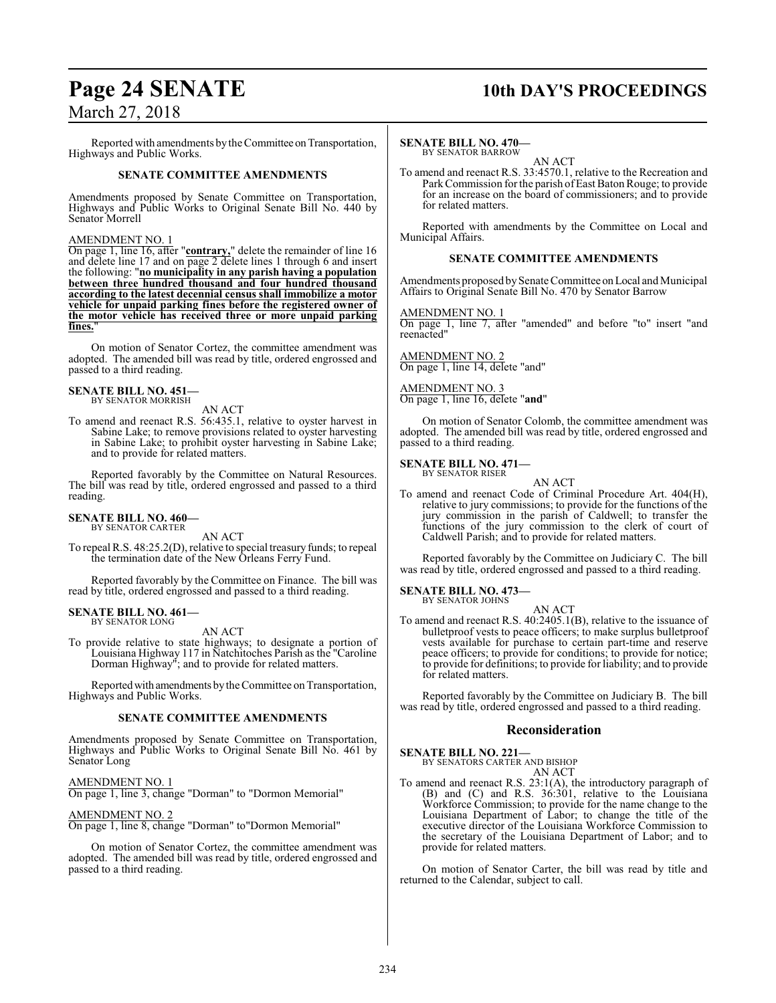Reported with amendments by the Committee on Transportation, Highways and Public Works.

### **SENATE COMMITTEE AMENDMENTS**

Amendments proposed by Senate Committee on Transportation, Highways and Public Works to Original Senate Bill No. 440 by Senator Morrell

### AMENDMENT NO. 1

On page 1, line 16, after "**contrary,**" delete the remainder of line 16 and delete line 17 and on page 2 delete lines 1 through 6 and insert the following: "**no municipality in any parish having a population between three hundred thousand and four hundred thousand according to the latest decennial census shall immobilize a motor vehicle for unpaid parking fines before the registered owner of the motor vehicle has received three or more unpaid parking** fines.

On motion of Senator Cortez, the committee amendment was adopted. The amended bill was read by title, ordered engrossed and passed to a third reading.

#### **SENATE BILL NO. 451—** BY SENATOR MORRISH

AN ACT

To amend and reenact R.S. 56:435.1, relative to oyster harvest in Sabine Lake; to remove provisions related to oyster harvesting in Sabine Lake; to prohibit oyster harvesting in Sabine Lake; and to provide for related matters.

Reported favorably by the Committee on Natural Resources. The bill was read by title, ordered engrossed and passed to a third reading.

#### **SENATE BILL NO. 460—** BY SENATOR CARTER

AN ACT

To repeal R.S. 48:25.2(D), relative to special treasury funds; to repeal the termination date of the New Orleans Ferry Fund.

Reported favorably by the Committee on Finance. The bill was read by title, ordered engrossed and passed to a third reading.

#### **SENATE BILL NO. 461—** BY SENATOR LONG

AN ACT

To provide relative to state highways; to designate a portion of Louisiana Highway 117 in Natchitoches Parish as the "Caroline Dorman Highway"; and to provide for related matters.

Reported with amendments by the Committee on Transportation, Highways and Public Works.

### **SENATE COMMITTEE AMENDMENTS**

Amendments proposed by Senate Committee on Transportation, Highways and Public Works to Original Senate Bill No. 461 by Senator Long

### AMENDMENT NO. 1

On page 1, line 3, change "Dorman" to "Dormon Memorial"

### AMENDMENT NO. 2

On page 1, line 8, change "Dorman" to"Dormon Memorial"

On motion of Senator Cortez, the committee amendment was adopted. The amended bill was read by title, ordered engrossed and passed to a third reading.

### **Page 24 SENATE 10th DAY'S PROCEEDINGS**

### **SENATE BILL NO. 470—**

BY SENATOR BARROW AN ACT

To amend and reenact R.S. 33:4570.1, relative to the Recreation and Park Commission for the parish of East Baton Rouge; to provide for an increase on the board of commissioners; and to provide for related matters.

Reported with amendments by the Committee on Local and Municipal Affairs.

### **SENATE COMMITTEE AMENDMENTS**

Amendments proposed by Senate Committee on Local and Municipal Affairs to Original Senate Bill No. 470 by Senator Barrow

### AMENDMENT NO. 1

On page 1, line 7, after "amended" and before "to" insert "and reenacted"

AMENDMENT NO. 2 On page 1, line 14, delete "and"

AMENDMENT NO. 3 On page 1, line 16, delete "**and**"

On motion of Senator Colomb, the committee amendment was adopted. The amended bill was read by title, ordered engrossed and passed to a third reading.

#### **SENATE BILL NO. 471—** BY SENATOR RISER

AN ACT

To amend and reenact Code of Criminal Procedure Art. 404(H), relative to jury commissions; to provide for the functions of the jury commission in the parish of Caldwell; to transfer the functions of the jury commission to the clerk of court of Caldwell Parish; and to provide for related matters.

Reported favorably by the Committee on Judiciary C. The bill was read by title, ordered engrossed and passed to a third reading.

### **SENATE BILL NO. 473—** BY SENATOR JOHNS

AN ACT To amend and reenact R.S. 40:2405.1(B), relative to the issuance of bulletproof vests to peace officers; to make surplus bulletproof vests available for purchase to certain part-time and reserve peace officers; to provide for conditions; to provide for notice; to provide for definitions; to provide for liability; and to provide for related matters.

Reported favorably by the Committee on Judiciary B. The bill was read by title, ordered engrossed and passed to a third reading.

### **Reconsideration**

**SENATE BILL NO. 221—** BY SENATORS CARTER AND BISHOP

AN ACT

To amend and reenact R.S. 23:1(A), the introductory paragraph of (B) and (C) and R.S. 36:301, relative to the Louisiana Workforce Commission; to provide for the name change to the Louisiana Department of Labor; to change the title of the executive director of the Louisiana Workforce Commission to the secretary of the Louisiana Department of Labor; and to provide for related matters.

On motion of Senator Carter, the bill was read by title and returned to the Calendar, subject to call.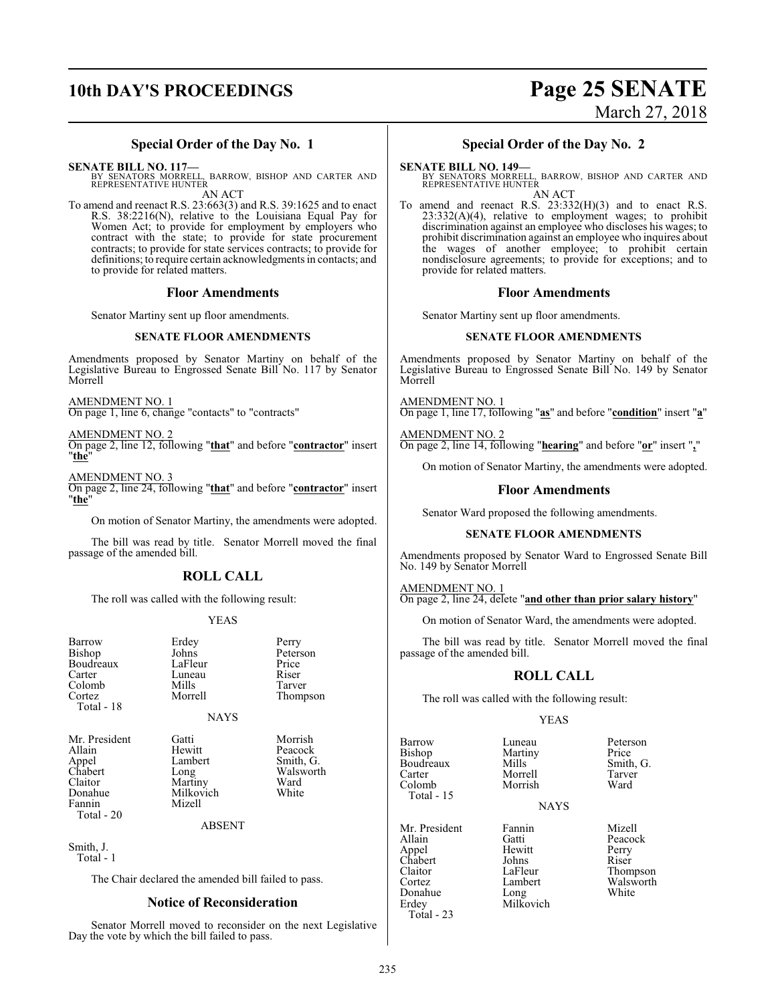# **10th DAY'S PROCEEDINGS Page 25 SENATE**

# March 27, 2018

### **Special Order of the Day No. 1**

**SENATE BILL NO. 117—**

BY SENATORS MORRELL, BARROW, BISHOP AND CARTER AND REPRESENTATIVE HUNTER AN ACT

To amend and reenact R.S. 23:663(3) and R.S. 39:1625 and to enact R.S. 38:2216(N), relative to the Louisiana Equal Pay for Women Act; to provide for employment by employers who contract with the state; to provide for state procurement contracts; to provide for state services contracts; to provide for definitions; to require certain acknowledgments in contacts; and to provide for related matters.

### **Floor Amendments**

Senator Martiny sent up floor amendments.

### **SENATE FLOOR AMENDMENTS**

Amendments proposed by Senator Martiny on behalf of the Legislative Bureau to Engrossed Senate Bill No. 117 by Senator Morrell

AMENDMENT NO. 1

On page 1, line 6, change "contacts" to "contracts"

AMENDMENT NO. 2

On page 2, line 12, following "**that**" and before "**contractor**" insert "**the**"

AMENDMENT NO. 3

On page 2, line 24, following "**that**" and before "**contractor**" insert "**the**"

On motion of Senator Martiny, the amendments were adopted.

The bill was read by title. Senator Morrell moved the final passage of the amended bill.

### **ROLL CALL**

The roll was called with the following result:

### YEAS

Johns Peterson<br>LaFleur Price

Thompson

Luneau Riser<br>Mills Tarver

Barrow Erdey Perry<br>Bishop Johns Peters Boudreaux LaFleur Price<br>Carter Luneau Riser Colomb Mills<br>Cortez Morrell Total - 18

Fannin Total - 20

NAYS Mr. President Gatti Morrish<br>Allain Hewitt Peacock Allain Hewitt Peacock<br>
Appel Lambert Smith, C Appel Lambert Smith, G.<br>
Chabert Long Walswort Chabert Long Walsworth<br>Claitor Martiny Ward Claitor Martiny Ward<br>
Donahue Milkovich White Milkovich<br>Mizell

### ABSENT

Smith, J. Total - 1

The Chair declared the amended bill failed to pass.

### **Notice of Reconsideration**

Senator Morrell moved to reconsider on the next Legislative Day the vote by which the bill failed to pass.

### **Special Order of the Day No. 2**

#### **SENATE BILL NO. 149—**

BY SENATORS MORRELL, BARROW, BISHOP AND CARTER AND REPRESENTATIVE HUNTER AN ACT

To amend and reenact R.S. 23:332(H)(3) and to enact R.S. 23:332(A)(4), relative to employment wages; to prohibit discrimination against an employee who discloses his wages; to prohibit discrimination against an employee who inquires about the wages of another employee; to prohibit certain nondisclosure agreements; to provide for exceptions; and to provide for related matters.

### **Floor Amendments**

Senator Martiny sent up floor amendments.

### **SENATE FLOOR AMENDMENTS**

Amendments proposed by Senator Martiny on behalf of the Legislative Bureau to Engrossed Senate Bill No. 149 by Senator Morrell

AMENDMENT NO. 1 On page 1, line 17, following "**as**" and before "**condition**" insert "**a**"

AMENDMENT NO. 2 On page 2, line 14, following "**hearing**" and before "**or**" insert "**,**"

On motion of Senator Martiny, the amendments were adopted.

### **Floor Amendments**

Senator Ward proposed the following amendments.

### **SENATE FLOOR AMENDMENTS**

Amendments proposed by Senator Ward to Engrossed Senate Bill No. 149 by Senator Morrell

AMENDMENT NO. 1

On page 2, line 24, delete "**and other than prior salary history**"

On motion of Senator Ward, the amendments were adopted.

The bill was read by title. Senator Morrell moved the final passage of the amended bill.

### **ROLL CALL**

The roll was called with the following result:

### YEAS

Morrish

Total - 15

Barrow Luneau Peterson<br>Bishop Martiny Price Martiny Price<br>
Mills Smith, G. Boudreaux Mills Smith,<br>Carter Morrell Tarver Carter Morrell Tarver

**NAYS** 

Mr. President Fannin Mizell<br>Allain Gatti Peacoc Appel Hewitt Perry Chabert Johns<br>Claitor LaFleur Claitor LaFleur Thompson<br>Cortez Lambert Walsworth Donahue<br>Erdev Milkovich Total - 23

Gatti Peacock<br>
Hewitt Perry Lambert Walsworth<br>
Long White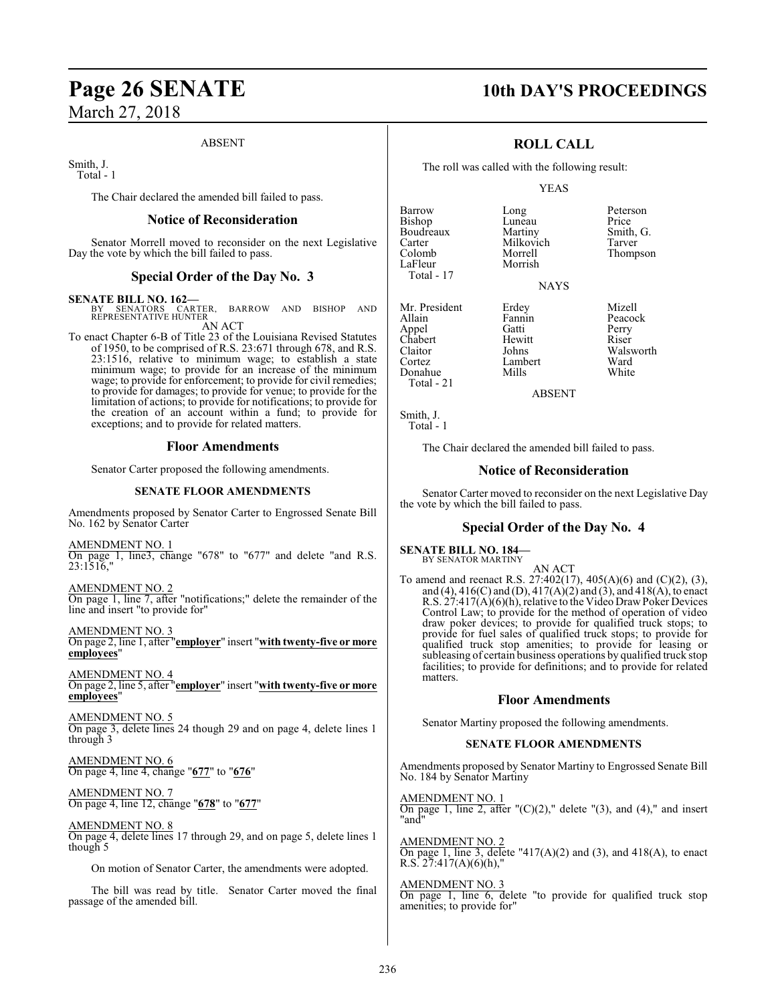### ABSENT

Smith, J. Total - 1

The Chair declared the amended bill failed to pass.

### **Notice of Reconsideration**

Senator Morrell moved to reconsider on the next Legislative Day the vote by which the bill failed to pass.

### **Special Order of the Day No. 3**

**SENATE BILL NO. 162—** BY SENATORS CARTER, BARROW AND BISHOP AND REPRESENTATIVE HUNTER AN ACT

To enact Chapter 6-B of Title 23 of the Louisiana Revised Statutes of 1950, to be comprised of R.S. 23:671 through 678, and R.S. 23:1516, relative to minimum wage; to establish a state minimum wage; to provide for an increase of the minimum wage; to provide for enforcement; to provide for civil remedies; to provide for damages; to provide for venue; to provide for the limitation of actions; to provide for notifications; to provide for the creation of an account within a fund; to provide for exceptions; and to provide for related matters.

### **Floor Amendments**

Senator Carter proposed the following amendments.

### **SENATE FLOOR AMENDMENTS**

Amendments proposed by Senator Carter to Engrossed Senate Bill No. 162 by Senator Carter

AMENDMENT NO. 1 On page 1, line3, change "678" to "677" and delete "and R.S. 23:1516,"

AMENDMENT NO. 2 On page 1, line 7, after "notifications;" delete the remainder of the line and insert "to provide for"

AMENDMENT NO. 3 On page 2, line 1, after "**employer**" insert "**with twenty-five or more employees**"

AMENDMENT NO. 4 On page 2, line 5, after "**employer**" insert "**with twenty-five or more employees**"

AMENDMENT NO. 5 On page 3, delete lines 24 though 29 and on page 4, delete lines 1 through 3

AMENDMENT NO. 6 On page 4, line 4, change "**677**" to "**676**"

AMENDMENT NO. 7 On page 4, line 12, change "**678**" to "**677**"

AMENDMENT NO. 8 On page 4, delete lines 17 through 29, and on page 5, delete lines 1 though 5

On motion of Senator Carter, the amendments were adopted.

The bill was read by title. Senator Carter moved the final passage of the amended bill.

### **Page 26 SENATE 10th DAY'S PROCEEDINGS**

### **ROLL CALL**

The roll was called with the following result:

Morrish

### YEAS

**NAYS** 

Barrow Long Deterson<br>Bishop Luneau Price Bishop Luneau Price<br>Boudreaux Martiny Smith, G. Boudreaux Martiny Smith,<br>Carter Milkovich Tarver Carter Milkovich<br>Colomb Morrell Colomb Morrell Thompson Total - 17

Chabert Hewit<br>Claitor Johns Total - 21

Mr. President Erdey Mizell<br>Allain Fannin Peacoc Fannin Peacock<br>Gatti Perry Appel Gatti Perry Claitor Johns Walsworth Lambert Ward<br>
Whils White

ABSENT

Smith, J. Total - 1

Donahue

The Chair declared the amended bill failed to pass.

### **Notice of Reconsideration**

Senator Carter moved to reconsider on the next Legislative Day the vote by which the bill failed to pass.

### **Special Order of the Day No. 4**

**SENATE BILL NO. 184—** BY SENATOR MARTINY

AN ACT To amend and reenact R.S. 27:402(17), 405(A)(6) and (C)(2), (3), and (4),  $416(C)$  and (D),  $417(A)(2)$  and (3), and  $418(A)$ , to enact R.S. 27:417(A)(6)(h), relative to the Video DrawPoker Devices Control Law; to provide for the method of operation of video draw poker devices; to provide for qualified truck stops; to provide for fuel sales of qualified truck stops; to provide for qualified truck stop amenities; to provide for leasing or subleasing of certain business operations by qualified truck stop facilities; to provide for definitions; and to provide for related matters.

### **Floor Amendments**

Senator Martiny proposed the following amendments.

### **SENATE FLOOR AMENDMENTS**

Amendments proposed by Senator Martiny to Engrossed Senate Bill No. 184 by Senator Martiny

AMENDMENT NO. 1 On page 1, line 2, after  $C(1)(2)$ ," delete  $C(3)$ , and  $(4)$ ," and insert "and"

AMENDMENT NO. 2 On page 1, line 3, delete "417(A)(2) and (3), and 418(A), to enact R.S.  $27:417(A)(6)(h)$ ,"

AMENDMENT NO. 3 On page 1, line 6, delete "to provide for qualified truck stop amenities; to provide for"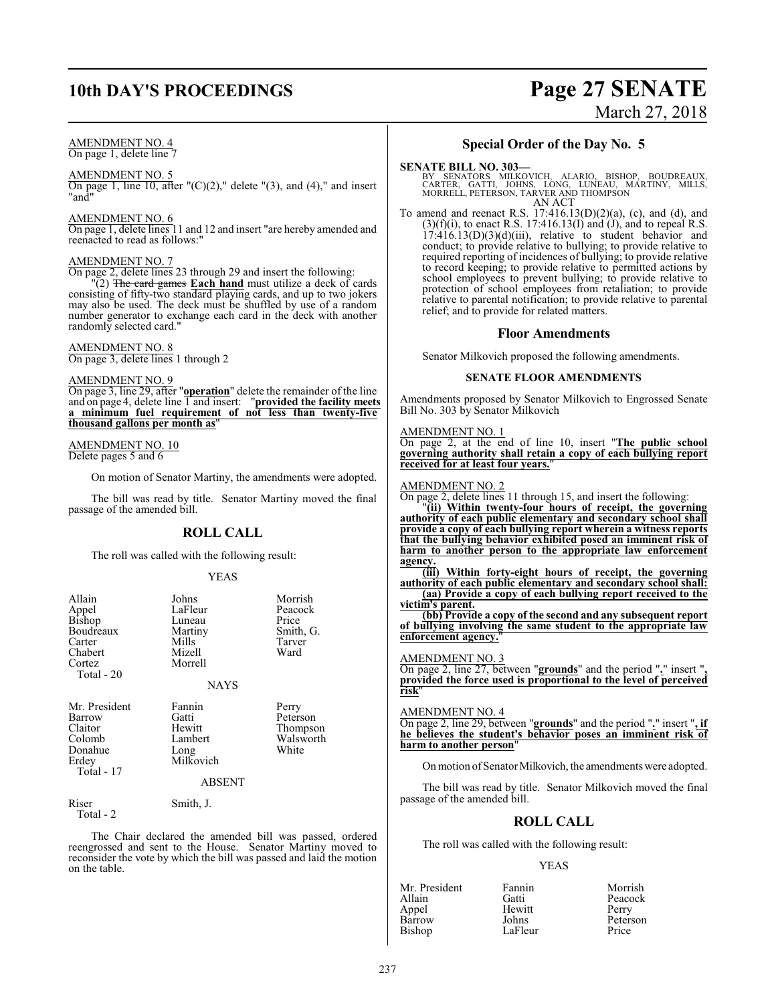### **10th DAY'S PROCEEDINGS Page 27 SENATE**

### AMENDMENT NO. 4

On page 1, delete line 7

### AMENDMENT NO. 5

On page 1, line 10, after " $(C)(2)$ ," delete " $(3)$ , and  $(4)$ ," and insert "and"

### AMENDMENT NO. 6

On page 1, delete lines 11 and 12 and insert "are hereby amended and reenacted to read as follows:"

### AMENDMENT NO. 7

On page 2, delete lines 23 through 29 and insert the following:

"(2) The card games **Each hand** must utilize a deck of cards consisting of fifty-two standard playing cards, and up to two jokers may also be used. The deck must be shuffled by use of a random number generator to exchange each card in the deck with another randomly selected card."

### AMENDMENT NO. 8

On page 3, delete lines 1 through 2

### AMENDMENT NO. 9

On page 3, line 29, after "**operation**" delete the remainder of the line and on page 4, delete line 1 and insert: "**provided the facility meets a minimum fuel requirement of not less than twenty-five thousand gallons per month as**"

### AMENDMENT NO. 10 Delete pages 5 and 6

On motion of Senator Martiny, the amendments were adopted.

The bill was read by title. Senator Martiny moved the final passage of the amended bill.

### **ROLL CALL**

The roll was called with the following result:

### YEAS

| Allain<br>Appel<br><b>Bishop</b><br>Boudreaux<br>Carter<br>Chabert<br>Cortez<br>Total - 20 | Johns<br>LaFleur<br>Luneau<br>Martiny<br>Mills<br>Mizell<br>Morrell<br><b>NAYS</b> | Morrish<br>Peacock<br>Price<br>Smith, G.<br>Tarver<br>Ward |
|--------------------------------------------------------------------------------------------|------------------------------------------------------------------------------------|------------------------------------------------------------|
| Mr. President<br>Barrow<br>Claitor<br>Colomb<br>Donahue<br>Erdey<br>Total - 17             | Fannin<br>Gatti<br>Hewitt<br>Lambert<br>Long<br>Milkovich<br><b>ABSENT</b>         | Perry<br>Peterson<br>Thompson<br>Walsworth<br>White        |
| Riser<br>Total - 2                                                                         | Smith, J.                                                                          |                                                            |

The Chair declared the amended bill was passed, ordered reengrossed and sent to the House. Senator Martiny moved to reconsider the vote by which the bill was passed and laid the motion on the table.

### **Special Order of the Day No. 5**

March 27, 2018

**SENATE BILL NO. 303—**<br>BY SENATORS MILKOVICH, ALARIO, BISHOP, BOUDREAUX,<br>CARTER, GATTI, JOHNS, LONG, LUNEAU, MARTINY, MILLS,<br>MORRELL, PETERSON, TARVER AND THOMPSON AN ACT

To amend and reenact R.S. 17:416.13(D)(2)(a), (c), and (d), and  $(3)(f)(i)$ , to enact R.S. 17:416.13(I) and (J), and to repeal R.S.  $17:416.13(D)(3)(d)(iii)$ , relative to student behavior and conduct; to provide relative to bullying; to provide relative to required reporting of incidences of bullying; to provide relative to record keeping; to provide relative to permitted actions by school employees to prevent bullying; to provide relative to protection of school employees from retaliation; to provide relative to parental notification; to provide relative to parental relief; and to provide for related matters.

### **Floor Amendments**

Senator Milkovich proposed the following amendments.

### **SENATE FLOOR AMENDMENTS**

Amendments proposed by Senator Milkovich to Engrossed Senate Bill No. 303 by Senator Milkovich

### AMENDMENT NO. 1

On page 2, at the end of line 10, insert "**The public school governing authority shall retain a copy of each bullying report received for at least four years.**"

### AMENDMENT NO. 2

On page 2, delete lines 11 through 15, and insert the following:

"**(ii) Within twenty-four hours of receipt, the governing authority of each public elementary and secondary school shall provide a copy of each bullying report wherein a witness reports that the bullying behavior exhibited posed an imminent risk of harm to another person to the appropriate law enforcement agency.**

**(iii) Within forty-eight hours of receipt, the governing authority of each public elementary and secondary school shall: (aa) Provide a copy of each bullying report received to the**

**victim's parent.**

**(bb) Provide a copy of the second and any subsequent report of bullying involving the same student to the appropriate law enforcement agency.**"

### AMENDMENT NO. 3

On page 2, line 27, between "**grounds**" and the period "**.**" insert "**, provided the force used is proportional to the level of perceived risk**"

### AMENDMENT NO. 4

On page 2, line 29, between "**grounds**" and the period "**.**" insert "**, if he believes the student's behavior poses an imminent risk of harm to another person**"

On motion of Senator Milkovich, the amendments were adopted.

The bill was read by title. Senator Milkovich moved the final passage of the amended bill.

### **ROLL CALL**

The roll was called with the following result:

### YEAS

| Mr. President | Fannin  | Morrish  |
|---------------|---------|----------|
| Allain        | Gatti   | Peacock  |
| Appel         | Hewitt  | Perry    |
| Barrow        | Johns   | Peterson |
| Bishop        | LaFleur | Price    |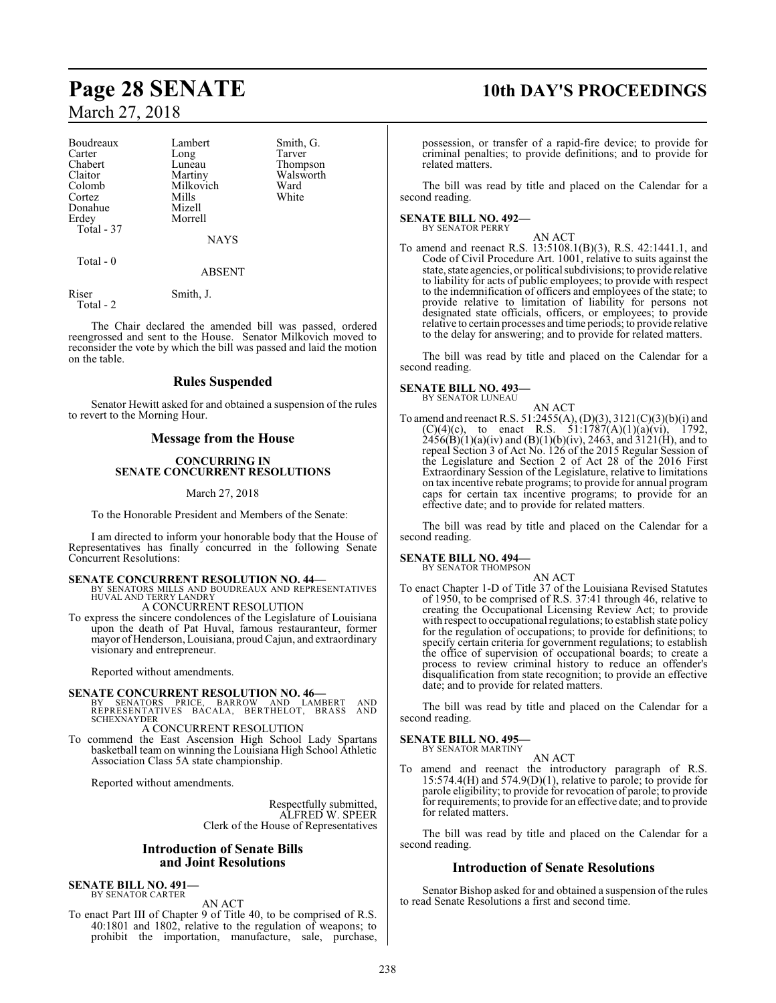| Boudreaux  | Lambert       | Smith, G. |
|------------|---------------|-----------|
| Carter     | Long          | Tarver    |
| Chabert    | Luneau        | Thompson  |
| Claitor    | Martiny       | Walsworth |
| Colomb     | Milkovich     | Ward      |
| Cortez     | Mills         | White     |
| Donahue    | Mizell        |           |
| Erdey      | Morrell       |           |
| Total - 37 |               |           |
|            | NAYS          |           |
| Total - 0  |               |           |
|            | <b>ABSENT</b> |           |
|            |               |           |

Riser Smith, J. Total - 2

The Chair declared the amended bill was passed, ordered reengrossed and sent to the House. Senator Milkovich moved to reconsider the vote by which the bill was passed and laid the motion on the table.

### **Rules Suspended**

Senator Hewitt asked for and obtained a suspension of the rules to revert to the Morning Hour.

### **Message from the House**

### **CONCURRING IN SENATE CONCURRENT RESOLUTIONS**

### March 27, 2018

To the Honorable President and Members of the Senate:

I am directed to inform your honorable body that the House of Representatives has finally concurred in the following Senate Concurrent Resolutions:

### **SENATE CONCURRENT RESOLUTION NO. 44—**

- BY SENATORS MILLS AND BOUDREAUX AND REPRESENTATIVES HUVAL AND TERRY LANDRY A CONCURRENT RESOLUTION
- To express the sincere condolences of the Legislature of Louisiana upon the death of Pat Huval, famous restauranteur, former mayor ofHenderson, Louisiana, proudCajun, and extraordinary visionary and entrepreneur.

Reported without amendments.

**SENATE CONCURRENT RESOLUTION NO. 46—**<br>
BY SENATORS PRICE, BARROW AND LAMBERT AND<br>
REPRESENTATIVES BACALA, BERTHELOT, BRASS AND<br>
SCHEXNAYDER

### A CONCURRENT RESOLUTION

To commend the East Ascension High School Lady Spartans basketball team on winning the Louisiana High School Athletic Association Class 5A state championship.

Reported without amendments.

Respectfully submitted, ALFRED W. SPEER Clerk of the House of Representatives

### **Introduction of Senate Bills and Joint Resolutions**

#### **SENATE BILL NO. 491** BY SENATOR CARTER

AN ACT

To enact Part III of Chapter 9 of Title 40, to be comprised of R.S. 40:1801 and 1802, relative to the regulation of weapons; to prohibit the importation, manufacture, sale, purchase,

### **Page 28 SENATE 10th DAY'S PROCEEDINGS**

possession, or transfer of a rapid-fire device; to provide for criminal penalties; to provide definitions; and to provide for related matters.

The bill was read by title and placed on the Calendar for a second reading.

### **SENATE BILL NO. 492—** BY SENATOR PERRY

AN ACT To amend and reenact R.S. 13:5108.1(B)(3), R.S. 42:1441.1, and Code of Civil Procedure Art. 1001, relative to suits against the state, state agencies, or political subdivisions; to provide relative to liability for acts of public employees; to provide with respect to the indemnification of officers and employees of the state; to provide relative to limitation of liability for persons not designated state officials, officers, or employees; to provide relative to certain processes and time periods; to provide relative to the delay for answering; and to provide for related matters.

The bill was read by title and placed on the Calendar for a second reading.

### **SENATE BILL NO. 493—**

BY SENATOR LUNEAU

AN ACT To amend and reenact R.S. 51:2455(A), (D)(3), 3121(C)(3)(b)(i) and  $(C)(4)(c)$ , to enact R.S. 51:1787(A)(1)(a)(vi), 1792,  $2456(B)(1)(a)(iv)$  and  $(B)(1)(b)(iv)$ , 2463, and 3121(H), and to repeal Section 3 of Act No. 126 of the 2015 Regular Session of the Legislature and Section 2 of Act 28 of the 2016 First Extraordinary Session of the Legislature, relative to limitations on tax incentive rebate programs; to provide for annual program caps for certain tax incentive programs; to provide for an effective date; and to provide for related matters.

The bill was read by title and placed on the Calendar for a second reading.

### **SENATE BILL NO. 494—**

BY SENATOR THOMPSON AN ACT

To enact Chapter 1-D of Title 37 of the Louisiana Revised Statutes of 1950, to be comprised of R.S. 37:41 through 46, relative to creating the Occupational Licensing Review Act; to provide with respect to occupational regulations; to establish state policy for the regulation of occupations; to provide for definitions; to specify certain criteria for government regulations; to establish the office of supervision of occupational boards; to create a process to review criminal history to reduce an offender's disqualification from state recognition; to provide an effective date; and to provide for related matters.

The bill was read by title and placed on the Calendar for a second reading.

### **SENATE BILL NO. 495—**

BY SENATOR MARTINY AN ACT

To amend and reenact the introductory paragraph of R.S. 15:574.4(H) and 574.9(D)(1), relative to parole; to provide for parole eligibility; to provide for revocation of parole; to provide for requirements; to provide for an effective date; and to provide for related matters.

The bill was read by title and placed on the Calendar for a second reading.

### **Introduction of Senate Resolutions**

Senator Bishop asked for and obtained a suspension of the rules to read Senate Resolutions a first and second time.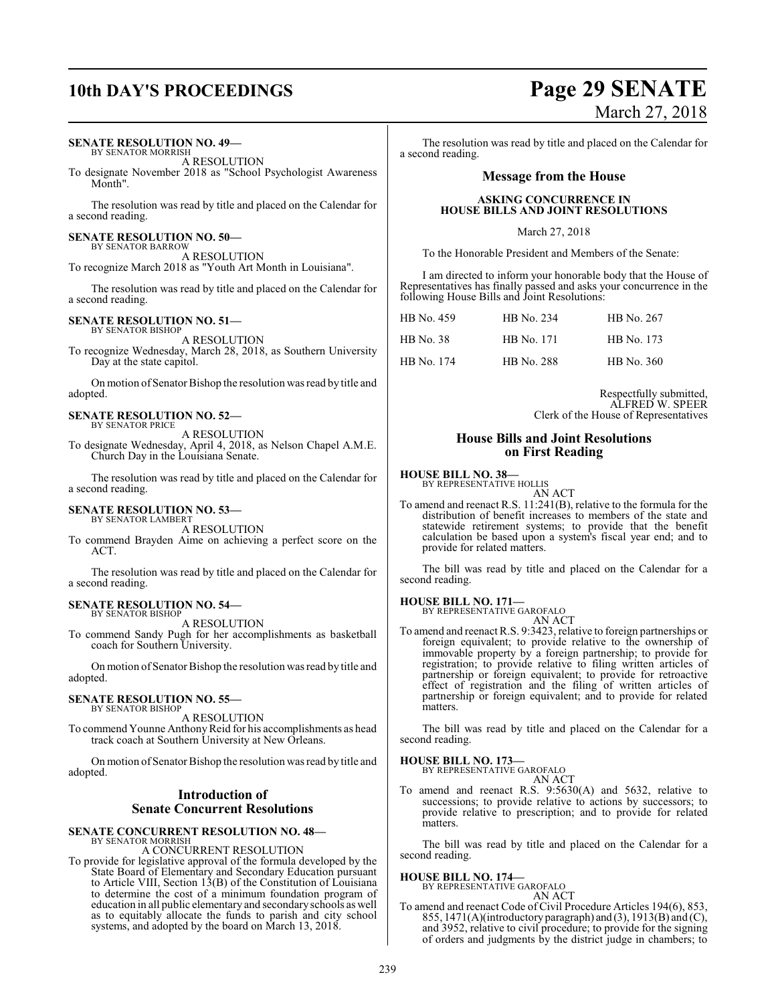### **SENATE RESOLUTION NO. 49—**

BY SENATOR MORRISH A RESOLUTION

To designate November 2018 as "School Psychologist Awareness Month".

The resolution was read by title and placed on the Calendar for a second reading.

#### **SENATE RESOLUTION NO. 50—** BY SENATOR BARROW

A RESOLUTION To recognize March 2018 as "Youth Art Month in Louisiana".

The resolution was read by title and placed on the Calendar for a second reading.

#### **SENATE RESOLUTION NO. 51—** BY SENATOR BISHOP

A RESOLUTION

To recognize Wednesday, March 28, 2018, as Southern University Day at the state capitol.

On motion of Senator Bishop the resolution was read by title and adopted.

#### **SENATE RESOLUTION NO. 52—** BY SENATOR PRICE

A RESOLUTION

To designate Wednesday, April 4, 2018, as Nelson Chapel A.M.E. Church Day in the Louisiana Senate.

The resolution was read by title and placed on the Calendar for a second reading.

#### **SENATE RESOLUTION NO. 53—** BY SENATOR LAMBERT

A RESOLUTION

To commend Brayden Aime on achieving a perfect score on the ACT.

The resolution was read by title and placed on the Calendar for a second reading.

#### **SENATE RESOLUTION NO. 54—** BY SENATOR BISHOP

A RESOLUTION

To commend Sandy Pugh for her accomplishments as basketball coach for Southern University.

On motion of Senator Bishop the resolution was read by title and adopted.

#### **SENATE RESOLUTION NO. 55—** BY SENATOR BISHOP

A RESOLUTION

To commend Younne Anthony Reid for his accomplishments as head track coach at Southern University at New Orleans.

On motion of Senator Bishop the resolution was read by title and adopted.

### **Introduction of Senate Concurrent Resolutions**

#### **SENATE CONCURRENT RESOLUTION NO. 48—** BY SENATOR MORRISH

A CONCURRENT RESOLUTION

To provide for legislative approval of the formula developed by the State Board of Elementary and Secondary Education pursuant to Article VIII, Section 13(B) of the Constitution of Louisiana to determine the cost of a minimum foundation program of education in all public elementary and secondaryschools as well as to equitably allocate the funds to parish and city school systems, and adopted by the board on March 13, 2018.

## **10th DAY'S PROCEEDINGS Page 29 SENATE** March 27, 2018

The resolution was read by title and placed on the Calendar for a second reading.

### **Message from the House**

### **ASKING CONCURRENCE IN HOUSE BILLS AND JOINT RESOLUTIONS**

March 27, 2018

To the Honorable President and Members of the Senate:

I am directed to inform your honorable body that the House of Representatives has finally passed and asks your concurrence in the following House Bills and Joint Resolutions:

| HB No. 459 | HB No. 234 | HB No. 267        |
|------------|------------|-------------------|
| HB No. 38  | HB No. 171 | HB No. 173        |
| HB No. 174 | HB No. 288 | <b>HB</b> No. 360 |

Respectfully submitted, ALFRED W. SPEER Clerk of the House of Representatives

### **House Bills and Joint Resolutions on First Reading**

### **HOUSE BILL NO. 38—**

BY REPRESENTATIVE HOLLIS AN ACT

To amend and reenact R.S. 11:241(B), relative to the formula for the distribution of benefit increases to members of the state and statewide retirement systems; to provide that the benefit calculation be based upon a system's fiscal year end; and to provide for related matters.

The bill was read by title and placed on the Calendar for a second reading.

### **HOUSE BILL NO. 171—**

BY REPRESENTATIVE GAROFALO AN ACT

To amend and reenact R.S. 9:3423, relative to foreign partnerships or foreign equivalent; to provide relative to the ownership of immovable property by a foreign partnership; to provide for registration; to provide relative to filing written articles of partnership or foreign equivalent; to provide for retroactive effect of registration and the filing of written articles of partnership or foreign equivalent; and to provide for related matters.

The bill was read by title and placed on the Calendar for a second reading.

### **HOUSE BILL NO. 173—**

BY REPRESENTATIVE GAROFALO AN ACT

To amend and reenact R.S. 9:5630(A) and 5632, relative to successions; to provide relative to actions by successors; to provide relative to prescription; and to provide for related matters.

The bill was read by title and placed on the Calendar for a second reading.

## **HOUSE BILL NO. 174—** BY REPRESENTATIVE GAROFALO

- AN ACT
- To amend and reenact Code of Civil Procedure Articles 194(6), 853, 855, 1471(A)(introductory paragraph) and (3), 1913(B) and (C), and 3952, relative to civil procedure; to provide for the signing of orders and judgments by the district judge in chambers; to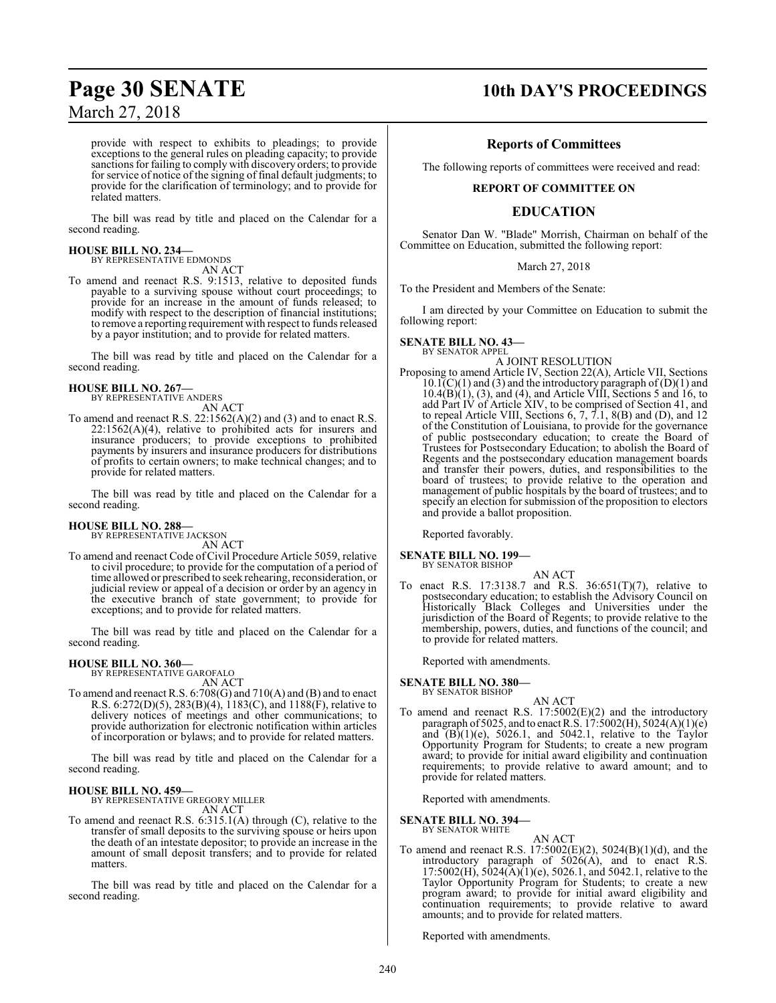provide with respect to exhibits to pleadings; to provide exceptions to the general rules on pleading capacity; to provide sanctions for failing to comply with discovery orders; to provide for service of notice of the signing of final default judgments; to provide for the clarification of terminology; and to provide for related matters.

The bill was read by title and placed on the Calendar for a second reading.

#### **HOUSE BILL NO. 234—** BY REPRESENTATIVE EDMONDS

AN ACT

To amend and reenact R.S. 9:1513, relative to deposited funds payable to a surviving spouse without court proceedings; to provide for an increase in the amount of funds released; to modify with respect to the description of financial institutions; to remove a reporting requirement with respect to funds released by a payor institution; and to provide for related matters.

The bill was read by title and placed on the Calendar for a second reading.

## **HOUSE BILL NO. 267—** BY REPRESENTATIVE ANDERS

AN ACT

To amend and reenact R.S. 22:1562(A)(2) and (3) and to enact R.S. 22:1562(A)(4), relative to prohibited acts for insurers and insurance producers; to provide exceptions to prohibited payments by insurers and insurance producers for distributions of profits to certain owners; to make technical changes; and to provide for related matters.

The bill was read by title and placed on the Calendar for a second reading.

## **HOUSE BILL NO. 288—** BY REPRESENTATIVE JACKSON

AN ACT

To amend and reenact Code ofCivil Procedure Article 5059, relative to civil procedure; to provide for the computation of a period of time allowed or prescribed to seek rehearing, reconsideration, or judicial review or appeal of a decision or order by an agency in the executive branch of state government; to provide for exceptions; and to provide for related matters.

The bill was read by title and placed on the Calendar for a second reading.

### **HOUSE BILL NO. 360—** BY REPRESENTATIVE GAROFALO

AN ACT

To amend and reenact R.S. 6:708(G) and 710(A) and (B) and to enact R.S. 6:272(D)(5), 283(B)(4), 1183(C), and 1188(F), relative to delivery notices of meetings and other communications; to provide authorization for electronic notification within articles of incorporation or bylaws; and to provide for related matters.

The bill was read by title and placed on the Calendar for a second reading.

### **HOUSE BILL NO. 459—**

BY REPRESENTATIVE GREGORY MILLER AN ACT

To amend and reenact R.S. 6:315.1(A) through (C), relative to the transfer of small deposits to the surviving spouse or heirs upon the death of an intestate depositor; to provide an increase in the amount of small deposit transfers; and to provide for related matters.

The bill was read by title and placed on the Calendar for a second reading.

### **Page 30 SENATE 10th DAY'S PROCEEDINGS**

### **Reports of Committees**

The following reports of committees were received and read:

### **REPORT OF COMMITTEE ON**

### **EDUCATION**

Senator Dan W. "Blade" Morrish, Chairman on behalf of the Committee on Education, submitted the following report:

### March 27, 2018

To the President and Members of the Senate:

I am directed by your Committee on Education to submit the following report:

### **SENATE BILL NO. 43—**

BY SENATOR APPEL A JOINT RESOLUTION

Proposing to amend Article IV, Section 22(A), Article VII, Sections  $10.1(C)(1)$  and (3) and the introductory paragraph of (D)(1) and  $10.4(B)(1)$ ,  $(3)$ , and  $(4)$ , and Article VIII, Sections 5 and 16, to add Part IV of Article XIV, to be comprised of Section 41, and to repeal Article VIII, Sections 6, 7, 7.1, 8(B) and (D), and 12 of the Constitution of Louisiana, to provide for the governance of public postsecondary education; to create the Board of Trustees for Postsecondary Education; to abolish the Board of Regents and the postsecondary education management boards and transfer their powers, duties, and responsibilities to the board of trustees; to provide relative to the operation and management of public hospitals by the board of trustees; and to specify an election for submission of the proposition to electors and provide a ballot proposition.

Reported favorably.

## **SENATE BILL NO. 199—** BY SENATOR BISHOP

AN ACT To enact R.S. 17:3138.7 and R.S. 36:651(T)(7), relative to postsecondary education; to establish the Advisory Council on Historically Black Colleges and Universities under the jurisdiction of the Board of Regents; to provide relative to the membership, powers, duties, and functions of the council; and to provide for related matters.

Reported with amendments.

### **SENATE BILL NO. 380—** BY SENATOR BISHOP

AN ACT To amend and reenact R.S. 17:5002(E)(2) and the introductory paragraph of 5025, and to enact R.S.  $17:5002(H)$ , 5024(A)(1)(e) and  $(B)(1)(e)$ , 5026.1, and 5042.1, relative to the Taylor Opportunity Program for Students; to create a new program award; to provide for initial award eligibility and continuation requirements; to provide relative to award amount; and to provide for related matters.

Reported with amendments.

**SENATE BILL NO. 394—** BY SENATOR WHITE

AN ACT

To amend and reenact R.S. 17:5002(E)(2), 5024(B)(1)(d), and the introductory paragraph of 5026(A), and to enact R.S.  $17:5002(H)$ ,  $5024(A)(1)(e)$ ,  $5026.1$ , and  $5042.1$ , relative to the Taylor Opportunity Program for Students; to create a new program award; to provide for initial award eligibility and continuation requirements; to provide relative to award amounts; and to provide for related matters.

Reported with amendments.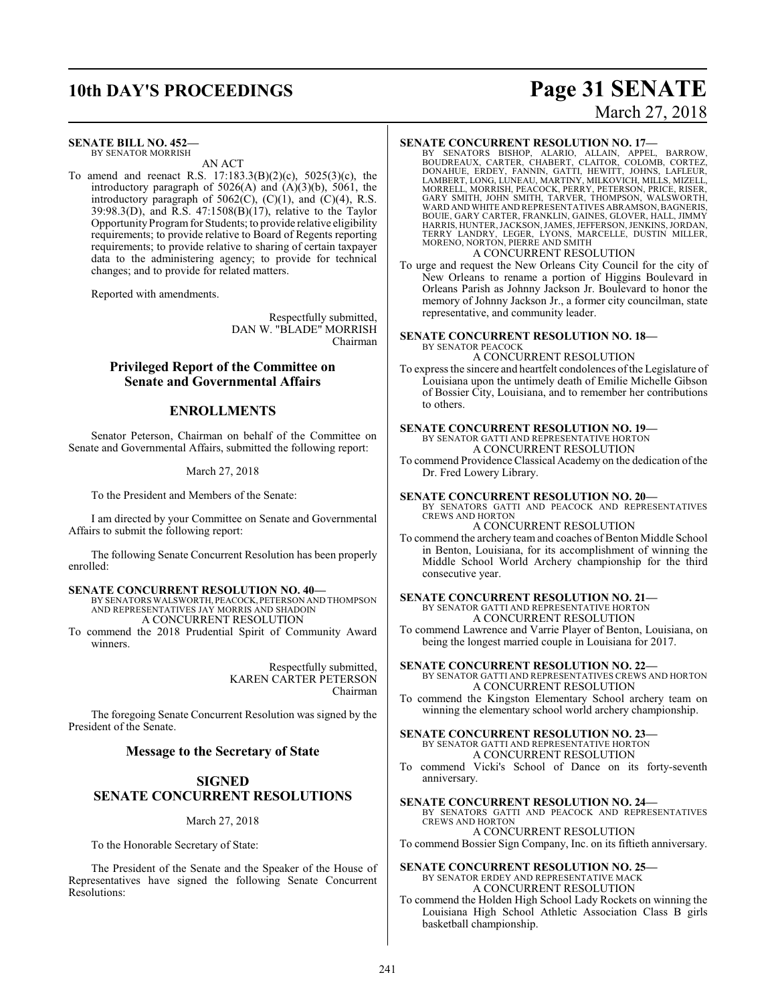## **10th DAY'S PROCEEDINGS Page 31 SENATE**

### **SENATE BILL NO. 452—**

BY SENATOR MORRISH AN ACT

To amend and reenact R.S. 17:183.3(B)(2)(c), 5025(3)(c), the introductory paragraph of  $5026(A)$  and  $(A)(3)(b)$ ,  $5061$ , the introductory paragraph of  $5062(C)$ ,  $(C)(1)$ , and  $(C)(4)$ , R.S.  $39:98.3(D)$ , and R.S.  $47:1508(B)(17)$ , relative to the Taylor Opportunity Program for Students; to provide relative eligibility requirements; to provide relative to Board of Regents reporting requirements; to provide relative to sharing of certain taxpayer data to the administering agency; to provide for technical changes; and to provide for related matters.

Reported with amendments.

Respectfully submitted, DAN W. "BLADE" MORRISH Chairman

### **Privileged Report of the Committee on Senate and Governmental Affairs**

### **ENROLLMENTS**

Senator Peterson, Chairman on behalf of the Committee on Senate and Governmental Affairs, submitted the following report:

### March 27, 2018

To the President and Members of the Senate:

I am directed by your Committee on Senate and Governmental Affairs to submit the following report:

The following Senate Concurrent Resolution has been properly enrolled:

### **SENATE CONCURRENT RESOLUTION NO. 40—**

BY SENATORS WALSWORTH, PEACOCK, PETERSON AND THOMPSON AND REPRESENTATIVES JAY MORRIS AND SHADOIN A CONCURRENT RESOLUTION

To commend the 2018 Prudential Spirit of Community Award winners.

> Respectfully submitted, KAREN CARTER PETERSON Chairman

The foregoing Senate Concurrent Resolution was signed by the President of the Senate.

### **Message to the Secretary of State**

### **SIGNED SENATE CONCURRENT RESOLUTIONS**

March 27, 2018

To the Honorable Secretary of State:

The President of the Senate and the Speaker of the House of Representatives have signed the following Senate Concurrent Resolutions:

# March 27, 2018

### **SENATE CONCURRENT RESOLUTION NO. 17—**

BY SENATORS BISHOP, ALARIO, ALLAIN, APPEL, BARROW,<br>BOUDREAUX, CARTER, CHABERT, CLAITOR, COLOMB, CORTEZ,<br>DONAHUE, ERDEY, FANNIN, GATTI, HEWITT, JOHNS, LAFLEUR,<br>LAMBERT, LONG,LUNEAU, MARTINY,MILKOVICH,MILLS,MIZELL,<br>MORRELL, WARD AND WHITE AND REPRESENTATIVES ABRAMSON,BAGNERIS, BOUIE, GARY CARTER, FRANKLIN, GAINES, GLOVER, HALL, JIMMY<br>HARRIS, HUNTER, JACKSON, JAMES, JEFFERSON, JENKINS, JORDAN,<br>TERRY LANDRY, LEGER, LYONS, MARCELLE, DUSTIN MILLER,<br>MORENO, NORTON, PIERRE AND SMITH

### A CONCURRENT RESOLUTION

To urge and request the New Orleans City Council for the city of New Orleans to rename a portion of Higgins Boulevard in Orleans Parish as Johnny Jackson Jr. Boulevard to honor the memory of Johnny Jackson Jr., a former city councilman, state representative, and community leader.

### **SENATE CONCURRENT RESOLUTION NO. 18—**

BY SENATOR PEACOCK A CONCURRENT RESOLUTION

To express the sincere and heartfelt condolences ofthe Legislature of Louisiana upon the untimely death of Emilie Michelle Gibson of Bossier City, Louisiana, and to remember her contributions to others.

#### **SENATE CONCURRENT RESOLUTION NO. 19—** BY SENATOR GATTI AND REPRESENTATIVE HORTON

A CONCURRENT RESOLUTION

To commend Providence Classical Academy on the dedication of the Dr. Fred Lowery Library.

### **SENATE CONCURRENT RESOLUTION NO. 20—**

BY SENATORS GATTI AND PEACOCK AND REPRESENTATIVES CREWS AND HORTON

### A CONCURRENT RESOLUTION

To commend the archery team and coaches of Benton Middle School in Benton, Louisiana, for its accomplishment of winning the Middle School World Archery championship for the third consecutive year.

### **SENATE CONCURRENT RESOLUTION NO. 21—** BY SENATOR GATTI AND REPRESENTATIVE HORTON A CONCURRENT RESOLUTION

To commend Lawrence and Varrie Player of Benton, Louisiana, on being the longest married couple in Louisiana for 2017.

**SENATE CONCURRENT RESOLUTION NO. 22—** BY SENATOR GATTI AND REPRESENTATIVES CREWS AND HORTON A CONCURRENT RESOLUTION

To commend the Kingston Elementary School archery team on winning the elementary school world archery championship.

**SENATE CONCURRENT RESOLUTION NO. 23—** BY SENATOR GATTI AND REPRESENTATIVE HORTON A CONCURRENT RESOLUTION

To commend Vicki's School of Dance on its forty-seventh anniversary.

**SENATE CONCURRENT RESOLUTION NO. 24—**

BY SENATORS GATTI AND PEACOCK AND REPRESENTATIVES CREWS AND HORTON

A CONCURRENT RESOLUTION To commend Bossier Sign Company, Inc. on its fiftieth anniversary.

### **SENATE CONCURRENT RESOLUTION NO. 25—**

BY SENATOR ERDEY AND REPRESENTATIVE MACK A CONCURRENT RESOLUTION

To commend the Holden High School Lady Rockets on winning the Louisiana High School Athletic Association Class B girls basketball championship.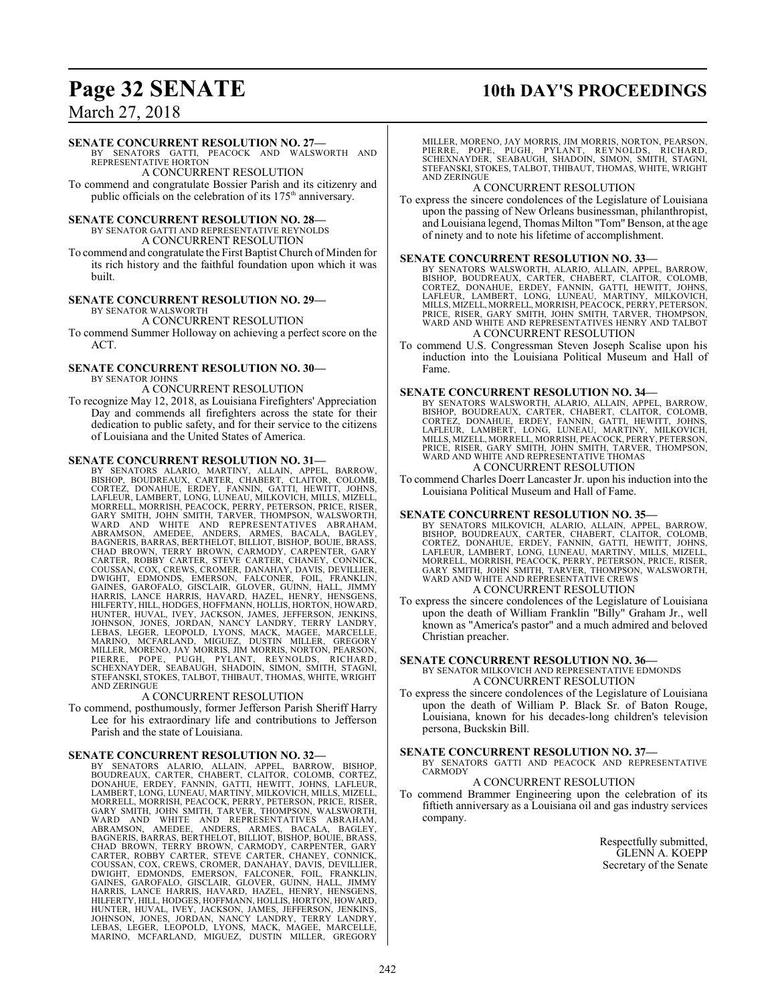## **Page 32 SENATE 10th DAY'S PROCEEDINGS**

### March 27, 2018

### **SENATE CONCURRENT RESOLUTION NO. 27—**

BY SENATORS GATTI, PEACOCK AND WALSWORTH AND REPRESENTATIVE HORTON

A CONCURRENT RESOLUTION To commend and congratulate Bossier Parish and its citizenry and public officials on the celebration of its 175<sup>th</sup> anniversary.

### **SENATE CONCURRENT RESOLUTION NO. 28—**

BY SENATOR GATTI AND REPRESENTATIVE REYNOLDS A CONCURRENT RESOLUTION

To commend and congratulate the First Baptist Church ofMinden for its rich history and the faithful foundation upon which it was built.

#### **SENATE CONCURRENT RESOLUTION NO. 29—** BY SENATOR WALSWORTH

A CONCURRENT RESOLUTION

To commend Summer Holloway on achieving a perfect score on the ACT.

#### **SENATE CONCURRENT RESOLUTION NO. 30—** BY SENATOR JOHNS

A CONCURRENT RESOLUTION

To recognize May 12, 2018, as Louisiana Firefighters' Appreciation Day and commends all firefighters across the state for their dedication to public safety, and for their service to the citizens of Louisiana and the United States of America.

### **SENATE CONCURRENT RESOLUTION NO. 31—**

BY SENATORS ALARIO, MARTINY, ALLAIN, APPEL, BARROW,<br>BISHOP, BOUDREAUX, CARTER, CHABERT, CLAITOR, COLOMB,<br>CORTEZ, DONAHUE, ERDEY, FANNIN, GATTI, HEWITT, JOHNS,<br>LAFLEUR, LAMBERT, LONG, LUNEAU, MILKOVICH, MILLS, MIZELL, MORRELL, MORRISH, PEACOCK, PERRY, PETERSON, PRICE, RISER,<br>GARY SMITH, JOHN SMITH, TARVER, THOMPSON, WALSWORTH,<br>WARD AND WHITE AND REPRESENTATIVES ABRAHAM,<br>ABRAMSON, AMEDEE, ANDERS, ARMES, BACALA, BAGLEY,<br>BAGNERIS, BARRAS, CHAD BROWN, TERRY BROWN, CARMODY, CARPENTER, GARY<br>CARTER, ROBBY CARTER, STEVE CARTER, CHANEY, CONNICK,<br>COUSSAN, COX, CREWS, CROMER, DANAHAY, DAVIS, DEVILLIER,<br>DWIGHT, EDMONDS, EMERSON, FALCONER, FOIL, FRANKLIN,<br>GAINES, GAR HUNTER, HUVAL, IVEY, JACKSON, JAMES, JEFFERSON, JENKINS,<br>JOHNSON, JONES, JORDAN, NANCY LANDRY, TERRY LANDRY,<br>LEBAS, LEGER, LEOPOLD, LYONS, MACK, MAGEE, MARCELLE,<br>MARINO, MCFARLAND, MIGUEZ, DUSTIN MILLER, GREGORY<br>MILLER, MO AND ZERINGUE

### A CONCURRENT RESOLUTION

To commend, posthumously, former Jefferson Parish Sheriff Harry Lee for his extraordinary life and contributions to Jefferson Parish and the state of Louisiana.

### **SENATE CONCURRENT RESOLUTION NO. 32—**

BY SENATORS ALARIO, ALLAIN, APPEL, BARROW, BISHOP, BOUDREAUX, CARTER, CHABERT, CLAITOR, COLOMB, CORTEZ, DONAHUE, ERDEY, FANNIN, GATTI, HEWITT, JOHNS, LAFLEUR, LAMBERT, LONG, LUNEAU, MARTINY, MILKOVICH, MILLS, MIZELL,<br>MORRELL, MORRISH, PEACOCK, PERRY, PETERSON, PRICE, RISER,<br>GARY SMITH, JOHN SMITH, TARVER, THOMPSON, PRICE, RISER,<br>WARD AND WHITE AND REPRESENTATIVES ABRAHAM,<br>ABRAMS HUNTER, HUVAL, IVEY, JACKSON, JAMES, JEFFERSON, JENKINS,<br>JOHNSON, JONES, JORDAN, NANCY LANDRY, TERRY LANDRY,<br>LEBAS, LEGER, LEOPOLD, LYONS, MACK, MAGEE, MARCELLE,<br>MARINO, MCFARLAND, MIGUEZ, DUSTIN MILLER, GREGORY MILLER, MORENO, JAY MORRIS, JIM MORRIS, NORTON, PEARSON, PIERRE, POPE, PUGH, PYLANT, REYNOLDS, RICHARD,<br>SCHEXNAYDER, SEABAUGH, SHADOIN, SIMON, SMITH, STAGNI,<br>STEFANSKI,STOKES,TALBOT,THIBAUT,THOMAS,WHITE,WRIGHT AND ZERINGUE

### A CONCURRENT RESOLUTION

To express the sincere condolences of the Legislature of Louisiana upon the passing of New Orleans businessman, philanthropist, and Louisiana legend, Thomas Milton "Tom" Benson, at the age of ninety and to note his lifetime of accomplishment.

### **SENATE CONCURRENT RESOLUTION NO. 33—**

BY SENATORS WALSWORTH, ALARIO, ALLAIN, APPEL, BARROW, BISHOP, BOUDREAUX, CARTER, CHABERT, CLAITOR, COLOMB, CORTEZ, DONAHUE, ERDEY, FANNIN, GATTI, HEWITT, JOHNS,<br>LAFLEUR, LAMBERT, LONG, LUNEAU, MARTINY, MILKOVICH,<br>MILLS,MIZELL,MORRELL,MORRISH,PEACOCK,PERRY,PETERSON, PRICE, RISER, GARY SMITH, JOHN SMITH, TARVER, THOMPSON, WARD AND WHITE AND REPRESENTATIVES HENRY AND TALBOT A CONCURRENT RESOLUTION

To commend U.S. Congressman Steven Joseph Scalise upon his induction into the Louisiana Political Museum and Hall of Fame.

### **SENATE CONCURRENT RESOLUTION NO. 34—**

BY SENATORS WALSWORTH, ALARIO, ALLAIN, APPEL, BARROW, BISHOP, BOUDREAUX, CARTER, CHABERT, CLAITOR, COLOMB, CORTEZ, DONAHUE, ERDEY, FANNIN, GATTI, HEWITT, JOHNS, LAFLEUR, LAMBERT, LONG, LUNEAU, MARTINY, MILKOVICH, MILLS, MIZELL, MORRELL, MORRISH, PEACOCK, PERRY, PETERSON, PRICE, RISER, GARY SMITH, JOHN SMITH, TARVER, THOMPSON, WARD AND WHITE AND REPRESENTATIVE THOMAS

### A CONCURRENT RESOLUTION

To commend Charles Doerr Lancaster Jr. upon his induction into the Louisiana Political Museum and Hall of Fame.

#### **SENATE CONCURRENT RESOLUTION NO. 35—**

BY SENATORS MILKOVICH, ALARIO, ALLAIN, APPEL, BARROW, BISHOP, BOUDREAUX, CARTER, CHABERT, CLAITOR, COLOMB,<br>CORTEZ, DONAHUE, ERDEY, FANNIN, GATTI, HEWITT, JOHNS,<br>LAFLEUR, LAMBERT, LONG, LUNEAU, MARTINY, MILLS, MIZELL, MORRELL, MORRISH, PEACOCK, PERRY, PETERSON, PRICE, RISER, GARY SMITH, JOHN SMITH, TARVER, THOMPSON, WALSWORTH, WARD AND WHITE AND REPRESENTATIVE CREWS A CONCURRENT RESOLUTION

To express the sincere condolences of the Legislature of Louisiana upon the death of William Franklin "Billy" Graham Jr., well known as "America's pastor" and a much admired and beloved Christian preacher.

#### **SENATE CONCURRENT RESOLUTION NO. 36—** BY SENATOR MILKOVICH AND REPRESENTATIVE EDMONDS A CONCURRENT RESOLUTION

To express the sincere condolences of the Legislature of Louisiana upon the death of William P. Black Sr. of Baton Rouge, Louisiana, known for his decades-long children's television persona, Buckskin Bill.

### **SENATE CONCURRENT RESOLUTION NO. 37—**

BY SENATORS GATTI AND PEACOCK AND REPRESENTATIVE **CARMODY** 

### A CONCURRENT RESOLUTION

To commend Brammer Engineering upon the celebration of its fiftieth anniversary as a Louisiana oil and gas industry services company.

> Respectfully submitted, GLENN A. KOEPP Secretary of the Senate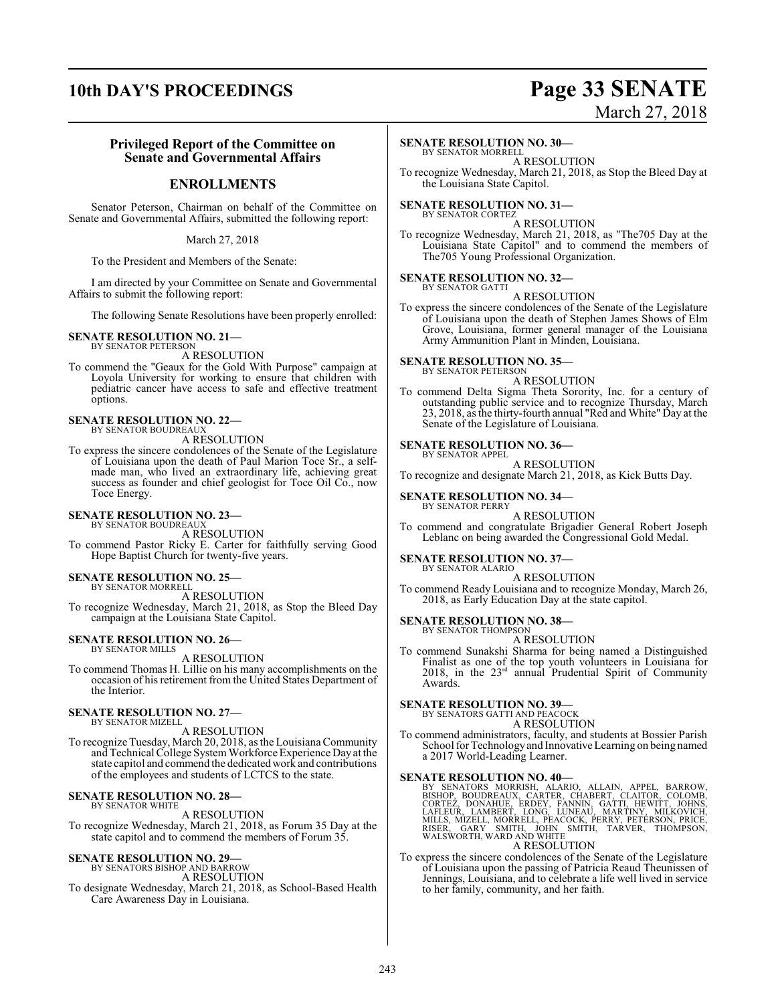### **10th DAY'S PROCEEDINGS Page 33 SENATE**

# March 27, 2018

### **Privileged Report of the Committee on Senate and Governmental Affairs**

### **ENROLLMENTS**

Senator Peterson, Chairman on behalf of the Committee on Senate and Governmental Affairs, submitted the following report:

March 27, 2018

To the President and Members of the Senate:

I am directed by your Committee on Senate and Governmental Affairs to submit the following report:

The following Senate Resolutions have been properly enrolled:

#### **SENATE RESOLUTION NO. 21—** BY SENATOR PETERSON

A RESOLUTION

To commend the "Geaux for the Gold With Purpose" campaign at Loyola University for working to ensure that children with pediatric cancer have access to safe and effective treatment options.

#### **SENATE RESOLUTION NO. 22—** BY SENATOR BOUDREAUX

A RESOLUTION

To express the sincere condolences of the Senate of the Legislature of Louisiana upon the death of Paul Marion Toce Sr., a selfmade man, who lived an extraordinary life, achieving great success as founder and chief geologist for Toce Oil Co., now Toce Energy.

### **SENATE RESOLUTION NO. 23—**

BY SENATOR BOUDREAUX A RESOLUTION To commend Pastor Ricky E. Carter for faithfully serving Good Hope Baptist Church for twenty-five years.

### **SENATE RESOLUTION NO. 25—**

BY SENATOR MORRELL A RESOLUTION To recognize Wednesday, March 21, 2018, as Stop the Bleed Day campaign at the Louisiana State Capitol.

#### **SENATE RESOLUTION NO. 26—** BY SENATOR MILLS

A RESOLUTION

To commend Thomas H. Lillie on his many accomplishments on the occasion of his retirement from the United States Department of the Interior.

### **SENATE RESOLUTION NO. 27—**

BY SENATOR MIZELL A RESOLUTION To recognize Tuesday, March 20, 2018, as the Louisiana Community and Technical College SystemWorkforce Experience Day at the state capitol and commend the dedicated work and contributions

# of the employees and students of LCTCS to the state.

**SENATE RESOLUTION NO. 28—** BY SENATOR WHITE

A RESOLUTION

To recognize Wednesday, March 21, 2018, as Forum 35 Day at the state capitol and to commend the members of Forum 35.

# **SENATE RESOLUTION NO. 29—** BY SENATORS BISHOP AND BARROW

A RESOLUTION

To designate Wednesday, March 21, 2018, as School-Based Health

Care Awareness Day in Louisiana.

### **SENATE RESOLUTION NO. 30—**

BY SENATOR MORRELL A RESOLUTION

To recognize Wednesday, March 21, 2018, as Stop the Bleed Day at the Louisiana State Capitol.

### **SENATE RESOLUTION NO. 31—** BY SENATOR CORTEZ

A RESOLUTION

To recognize Wednesday, March 21, 2018, as "The705 Day at the Louisiana State Capitol" and to commend the members of The705 Young Professional Organization.

#### **SENATE RESOLUTION NO. 32—** BY SENATOR GATTI

A RESOLUTION

To express the sincere condolences of the Senate of the Legislature of Louisiana upon the death of Stephen James Shows of Elm Grove, Louisiana, former general manager of the Louisiana Army Ammunition Plant in Minden, Louisiana.

### **SENATE RESOLUTION NO. 35—**<br>BY SENATOR PETERSON

A RESOLUTION

To commend Delta Sigma Theta Sorority, Inc. for a century of outstanding public service and to recognize Thursday, March 23, 2018, as the thirty-fourth annual "Red and White" Day at the Senate of the Legislature of Louisiana.

#### **SENATE RESOLUTION NO. 36—** BY SENATOR APPEL

A RESOLUTION

To recognize and designate March 21, 2018, as Kick Butts Day.

#### **SENATE RESOLUTION NO. 34—** BY SENATOR PERRY

A RESOLUTION

To commend and congratulate Brigadier General Robert Joseph Leblanc on being awarded the Congressional Gold Medal.

### **SENATE RESOLUTION NO. 37—**

BY SENATOR ALARIO A RESOLUTION

To commend Ready Louisiana and to recognize Monday, March 26, 2018, as Early Education Day at the state capitol.

#### **SENATE RESOLUTION NO. 38—** BY SENATOR THOMPSON

A RESOLUTION

To commend Sunakshi Sharma for being named a Distinguished Finalist as one of the top youth volunteers in Louisiana for 2018, in the 23 rd annual Prudential Spirit of Community Awards.

### **SENATE RESOLUTION NO. 39—**

BY SENATORS GATTI AND PEACOCK A RESOLUTION

To commend administrators, faculty, and students at Bossier Parish School for Technologyand Innovative Learning on being named a 2017 World-Leading Learner.

SENATE RESOLUTION NO. 40—<br>BY SENATORS MORRISH, ALARIO, ALLAIN, APPEL, BARROW, BISHOP, BOUDREAUX, CARTER, CHABERT, CLAITOR, COLOMB,<br>CORTEZ, DONAHUE, ERDEY, FANNIN, GATTI, HEWITT, JOHNS,<br>LAFLEUR, LAMBERT, LONG, LUNEAU, MARTI

A RESOLUTION

To express the sincere condolences of the Senate of the Legislature of Louisiana upon the passing of Patricia Reaud Theunissen of Jennings, Louisiana, and to celebrate a life well lived in service to her family, community, and her faith.